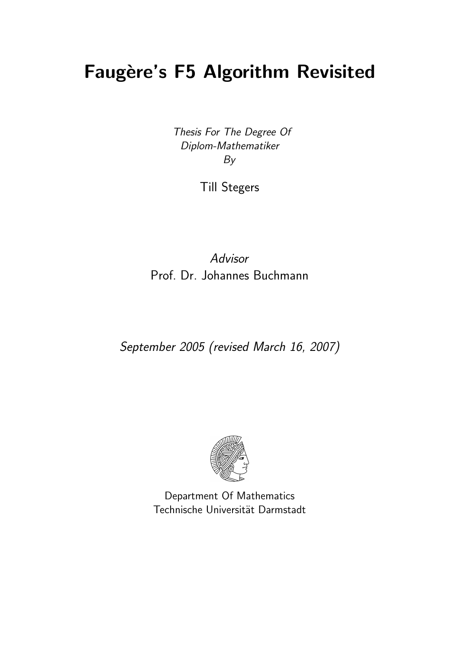# Faugère's F5 Algorithm Revisited

Thesis For The Degree Of Diplom-Mathematiker By

Till Stegers

Advisor Prof. Dr. Johannes Buchmann

September 2005 (revised March 16, 2007)



Department Of Mathematics Technische Universität Darmstadt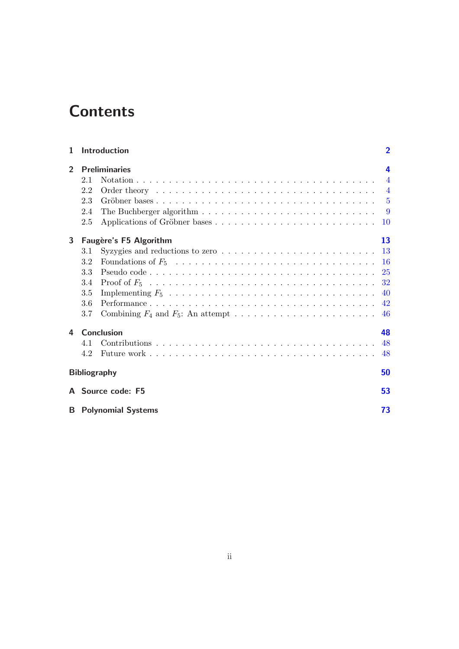# **Contents**

| 1              |                                     | Introduction                                                                              | $\overline{2}$ |  |  |
|----------------|-------------------------------------|-------------------------------------------------------------------------------------------|----------------|--|--|
| $\overline{2}$ | <b>Preliminaries</b>                |                                                                                           |                |  |  |
|                | 2.1                                 |                                                                                           | $\overline{4}$ |  |  |
|                | 2.2                                 |                                                                                           | $\overline{4}$ |  |  |
|                | 2.3                                 |                                                                                           | $-5$           |  |  |
|                | 2.4                                 | The Buchberger algorithm $\ldots \ldots \ldots \ldots \ldots \ldots \ldots \ldots \ldots$ | - 9            |  |  |
|                | 2.5                                 |                                                                                           | 10             |  |  |
| 3              | 13<br><b>Faugère's F5 Algorithm</b> |                                                                                           |                |  |  |
|                | 3.1                                 | Syzygies and reductions to zero $\dots \dots \dots \dots \dots \dots \dots \dots \dots$   | 13             |  |  |
|                | 3.2                                 |                                                                                           | 16             |  |  |
|                | 3.3                                 |                                                                                           | 25             |  |  |
|                | 3.4                                 |                                                                                           | 32             |  |  |
|                | 3.5                                 |                                                                                           | 40             |  |  |
|                | 3.6                                 |                                                                                           | 42             |  |  |
|                | 3.7                                 |                                                                                           | 46             |  |  |
| 4              | <b>Conclusion</b><br>48             |                                                                                           |                |  |  |
|                | 4.1                                 |                                                                                           | 48             |  |  |
|                | 4.2                                 |                                                                                           | 48             |  |  |
|                |                                     | <b>Bibliography</b>                                                                       | 50             |  |  |
|                |                                     | A Source code: F5                                                                         | 53             |  |  |
|                |                                     | <b>B</b> Polynomial Systems                                                               | 73             |  |  |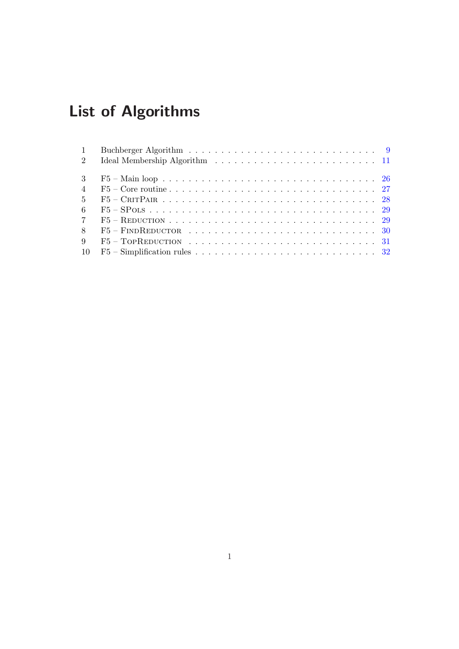# List of Algorithms

| $\overline{1}$  |                                                                                                                |  |
|-----------------|----------------------------------------------------------------------------------------------------------------|--|
| 2               |                                                                                                                |  |
| $\mathcal{S}$   | F5 – Main loop $\ldots \ldots \ldots \ldots \ldots \ldots \ldots \ldots \ldots \ldots \ldots \ldots \ldots 26$ |  |
| $\overline{4}$  |                                                                                                                |  |
| $5^{\circ}$     |                                                                                                                |  |
| 6               |                                                                                                                |  |
| $7\overline{ }$ |                                                                                                                |  |
| 8               |                                                                                                                |  |
| -9              |                                                                                                                |  |
| -10             |                                                                                                                |  |
|                 |                                                                                                                |  |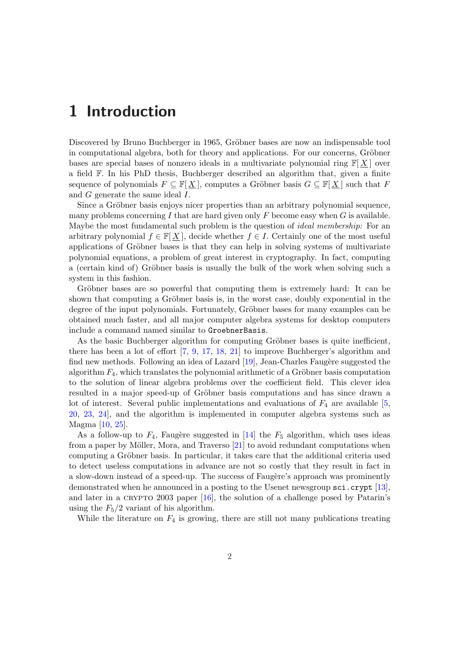# <span id="page-3-0"></span>1 Introduction

Discovered by Bruno Buchberger in 1965, Gröbner bases are now an indispensable tool in computational algebra, both for theory and applications. For our concerns, Gröbner bases are special bases of nonzero ideals in a multivariate polynomial ring  $\mathbb{F}[X]$  over a field F. In his PhD thesis, Buchberger described an algorithm that, given a finite sequence of polynomials  $F \subseteq \mathbb{F}[\underline{X}]$ , computes a Gröbner basis  $G \subseteq \mathbb{F}[\underline{X}]$  such that F and G generate the same ideal I.

Since a Gröbner basis enjoys nicer properties than an arbitrary polynomial sequence, many problems concerning I that are hard given only  $F$  become easy when  $G$  is available. Maybe the most fundamental such problem is the question of *ideal membership*: For an arbitrary polynomial  $f \in \mathbb{F}[X]$ , decide whether  $f \in I$ . Certainly one of the most useful applications of Gröbner bases is that they can help in solving systems of multivariate polynomial equations, a problem of great interest in cryptography. In fact, computing a (certain kind of) Gröbner basis is usually the bulk of the work when solving such a system in this fashion.

Gröbner bases are so powerful that computing them is extremely hard: It can be shown that computing a Gröbner basis is, in the worst case, doubly exponential in the degree of the input polynomials. Fortunately, Gröbner bases for many examples can be obtained much faster, and all major computer algebra systems for desktop computers include a command named similar to GroebnerBasis.

As the basic Buchberger algorithm for computing Gröbner bases is quite inefficient, there has been a lot of effort [7, 9, 17, 18, 21] to improve Buchberger's algorithm and find new methods. Following an idea of Lazard  $[19]$ , Jean-Charles Faugère suggested the algorithm  $F_4$ , which translates the polynomial arithmetic of a Gröbner basis computation to the solution of linear algebra problems over the coefficient field. This clever idea resulted in a major speed-up [o](#page-51-0)f [G](#page-51-0)röbner basis computations and has since drawn a lot of interest. Several public implementation[s an](#page-52-0)d evaluations of  $F_4$  are available [5, 20, 23, 24], and the algorithm is implemented in computer algebra systems such as Magma [10, 25].

As a follow-up to  $F_4$ , Faugère suggested in [14] the  $F_5$  algorithm, which uses ideas from a paper by Möller, Mora, and Traverso  $[21]$  to avoid redundant computations wh[en](#page-51-0) [co](#page-52-0)[mpu](#page-53-0)t[ing](#page-53-0) a Gröbner basis. In particular, it takes care that the additional criteria used to detec[t us](#page-52-0)[eles](#page-53-0)s computations in advance are not so costly that they result in fact in a slow-down instead [of](#page-52-0) a speed-up. The success of Faugère's approach was prominently demonstrated when he announced in a postin[g to](#page-52-0) the Usenet newsgroup sci.crypt [13], and later in a CRYPTO 2003 paper  $[16]$ , the solution of a challenge posed by Patarin's using the  $F_5/2$  variant of his algorithm.

While the literature on  $F_4$  is growing, there are still not many publications trea[ting](#page-52-0)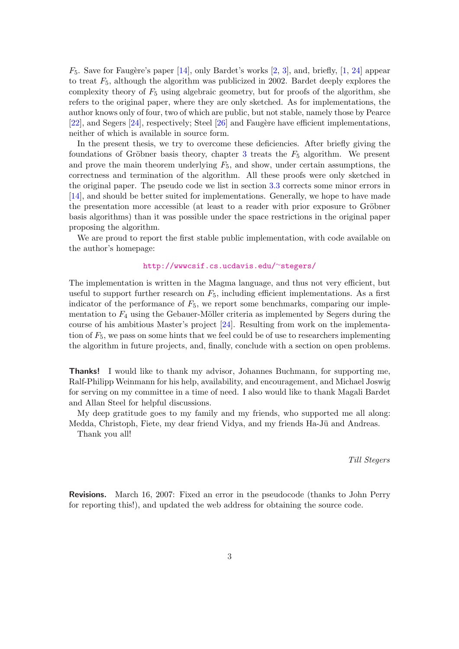$F_5$ . Save for Faugère's paper [14], only Bardet's works [2, 3], and, briefly, [1, 24] appear to treat  $F_5$ , although the algorithm was publicized in 2002. Bardet deeply explores the complexity theory of  $F_5$  using algebraic geometry, but for proofs of the algorithm, she refers to the original paper, where they are only sketched. As for implementations, the author knows only of four, two [of](#page-52-0) which are public, but n[ot](#page-51-0) [sta](#page-51-0)ble, namely t[hos](#page-51-0)[e by](#page-53-0) Pearce [22], and Segers  $[24]$ , respectively; Steel [26] and Faugère have efficient implementations, neither of which is available in source form.

In the present thesis, we try to overcome these deficiencies. After briefly giving the foundations of Gröbner basis theory, chapter 3 treats the  $F_5$  algorithm. We present [and](#page-53-0) prove the [main](#page-53-0) theorem underlying  $F_5$  $F_5$ , and show, under certain assumptions, the correctness and termination of the algorithm. All these proofs were only sketched in the original paper. The pseudo code we list in section 3.3 corrects some minor errors in [14], and should be better suited for implement[at](#page-14-0)ions. Generally, we hope to have made the presentation more accessible (at least to a reader with prior exposure to Gröbner basis algorithms) than it was possible under the space [res](#page-26-0)trictions in the original paper proposing the algorithm.

[W](#page-52-0)e are proud to report the first stable public implementation, with code available on the author's homepage:

#### http://wwwcsif.cs.ucdavis.edu/∼stegers/

The implementation is written in the Magma language, and thus not very efficient, but useful to support further research on  $F_5$ , including efficient implementations. As a first indicator of the performance of  $F_5$ , [we report some benchmarks, co](http://wwwcsif.cs.ucdavis.edu/~stegers/)mparing our implementation to  $F_4$  using the Gebauer-Möller criteria as implemented by Segers during the course of his ambitious Master's project [24]. Resulting from work on the implementation of  $F_5$ , we pass on some hints that we feel could be of use to researchers implementing the algorithm in future projects, and, finally, conclude with a section on open problems.

Thanks! I would like to thank my advisor, Johannes Buchmann, for supporting me, Ralf-Philipp Weinmann for his help, availability, and encouragement, and Michael Joswig for serving on my committee in a time of need. I also would like to thank Magali Bardet and Allan Steel for helpful discussions.

My deep gratitude goes to my family and my friends, who supported me all along: Medda, Christoph, Fiete, my dear friend Vidya, and my friends Ha-Jü and Andreas.

Thank you all!

Till Stegers

Revisions. March 16, 2007: Fixed an error in the pseudocode (thanks to John Perry for reporting this!), and updated the web address for obtaining the source code.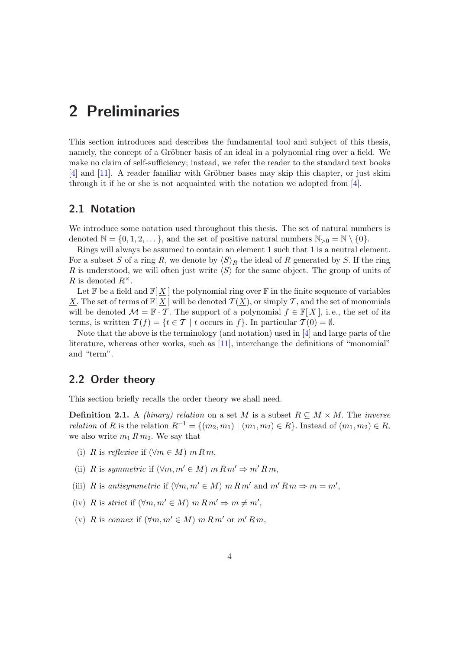# <span id="page-5-0"></span>2 Preliminaries

This section introduces and describes the fundamental tool and subject of this thesis, namely, the concept of a Gröbner basis of an ideal in a polynomial ring over a field. We make no claim of self-sufficiency; instead, we refer the reader to the standard text books  $[4]$  and  $[11]$ . A reader familiar with Gröbner bases may skip this chapter, or just skim through it if he or she is not acquainted with the notation we adopted from [4].

# [2.](#page-51-0)1 [Not](#page-52-0)ation

We introduce some notation used throughout this thesis. The set of natural [nu](#page-51-0)mbers is denoted  $\mathbb{N} = \{0, 1, 2, \dots\}$ , and the set of positive natural numbers  $\mathbb{N}_{>0} = \mathbb{N} \setminus \{0\}.$ 

Rings will always be assumed to contain an element 1 such that 1 is a neutral element. For a subset S of a ring R, we denote by  $\langle S \rangle_R$  the ideal of R generated by S. If the ring R is understood, we will often just write  $\langle S \rangle$  for the same object. The group of units of R is denoted  $R^{\times}$ .

Let  $\mathbb F$  be a field and  $\mathbb F[X]$  the polynomial ring over  $\mathbb F$  in the finite sequence of variables X. The set of terms of  $\mathbb{F}[X]$  will be denoted  $\mathcal{T}(X)$ , or simply T, and the set of monomials will be denoted  $\mathcal{M} = \mathbb{F} \cdot \mathcal{T}$ . The support of a polynomial  $f \in \mathbb{F}[X]$ , i.e., the set of its terms, is written  $\mathcal{T}(f) = \{t \in \mathcal{T} \mid t \text{ occurs in } f\}$ . In particular  $\mathcal{T}(0) = \emptyset$ .

Note that the above is the terminology (and notation) used in  $[4]$  and large parts of the literature, whereas other works, such as [11], interchange the definitions of "monomial" and "term".

# 2.2 Order theory

This section briefly recalls the order theory we shall need.

**Definition 2.1.** A (binary) relation on a set M is a subset  $R \subseteq M \times M$ . The inverse *relation* of R is the relation  $R^{-1} = \{(m_2, m_1) \mid (m_1, m_2) \in R\}$ . Instead of  $(m_1, m_2) \in R$ , we also write  $m_1 R m_2$ . We say that

- (i) R is reflexive if  $(\forall m \in M)$  m R m,
- (ii) R is symmetric if  $(\forall m, m' \in M)$  m  $R m' \Rightarrow m' R m$ ,
- (iii) R is antisymmetric if  $(\forall m, m' \in M)$  m R m' and m' R m  $\Rightarrow$  m = m',
- (iv) R is strict if  $(\forall m, m' \in M)$   $m R m' \Rightarrow m \neq m'$ ,
- (v) R is connex if  $(\forall m, m' \in M)$  m R m' or m' R m,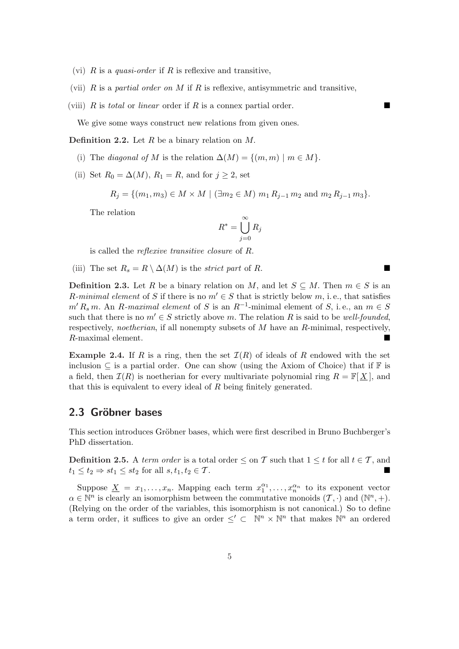- <span id="page-6-0"></span>(vi)  $R$  is a quasi-order if  $R$  is reflexive and transitive,
- (vii) R is a partial order on M if R is reflexive, antisymmetric and transitive,
- (viii) R is total or linear order if R is a connex partial order.

We give some ways construct new relations from given ones.

**Definition 2.2.** Let  $R$  be a binary relation on  $M$ .

- (i) The *diagonal of* M is the relation  $\Delta(M) = \{(m, m) \mid m \in M\}.$
- (ii) Set  $R_0 = \Delta(M)$ ,  $R_1 = R$ , and for  $j \geq 2$ , set

$$
R_j = \{ (m_1, m_3) \in M \times M \mid (\exists m_2 \in M) \ m_1 R_{j-1} m_2 \text{ and } m_2 R_{j-1} m_3 \}.
$$

The relation

$$
R^* = \bigcup_{j=0}^{\infty} R_j
$$

is called the reflexive transitive closure of R.

(iii) The set  $R_s = R \setminus \Delta(M)$  is the *strict part* of R.

**Definition 2.3.** Let R be a binary relation on M, and let  $S \subseteq M$ . Then  $m \in S$  is an R-minimal element of S if there is no  $m' \in S$  that is strictly below m, i.e., that satisfies  $m'R_s m$ . An R-maximal element of S is an  $R^{-1}$ -minimal element of S, i.e., an  $m \in S$ such that there is no  $m' \in S$  strictly above m. The relation R is said to be well-founded, respectively, *noetherian*, if all nonempty subsets of  $M$  have an  $R$ -minimal, respectively, R-maximal element.

**Example 2.4.** If R is a ring, then the set  $\mathcal{I}(R)$  of ideals of R endowed with the set inclusion  $\subseteq$  is a partial order. One can show (using the Axiom of Choice) that if  $\mathbb F$  is a field, then  $\mathcal{I}(R)$  is noetherian for every multivariate polynomial ring  $R = \mathbb{F}[X]$ , and that this is equivalent to every ideal of  $R$  being finitely generated.

### 2.3 Gröbner bases

This section introduces Gröbner bases, which were first described in Bruno Buchberger's PhD dissertation.

**Definition 2.5.** A term order is a total order  $\leq$  on T such that  $1 \leq t$  for all  $t \in T$ , and  $t_1 \leq t_2 \Rightarrow st_1 \leq st_2$  for all  $s, t_1, t_2 \in \mathcal{T}$ .

Suppose  $\underline{X} = x_1, \ldots, x_n$ . Mapping each term  $x_1^{\alpha_1}, \ldots, x_n^{\alpha_n}$  to its exponent vector  $\alpha \in \mathbb{N}^n$  is clearly an isomorphism between the commutative monoids  $(\mathcal{T}, \cdot)$  and  $(\mathbb{N}^n, +)$ . (Relying on the order of the variables, this isomorphism is not canonical.) So to define a term order, it suffices to give an order  $\leq' \subset \mathbb{N}^n \times \mathbb{N}^n$  that makes  $\mathbb{N}^n$  an ordered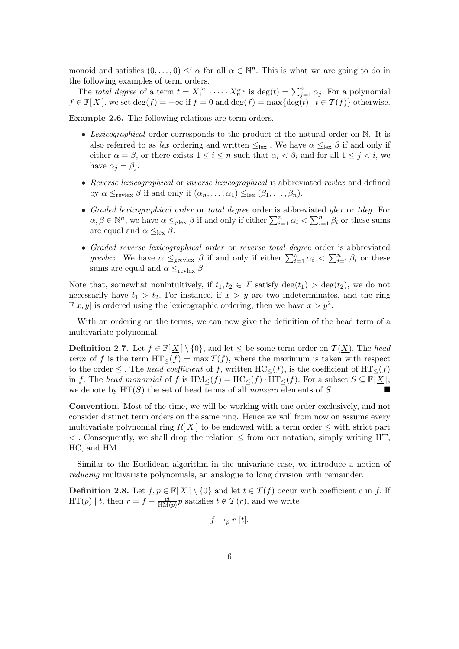monoid and satisfies  $(0,\ldots,0) \leq' \alpha$  for all  $\alpha \in \mathbb{N}^n$ . This is what we are going to do in the following examples of term orders.

The *total degree* of a term  $t = X_1^{\alpha_1} \cdot \dots \cdot X_n^{\alpha_n}$  is  $\deg(t) = \sum_{j=1}^n \alpha_j$ . For a polynomial  $f \in \mathbb{F}[X]$ , we set  $\deg(f) = -\infty$  if  $f = 0$  and  $\deg(f) = \max\{\deg(f) | t \in \mathcal{T}(f)\}\$  otherwise.

Example 2.6. The following relations are term orders.

- Lexicographical order corresponds to the product of the natural order on  $\mathbb N$ . It is also referred to as lex ordering and written  $\leq_{\text{lex}}$ . We have  $\alpha \leq_{\text{lex}} \beta$  if and only if either  $\alpha = \beta$ , or there exists  $1 \leq i \leq n$  such that  $\alpha_i < \beta_i$  and for all  $1 \leq j < i$ , we have  $\alpha_i = \beta_i$ .
- Reverse lexicographical or inverse lexicographical is abbreviated revlex and defined by  $\alpha \leq_{\text{revlex}} \beta$  if and only if  $(\alpha_n, \ldots, \alpha_1) \leq_{\text{lex}} (\beta_1, \ldots, \beta_n)$ .
- Graded lexicographical order or total degree order is abbreviated glex or tdeg. For Graded textcographical order of total degree of all is above<br>  $\alpha, \beta \in \mathbb{N}^n$ , we have  $\alpha \leq_{\text{glex}} \beta$  if and only if either  $\sum_{i=1}^n \alpha_i$ ate  $_{i=1}^{n}$   $\beta_i$  or these sums are equal and  $\alpha \leq_{\text{lex}} \beta$ .
- Graded reverse lexicographical order or reverse total degree order is abbreviated Graded reverse textographical order of reverse total degree of<br>grevlex. We have  $\alpha \leq_{\text{grevlex}} \beta$  if and only if either  $\sum_{i=1}^{n} \alpha_i$  $\sum u$  $\sum_{i=1}^{n} \beta_i$  or these sums are equal and  $\alpha \leq_{\text{revlex}} \beta$ .

Note that, somewhat nonintuitively, if  $t_1, t_2 \in \mathcal{T}$  satisfy  $\deg(t_1) > \deg(t_2)$ , we do not necessarily have  $t_1 > t_2$ . For instance, if  $x > y$  are two indeterminates, and the ring  $\mathbb{F}[x, y]$  is ordered using the lexicographic ordering, then we have  $x > y^2$ .

With an ordering on the terms, we can now give the definition of the head term of a multivariate polynomial.

**Definition 2.7.** Let  $f \in \mathbb{F}[X] \setminus \{0\}$ , and let  $\leq$  be some term order on  $\mathcal{T}(X)$ . The head term of f is the term  $HT<(f) = \max T(f)$ , where the maximum is taken with respect to the order  $\leq$ . The head coefficient of f, written HC<sub>≤</sub>(f), is the coefficient of HT<sub>≤</sub>(f) in f. The head monomial of f is  $HM_{\leq}(f) = HC_{\leq}(f) \cdot HT_{\leq}(f)$ . For a subset  $S \subseteq \mathbb{F}[\underline{X}]$ , we denote by  $HT(S)$  the set of head terms of all *nonzero* elements of S.

Convention. Most of the time, we will be working with one order exclusively, and not consider distinct term orders on the same ring. Hence we will from now on assume every multivariate polynomial ring  $R[X]$  to be endowed with a term order  $\leq$  with strict part  $\langle$ . Consequently, we shall drop the relation  $\langle$  from our notation, simply writing HT, HC, and HM .

Similar to the Euclidean algorithm in the univariate case, we introduce a notion of reducing multivariate polynomials, an analogue to long division with remainder.

**Definition 2.8.** Let  $f, p \in \mathbb{F}[\underline{X}] \setminus \{0\}$  and let  $t \in \mathcal{T}(f)$  occur with coefficient c in f. If  $HT(p) | t$ , then  $r = f - \frac{ct}{HM}$  $\frac{ct}{HM(p)}p$  satisfies  $t \notin \mathcal{T}(r)$ , and we write

$$
f \rightarrow_p r [t].
$$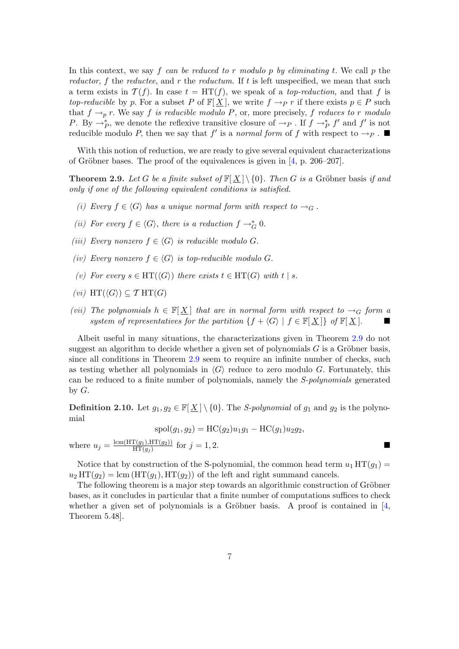In this context, we say f can be reduced to r modulo p by eliminating t. We call p the reductor, f the reductee, and r the reductum. If t is left unspecified, we mean that such a term exists in  $\mathcal{T}(f)$ . In case  $t = HT(f)$ , we speak of a *top-reduction*, and that f is top-reducible by p. For a subset P of  $\mathbb{F}[\underline{X}]$ , we write  $f \to_P r$  if there exists  $p \in P$  such that  $f \rightarrow_{p} r$ . We say f is reducible modulo P, or, more precisely, f reduces to r modulo P. By  $\rightarrow_P^*$ , we denote the reflexive transitive closure of  $\rightarrow_P$ . If  $f \rightarrow_P^* f'$  and  $f'$  is not reducible modulo P, then we say that  $f'$  is a normal form of f with respect to  $\rightarrow_P$ .

With this notion of reduction, we are ready to give several equivalent characterizations of Gröbner bases. The proof of the equivalences is given in  $[4, p. 206-207]$ .

**Theorem 2.9.** Let G be a finite subset of  $\mathbb{F}[X] \setminus \{0\}$ . Then G is a Gröbner basis if and only if one of the following equivalent conditions is satisfied.

- (i) Every  $f \in \langle G \rangle$  has a unique normal form with respect [to](#page-51-0)  $\rightarrow_G$ .
- (ii) For every  $f \in \langle G \rangle$ , there is a reduction  $f \to_G^* 0$ .
- (iii) Every nonzero  $f \in \langle G \rangle$  is reducible modulo G.
- (iv) Every nonzero  $f \in \langle G \rangle$  is top-reducible modulo G.
- (v) For every  $s \in HT(\langle G \rangle)$  there exists  $t \in HT(G)$  with  $t \mid s$ .
- $(vi)$  HT( $\langle G \rangle$ )  $\subseteq$  T HT(G)
- (vii) The polynomials  $h \in \mathbb{F}[X]$  that are in normal form with respect to  $\rightarrow_G$  form a system of representatives for the partition  $\{f + \langle G \rangle | f \in \mathbb{F}[\underline{X}] \}$  of  $\mathbb{F}[\underline{X}]$ .

Albeit useful in many situations, the characterizations given in Theorem 2.9 do not suggest an algorithm to decide whether a given set of polynomials  $G$  is a Gröbner basis, since all conditions in Theorem 2.9 seem to require an infinite number of checks, such as testing whether all polynomials in  $\langle G \rangle$  reduce to zero modulo G. Fortunately, this can be reduced to a finite number of polynomials, namely the S-polynomials generated by  $G$ .

**Definition 2.10.** Let  $g_1, g_2 \in \mathbb{F}[\underline{X}] \setminus \{0\}$ . The *S-polynomial* of  $g_1$  and  $g_2$  is the polynomial

$$
spol(g_1, g_2) = \text{HC}(g_2)u_1g_1 - \text{HC}(g_1)u_2g_2,
$$

where  $u_j = \frac{\text{lcm}(\text{HT}(g_1), \text{HT}(g_2))}{\text{HT}(g_1)}$  $\frac{\Pi(g_1), \Pi \Pi(g_2))}{\Pi \Pi(g_j)}$  for  $j = 1, 2$ .

Notice that by construction of the S-polynomial, the common head term  $u_1 HT(g_1) =$  $u_2 HT(g_2) = \text{lcm} (HT(g_1), HT(g_2))$  of the left and right summand cancels.

The following theorem is a major step towards an algorithmic construction of Gröbner bases, as it concludes in particular that a finite number of computations suffices to check whether a given set of polynomials is a Gröbner basis. A proof is contained in  $[4, 4]$ Theorem 5.48].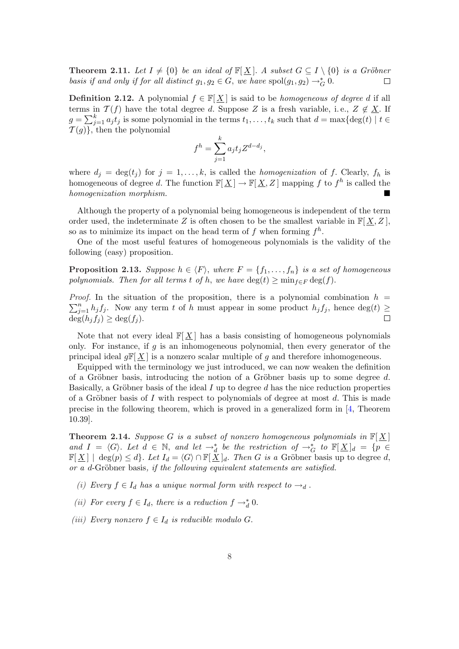**Theorem 2.11.** Let  $I \neq \{0\}$  be an ideal of  $\mathbb{F}[\underline{X}]$ . A subset  $G \subseteq I \setminus \{0\}$  is a Gröbner basis if and only if for all distinct  $g_1, g_2 \in G$ , we have  $\text{spol}(g_1, g_2) \to_G^* 0$ .  $\Box$ 

**Definition 2.12.** A polynomial  $f \in \mathbb{F}[X]$  is said to be *homogeneous of degree d* if all terms in  $\mathcal{T}(f)$  have the total degree d. Suppose Z is a fresh variable, i.e.,  $Z \notin X$ . If definis in<br> $g = \sum_{i=1}^{k} g_i$  $j=1 \atop j=1}^k a_j t_j$  is some polynomial in the terms  $t_1, \ldots, t_k$  such that  $d = \max\{\deg(t) \mid t \in$  $\mathcal{T}(g)$ , then the polynomial

$$
f^h = \sum_{j=1}^k a_j t_j Z^{d-d_j},
$$

where  $d_j = \deg(t_j)$  for  $j = 1, ..., k$ , is called the *homogenization* of f. Clearly,  $f_h$  is homogeneous of degree d. The function  $\mathbb{F}[\underline{X}] \to \mathbb{F}[\underline{X}, \underline{Z}]$  mapping f to  $f^h$  is called the  $homogenization\ \ morphism.$ 

Although the property of a polynomial being homogeneous is independent of the term order used, the indeterminate Z is often chosen to be the smallest variable in  $\mathbb{F}[X, Z]$ , so as to minimize its impact on the head term of f when forming  $f^h$ .

One of the most useful features of homogeneous polynomials is the validity of the following (easy) proposition.

**Proposition 2.13.** Suppose  $h \in \langle F \rangle$ , where  $F = \{f_1, \ldots, f_n\}$  is a set of homogeneous polynomials. Then for all terms t of h, we have  $\deg(t) \geq \min_{f \in F} \deg(f)$ .

*Proof.* In the situation of the proposition, there is a polynomial combination  $h = \sum_{i=1}^{n} a_i$  $\sum_{j=1}^n h_j f_j$ . Now any term t of h must appear in some product  $h_j f_j$ , hence  $\deg(t) \geq$  $\Box$  $\deg(h_j f_j) \geq \deg(f_j).$ 

Note that not every ideal  $\mathbb{F}[X]$  has a basis consisting of homogeneous polynomials only. For instance, if g is an inhomogeneous polynomial, then every generator of the principal ideal  $gF[X]$  is a nonzero scalar multiple of g and therefore inhomogeneous.

Equipped with the terminology we just introduced, we can now weaken the definition of a Gröbner basis, introducing the notion of a Gröbner basis up to some degree  $d$ . Basically, a Gröbner basis of the ideal I up to degree d has the nice reduction properties of a Gröbner basis of I with respect to polynomials of degree at most  $d$ . This is made precise in the following theorem, which is proved in a generalized form in [4, Theorem 10.39].

**Theorem 2.14.** Suppose G is a subset of nonzero homogeneous polynomials in  $\mathbb{F}[X]$ and  $I = \langle G \rangle$ . Let  $d \in \mathbb{N}$ , and let  $\rightarrow_d^*$  be the restriction of  $\rightarrow_G^*$  to  $\mathbb{F}[\underline{X}]_d = \{p \in G\}$  $\mathbb{F}[\underline{X}]_d = \{p \in G\}$  $\mathbb{F}[\underline{X}]_d = \{p \in G\}$  $\mathbb{F}[\underline{X}] \mid \text{deg}(p) \leq d$ . Let  $I_d = \langle G \rangle \cap \mathbb{F}[\underline{X}]_d$ . Then G is a Gröbner basis up to degree d, or a d-Gröbner basis, if the following equivalent statements are satisfied.

- (i) Every  $f \in I_d$  has a unique normal form with respect to  $\rightarrow_d$ .
- (ii) For every  $f \in I_d$ , there is a reduction  $f \to_d^* 0$ .
- (iii) Every nonzero  $f \in I_d$  is reducible modulo G.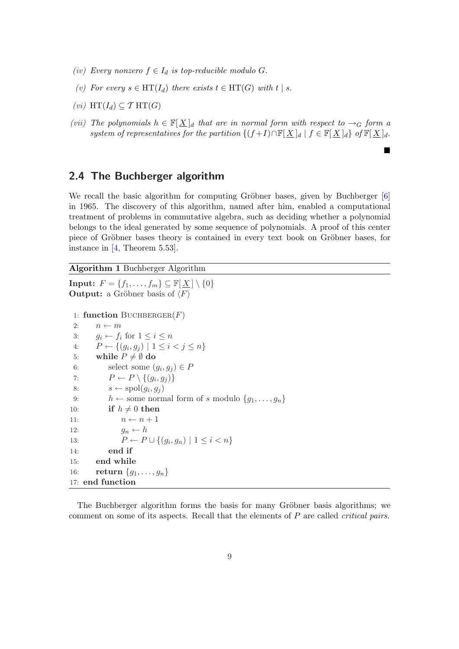- <span id="page-10-0"></span>(iv) Every nonzero  $f \in I_d$  is top-reducible modulo G.
- (v) For every  $s \in HT(I_d)$  there exists  $t \in HT(G)$  with  $t \mid s$ .
- $(vi) \text{ HT}(I_d) \subseteq \mathcal{T} \text{HT}(G)$
- (vii) The polynomials  $h \in \mathbb{F}[X]_d$  that are in normal form with respect to  $\rightarrow_G$  form a system of representatives for the partition  $\{(f+I)\cap \mathbb{F}[\underline{X}]_d | f \in \mathbb{F}[\underline{X}]_d\}$  of  $\mathbb{F}[\underline{X}]_d$ .

 $\blacksquare$ 

### 2.4 The Buchberger algorithm

We recall the basic algorithm for computing Gröbner bases, given by Buchberger  $[6]$ in 1965. The discovery of this algorithm, named after him, enabled a computational treatment of problems in commutative algebra, such as deciding whether a polynomial belongs to the ideal generated by some sequence of polynomials. A proof of this center piece of Gröbner bases theory is contained in every text book on Gröbner bases, [for](#page-51-0) instance in [4, Theorem 5.53].

Algorithm 1 Buchberger Algorithm

```
Input: {f_1, \ldots, f_m\} \subseteq \mathbb{F}[\underline{X}] \setminus \{0\}Output: a Gröbner basis of \langle F \rangle1: function BUCHBERGER(F)2: n \leftarrow m3: g_i \leftarrow f_i \text{ for } 1 \leq i \leq n4: P \leftarrow \{(g_i, g_j) \mid 1 \leq i < j \leq n\}5: while P \neq \emptyset do
 6: select some (g_i, g_j) \in P7: P \leftarrow P \setminus \{(g_i, g_j)\}8: s \leftarrow \text{spol}(g_i, g_j)9: h \leftarrow some normal form of s modulo \{g_1, \ldots, g_n\}10: if h \neq 0 then
11: n \leftarrow n + 112: g_n \leftarrow h13: P \leftarrow P \cup \{(g_i, g_n) \mid 1 \leq i < n\}14: end if
15: end while
16: return \{g_1, \ldots, g_n\}17: end function
```
The Buchberger algorithm forms the basis for many Gröbner basis algorithms; we comment on some of its aspects. Recall that the elements of  $P$  are called *critical pairs.*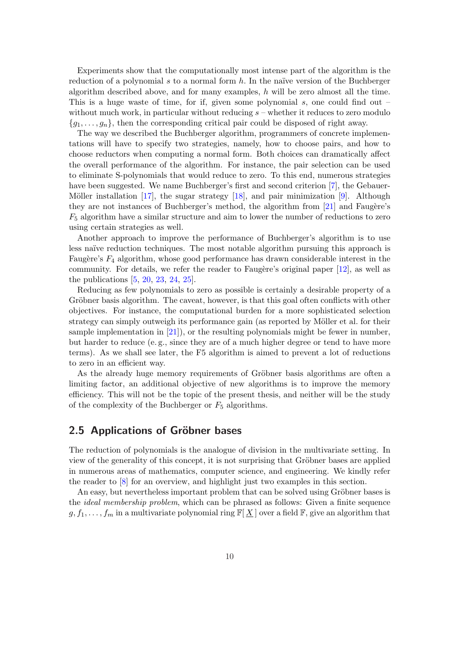<span id="page-11-0"></span>Experiments show that the computationally most intense part of the algorithm is the reduction of a polynomial s to a normal form  $h$ . In the naïve version of the Buchberger algorithm described above, and for many examples,  $h$  will be zero almost all the time. This is a huge waste of time, for if, given some polynomial  $s$ , one could find out – without much work, in particular without reducing  $s$  – whether it reduces to zero modulo  ${g_1, \ldots, g_n}$ , then the corresponding critical pair could be disposed of right away.

The way we described the Buchberger algorithm, programmers of concrete implementations will have to specify two strategies, namely, how to choose pairs, and how to choose reductors when computing a normal form. Both choices can dramatically affect the overall performance of the algorithm. For instance, the pair selection can be used to eliminate S-polynomials that would reduce to zero. To this end, numerous strategies have been suggested. We name Buchberger's first and second criterion [7], the Gebauer-Möller installation [17], the sugar strategy  $[18]$ , and pair minimization [9]. Although they are not instances of Buchberger's method, the algorithm from  $[21]$  and Faugère's  $F<sub>5</sub>$  algorithm have a similar structure and aim to lower the number of r[ed](#page-51-0)uctions to zero using certain strategies as well.

Another approac[h to](#page-52-0) improve the perfor[man](#page-52-0)ce of Buchberger's algori[th](#page-51-0)m is to use less naïve reduction techniques. The most notable algorithm pursuin[g th](#page-52-0)is approach is Faugère's  $F_4$  algorithm, whose good performance has drawn considerable interest in the community. For details, we refer the reader to Faugère's original paper  $[12]$ , as well as the publications [5, 20, 23, 24, 25].

Reducing as few polynomials to zero as possible is certainly a desirable property of a Gröbner basis algorithm. The caveat, however, is that this goal often conflicts with other objectives. For instance, the computational burden for a more sophisti[cate](#page-52-0)d selection strategy can sim[ply](#page-51-0) [ou](#page-52-0)t[weigh its p](#page-53-0)erformance gain (as reported by Möller et al. for their sample implementation in [21]), or the resulting polynomials might be fewer in number, but harder to reduce (e. g., since they are of a much higher degree or tend to have more terms). As we shall see later, the F5 algorithm is aimed to prevent a lot of reductions to zero in an efficient way.

As the already huge me[mo](#page-52-0)ry requirements of Gröbner basis algorithms are often a limiting factor, an additional objective of new algorithms is to improve the memory efficiency. This will not be the topic of the present thesis, and neither will be the study of the complexity of the Buchberger or  $F_5$  algorithms.

# 2.5 Applications of Gröbner bases

The reduction of polynomials is the analogue of division in the multivariate setting. In view of the generality of this concept, it is not surprising that Gröbner bases are applied in numerous areas of mathematics, computer science, and engineering. We kindly refer the reader to [8] for an overview, and highlight just two examples in this section.

An easy, but nevertheless important problem that can be solved using Gröbner bases is the *ideal membership problem*, which can be phrased as follows: Given a finite sequence  $g, f_1, \ldots, f_m$  i[n a](#page-51-0) multivariate polynomial ring  $\mathbb{F}[\underline{X}]$  over a field  $\mathbb{F}$ , give an algorithm that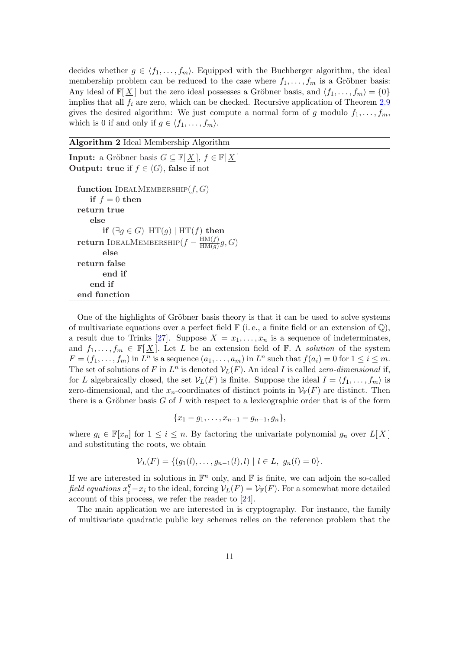<span id="page-12-0"></span>decides whether  $g \in \langle f_1, \ldots, f_m \rangle$ . Equipped with the Buchberger algorithm, the ideal membership problem can be reduced to the case where  $f_1, \ldots, f_m$  is a Gröbner basis: Any ideal of  $\mathbb{F}[\underline{X}]$  but the zero ideal possesses a Gröbner basis, and  $\langle f_1, \ldots, f_m \rangle = \{0\}$ implies that all  $f_i$  are zero, which can be checked. Recursive application of Theorem 2.9 gives the desired algorithm: We just compute a normal form of g modulo  $f_1, \ldots, f_m$ , which is 0 if and only if  $g \in \langle f_1, \ldots, f_m \rangle$ .

#### Algorithm 2 Ideal Membership Algorithm

**Input:** a Gröbner basis  $G \subseteq \mathbb{F}[X], f \in \mathbb{F}[X]$ Output: true if  $f \in \langle G \rangle$ , false if not function IDEALMEMBERSHIP $(f, G)$ if  $f = 0$  then return true else if  $(∃g ∈ G)$  HT $(g)$  | HT $(f)$  then return IDEALMEMBERSHIP $(f - \frac{HM(f)}{HM(a)})$  $\frac{\text{HM}(f)}{\text{HM}(g)}g,G$ else return false end if end if end function

One of the highlights of Gröbner basis theory is that it can be used to solve systems of multivariate equations over a perfect field  $\mathbb{F}$  (i.e., a finite field or an extension of  $\mathbb{Q}$ ), a result due to Trinks [27]. Suppose  $\underline{X} = x_1, \ldots, x_n$  is a sequence of indeterminates, and  $f_1, \ldots, f_m \in \mathbb{F}[\underline{X}]$ . Let L be an extension field of F. A solution of the system  $F = (f_1, \ldots, f_m)$  in  $L^n$  is a sequence  $(a_1, \ldots, a_m)$  in  $L^n$  such that  $f(a_i) = 0$  for  $1 \le i \le m$ . The set of solutions of F in  $L^n$  is denoted  $\mathcal{V}_L(F)$ . An ideal I is called *zero-dimensional* if, for L algebraically clos[ed,](#page-53-0) the set  $\mathcal{V}_L(F)$  is finite. Suppose the ideal  $I = \langle f_1, \ldots, f_m \rangle$  is zero-dimensional, and the  $x_n$ -coordinates of distinct points in  $\mathcal{V}_{\mathbb{F}}(F)$  are distinct. Then there is a Gröbner basis G of I with respect to a lexicographic order that is of the form

$$
\{x_1-g_1,\ldots,x_{n-1}-g_{n-1},g_n\},\,
$$

where  $g_i \in \mathbb{F}[x_n]$  for  $1 \leq i \leq n$ . By factoring the univariate polynomial  $g_n$  over  $L[\underline{X}]$ and substituting the roots, we obtain

$$
\mathcal{V}_L(F) = \{ (g_1(l), \ldots, g_{n-1}(l), l) \mid l \in L, g_n(l) = 0 \}.
$$

If we are interested in solutions in  $\mathbb{F}^n$  only, and  $\mathbb{F}$  is finite, we can adjoin the so-called field equations  $x_i^q - x_i$  to the ideal, forcing  $\mathcal{V}_L(F) = \mathcal{V}_{\mathbb{F}}(F)$ . For a somewhat more detailed account of this process, we refer the reader to [24].

The main application we are interested in is cryptography. For instance, the family of multivariate quadratic public key schemes relies on the reference problem that the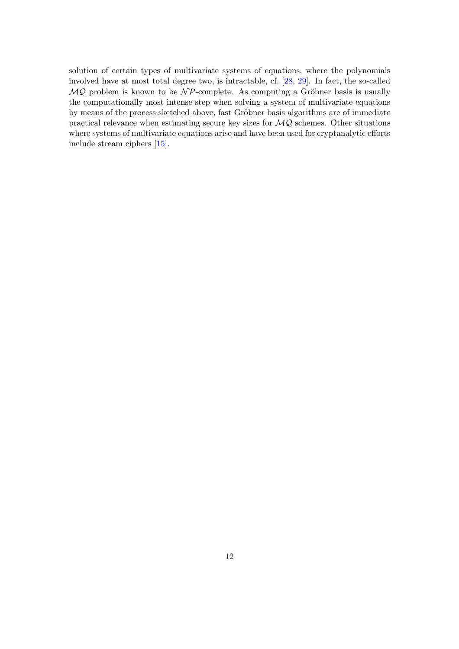solution of certain types of multivariate systems of equations, where the polynomials involved have at most total degree two, is intractable, cf. [28, 29]. In fact, the so-called  $MQ$  problem is known to be  $\mathcal{NP}$ -complete. As computing a Gröbner basis is usually the computationally most intense step when solving a system of multivariate equations by means of the process sketched above, fast Gröbner basis algorithms are of immediate practical relevance when estimating secure key sizes for  $MQ$  [sche](#page-53-0)mes. Other situations where systems of multivariate equations arise and have been used for cryptanalytic efforts include stream ciphers [15].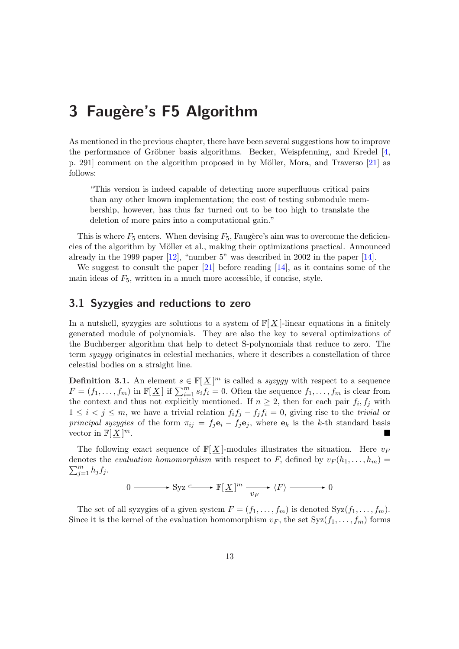# <span id="page-14-0"></span>3 Faugère's F5 Algorithm

As mentioned in the previous chapter, there have been several suggestions how to improve the performance of Gröbner basis algorithms. Becker, Weispfenning, and Kredel  $[4,$ p. 291] comment on the algorithm proposed in by Möller, Mora, and Traverso  $[21]$  as follows:

"This version is indeed capable of detecting more superfluous critical pairs than any other known implementation; the cost of testing submodule membership, however, has thus far turned out to be too high to translate the deletion of more pairs into a computational gain."

This is where  $F_5$  enters. When devising  $F_5$ , Faugère's aim was to overcome the deficiencies of the algorithm by Möller et al., making their optimizations practical. Announced already in the 1999 paper  $[12]$ , "number 5" was described in 2002 in the paper  $[14]$ .

We suggest to consult the paper  $[21]$  before reading  $[14]$ , as it contains some of the main ideas of  $F_5$ , written in a much more accessible, if concise, style.

# 3.1 Syzygies and r[edu](#page-52-0)ctio[ns](#page-52-0) to zero

In a nutshell, syzygies are solutions to a system of  $\mathbb{F}[X]$ -linear equations in a finitely generated module of polynomials. They are also the key to several optimizations of the Buchberger algorithm that help to detect S-polynomials that reduce to zero. The term *syzygy* originates in celestial mechanics, where it describes a constellation of three celestial bodies on a straight line.

**Definition 3.1.** An element  $s \in \mathbb{F}[\underline{X}]^m$  is called a syzygy with respect to a sequence **Definition 3.1.** An element  $s \in \mathbb{F}[\Delta]$  is called a *syzygy* with respect to a sequence  $f_1, \ldots, f_m$  is clear from  $F = (f_1, \ldots, f_m)$  in  $\mathbb{F}[\underline{X}]$  if  $\sum_{i=1}^m s_i f_i = 0$ . Often the sequence  $f_1, \ldots, f_m$  is clear from the context and thus not explicitly mentioned. If  $n \geq 2$ , then for each pair  $f_i, f_j$  with  $1 \leq i < j \leq m$ , we have a trivial relation  $f_i f_j - f_j f_i = 0$ , giving rise to the trivial or *principal syzygies* of the form  $\pi_{ij} = f_j \mathbf{e}_i - f_j \mathbf{e}_j$ , where  $\mathbf{e}_k$  is the k-th standard basis vector in  $\mathbb{F}[X]^m$ .  $m$ .

The following exact sequence of  $\mathbb{F}[X]$ -modules illustrates the situation. Here  $v_F$ denotes the *evaluation homomorphism* with respect to F, defined by  $v_F(h_1, \ldots, h_m) = \sum_{i=1}^m v_i$  $\sum_{j=1}^m h_j f_j$ .

$$
0 \longrightarrow \text{Syz} \longrightarrow \mathbb{F}[\underline{X}]^m \xrightarrow[v_F]{} \langle F \rangle \longrightarrow 0
$$

The set of all syzygies of a given system  $F = (f_1, \ldots, f_m)$  is denoted  $Syz(f_1, \ldots, f_m)$ . Since it is the kernel of the evaluation homomorphism  $v_F$ , the set  $Syz(f_1, \ldots, f_m)$  forms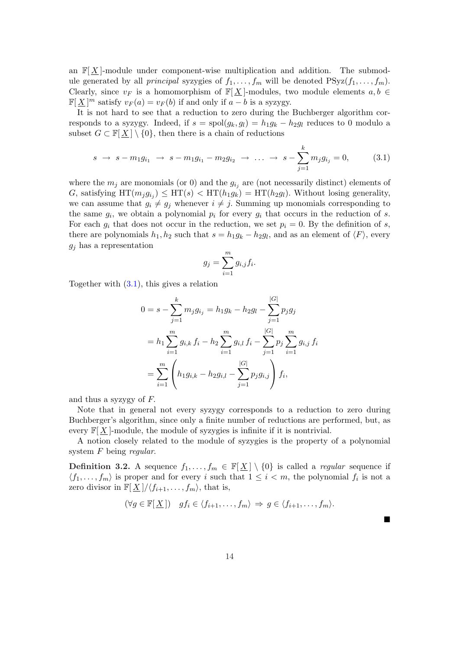an  $\mathbb{F}[X]$ -module under component-wise multiplication and addition. The submodule generated by all *principal* syzygies of  $f_1, \ldots, f_m$  will be denoted  $PSyz(f_1, \ldots, f_m)$ . Clearly, since  $v_F$  is a homomorphism of  $\mathbb{F}[\underline{X}]$ -modules, two module elements  $a, b \in$  $\mathbb{F}[\underline{X}]^m$  satisfy  $v_F(a) = v_F(b)$  if and only if  $a - b$  is a syzygy.

It is not hard to see that a reduction to zero during the Buchberger algorithm corresponds to a syzygy. Indeed, if  $s = spol(g_k, g_l) = h_1g_k - h_2g_l$  reduces to 0 modulo a subset  $G \subset \mathbb{F}[\underline{X}] \setminus \{0\}$ , then there is a chain of reductions

$$
s \to s - m_1 g_{i_1} \to s - m_1 g_{i_1} - m_2 g_{i_2} \to \dots \to s - \sum_{j=1}^k m_j g_{i_j} = 0, \qquad (3.1)
$$

where the  $m_j$  are monomials (or 0) and the  $g_{i_j}$  are (not necessarily distinct) elements of G, satisfying  $HT(m_jg_{i_j}) \le HT(s) < HT(h_1g_k) = HT(h_2g_l)$ . Without losing generality, we can assume that  $g_i \neq g_j$  whenever  $i \neq j$ . Summing up monomials corresponding to the same  $g_i$ , we obtain a polynomial  $p_i$  for every  $g_i$  that occurs in the reduction of s. For each  $g_i$  that does not occur in the reduction, we set  $p_i = 0$ . By the definition of s, there are polynomials  $h_1, h_2$  such that  $s = h_1 g_k - h_2 g_l$ , and as an element of  $\langle F \rangle$ , every  $g_j$  has a representation

$$
g_j = \sum_{i=1}^m g_{i,j} f_i.
$$

Together with  $(3.1)$ , this gives a relation

$$
0 = s - \sum_{j=1}^{k} m_j g_{i_j} = h_1 g_k - h_2 g_l - \sum_{j=1}^{|G|} p_j g_j
$$
  
=  $h_1 \sum_{i=1}^{m} g_{i,k} f_i - h_2 \sum_{i=1}^{m} g_{i,l} f_i - \sum_{j=1}^{|G|} p_j \sum_{i=1}^{m} g_{i,j} f_i$   
=  $\sum_{i=1}^{m} \left( h_1 g_{i,k} - h_2 g_{i,l} - \sum_{j=1}^{|G|} p_j g_{i,j} \right) f_i,$ 

and thus a syzygy of F.

Note that in general not every syzygy corresponds to a reduction to zero during Buchberger's algorithm, since only a finite number of reductions are performed, but, as every  $\mathbb{F}[X]$ -module, the module of syzygies is infinite if it is nontrivial.

A notion closely related to the module of syzygies is the property of a polynomial system F being regular.

**Definition 3.2.** A sequence  $f_1, \ldots, f_m \in \mathbb{F}[\underline{X}] \setminus \{0\}$  is called a *regular* sequence if  $\langle f_1, \ldots, f_m \rangle$  is proper and for every i such that  $1 \leq i < m$ , the polynomial  $f_i$  is not a zero divisor in  $\mathbb{F}[\underline{X}]/\langle f_{i+1}, \ldots, f_m \rangle$ , that is,

$$
(\forall g \in \mathbb{F}[\underline{X}]) \quad gf_i \in \langle f_{i+1}, \dots, f_m \rangle \Rightarrow g \in \langle f_{i+1}, \dots, f_m \rangle.
$$

 $\blacksquare$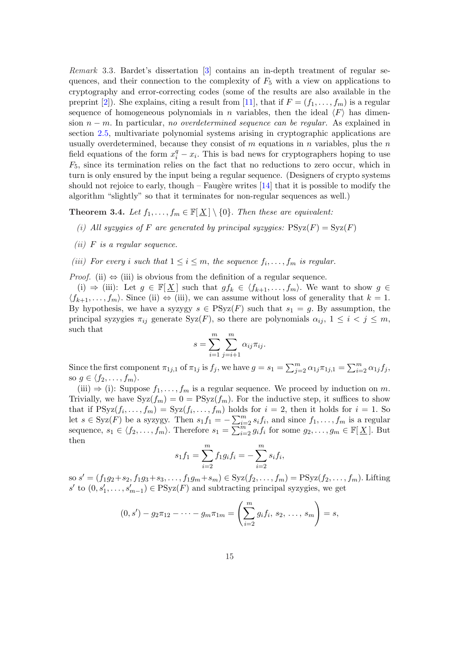<span id="page-16-0"></span>Remark 3.3. Bardet's dissertation [3] contains an in-depth treatment of regular sequences, and their connection to the complexity of  $F_5$  with a view on applications to cryptography and error-correcting codes (some of the results are also available in the preprint [2]). She explains, citing a result from [11], that if  $F = (f_1, \ldots, f_m)$  is a regular sequence of homogeneous polynomi[als](#page-51-0) in *n* variables, then the ideal  $\langle F \rangle$  has dimension  $n - m$ . In particular, no overdetermined sequence can be regular. As explained in section 2.5, multivariate polynomial systems arising in cryptographic applications are usually o[ve](#page-51-0)rdeter[m](#page-52-0)ined, because they consist of  $m$  equations in  $n$  variables, plus the  $n$ field equations of the form  $x_i^q - x_i$ . This is bad news for cryptographers hoping to use  $F_5$ , since its termination relies on the fact that no reductions to zero occur, which in turn is [only](#page-11-0) ensured by the input being a regular sequence. (Designers of crypto systems should not rejoice to early, though – Faugère writes  $[14]$  that it is possible to modify the algorithm "slightly" so that it terminates for non-regular sequences as well.)

**Theorem 3.4.** Let  $f_1, \ldots, f_m \in \mathbb{F}[\underline{X}] \setminus \{0\}$ . Then these are equivalent:

- (i) All sy[zyg](#page-52-0)ies of F are generated by principal syzygies:  $PSyz(F) = Syz(F)$
- $(ii)$  F is a regular sequence.
- (iii) For every i such that  $1 \leq i \leq m$ , the sequence  $f_i, \ldots, f_m$  is regular.

*Proof.* (ii)  $\Leftrightarrow$  (iii) is obvious from the definition of a regular sequence.

(i)  $\Rightarrow$  (iii): Let  $g \in \mathbb{F}[\underline{X}]$  such that  $gf_k \in \langle f_{k+1}, \ldots, f_m \rangle$ . We want to show  $g \in \mathbb{F}[\underline{X}]$  $\langle f_{k+1}, \ldots, f_m \rangle$ . Since (ii)  $\Leftrightarrow$  (iii), we can assume without loss of generality that  $k = 1$ . By hypothesis, we have a syzygy  $s \in \text{PSyz}(F)$  such that  $s_1 = g$ . By assumption, the principal syzygies  $\pi_{ij}$  generate  $Syz(F)$ , so there are polynomials  $\alpha_{ij}$ ,  $1 \leq i \leq j \leq m$ , such that

$$
s = \sum_{i=1}^{m} \sum_{j=i+1}^{m} \alpha_{ij} \pi_{ij}.
$$

Since the first component  $\pi_{1j,1}$  of  $\pi_{1j}$  is  $f_j$ , we have  $g = s_1 = \sum_{j=1}^m$  $_{j=2}^m$   $\alpha_{1j}\pi_{1j,1}=$  $\bigtriangledown$ m  $\sum_{i=2}^{m} \alpha_{1j} f_j$ so  $g \in \langle f_2, \ldots, f_m \rangle$ .

(iii)  $\Rightarrow$  (i): Suppose  $f_1, \ldots, f_m$  is a regular sequence. We proceed by induction on m. Trivially, we have  $Syz(f_m) = 0 = PSyz(f_m)$ . For the inductive step, it suffices to show that if  $PSyz(f_i, \ldots, f_m) = Syz(f_i, \ldots, f_m)$  holds for  $i = 2$ , then it holds for  $i = 1$ . So let  $s \in SyZ(j_i, \ldots, j_m) = SyZ(j_i, \ldots, j_m)$  holds<br>let  $s \in SyZ(F)$  be a syzygy. Then  $s_1f_1 = -\sum_{i=1}^m$  $_{i=2}^{m} s_i f_i$ , and since  $f_1, \ldots, f_m$  is a regular sequence,  $s_1 \in \langle f_2, \ldots, f_m \rangle$ . Therefore  $s_1 = \sum_{i=1}^{m}$  $_{i=2}^{m} g_i f_i$  for some  $g_2, \ldots, g_m \in \mathbb{F}[\underline{X}]$ . But then

$$
s_1 f_1 = \sum_{i=2}^{m} f_1 g_i f_i = -\sum_{i=2}^{m} s_i f_i,
$$

so  $s' = (f_1g_2 + s_2, f_1g_3 + s_3, \dots, f_1g_m + s_m) \in Syz(f_2, \dots, f_m) = \text{PSyz}(f_2, \dots, f_m)$ . Lifting  $s'$  to  $(0, s'_1, \ldots, s'_{m-1}) \in \text{PSyz}(F)$  and subtracting principal syzygies, we get

$$
(0,s') - g_2 \pi_{12} - \cdots - g_m \pi_{1m} = \left(\sum_{i=2}^m g_i f_i, s_2, \ldots, s_m\right) = s,
$$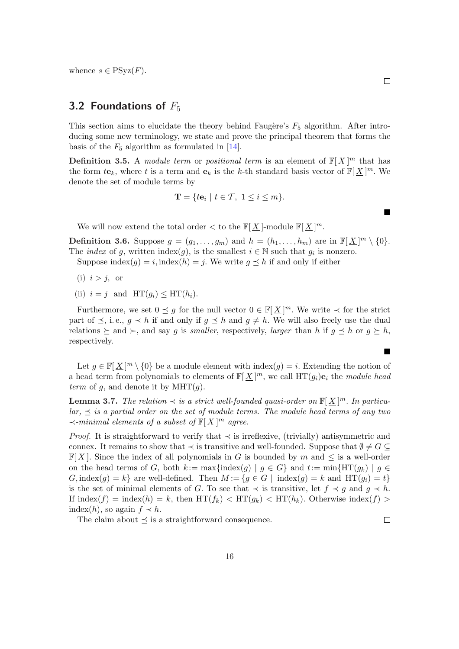# <span id="page-17-0"></span>3.2 Foundations of  $F_5$

This section aims to elucidate the theory behind Faugère's  $F_5$  algorithm. After introducing some new terminology, we state and prove the principal theorem that forms the basis of the  $F_5$  algorithm as formulated in [14].

**Definition 3.5.** A module term or positional term is an element of  $\mathbb{F}[\underline{X}]^m$  that has the form  $te_k$ , where t is a term and  $e_k$  is the k-th standard basis vector of  $\mathbb{F}[\underline{X}]^m$ . We denote the set of module terms by

$$
\mathbf{T} = \{ t\mathbf{e}_i \mid t \in \mathcal{T}, \ 1 \le i \le m \}.
$$

We will now extend the total order  $\lt$  to the  $\mathbb{F}[\underline{X}]$ -module  $\mathbb{F}[\underline{X}]^m$ .

**Definition 3.6.** Suppose  $g = (g_1, \ldots, g_m)$  and  $h = (h_1, \ldots, h_m)$  are in  $\mathbb{F}[\underline{X}]^m \setminus \{0\}.$ The *index* of g, written index $(g)$ , is the smallest  $i \in \mathbb{N}$  such that  $g_i$  is nonzero. Suppose index $(g) = i$ , index $(h) = j$ . We write  $g \preceq h$  if and only if either

- (i)  $i > j$ , or
- (ii)  $i = j$  and  $HT(q_i) \le HT(h_i)$ .

Furthermore, we set  $0 \leq g$  for the null vector  $0 \in \mathbb{F}[\underline{X}]^m$ . We write  $\prec$  for the strict part of  $\preceq$ , i.e.,  $g \prec h$  if and only if  $g \preceq h$  and  $g \neq h$ . We will also freely use the dual relations  $\succeq$  and  $\succ$ , and say g is smaller, respectively, larger than h if  $g \preceq h$  or  $g \succeq h$ , respectively.

Let  $g \in \mathbb{F}[\underline{X}]^m \setminus \{0\}$  be a module element with  $\text{index}(g) = i$ . Extending the notion of a head term from polynomials to elements of  $\mathbb{F}[\underline{X}]^m$ , we call  $\text{HT}(g_i)\mathbf{e}_i$  the module head *term* of g, and denote it by  $MHT(g)$ .

**Lemma 3.7.** The relation  $\prec$  is a strict well-founded quasi-order on  $\mathbb{F}[\underline{X}]^m$ . In particu $lar, \leq is a partial order on the set of module terms. The module head terms of any two$  $\prec$ -minimal elements of a subset of  $\mathbb{F}[\underline{X}]^m$  agree.

*Proof.* It is straightforward to verify that  $\prec$  is irreflexive, (trivially) antisymmetric and connex. It remains to show that  $\prec$  is transitive and well-founded. Suppose that  $\emptyset \neq G \subseteq$  $\mathbb{F}[X]$ . Since the index of all polynomials in G is bounded by m and  $\leq$  is a well-order on the head terms of G, both  $k := \max\{\text{index}(g) \mid g \in G\}$  and  $t := \min\{\text{HT}(g_k) \mid g \in G\}$ G, index $(g) = k$  are well-defined. Then  $M := \{ g \in G \mid \text{index}(g) = k \text{ and } HT(g_i) = t \}$ is the set of minimal elements of G. To see that  $\prec$  is transitive, let  $f \prec g$  and  $g \prec h$ . If  $\text{index}(f) = \text{index}(h) = k$ , then  $\text{HT}(f_k) < \text{HT}(g_k) < \text{HT}(h_k)$ . Otherwise  $\text{index}(f) >$ index(h), so again  $f \prec h$ .

16

The claim about  $\preceq$  is a straightforward consequence.

 $\blacksquare$ 

 $\blacksquare$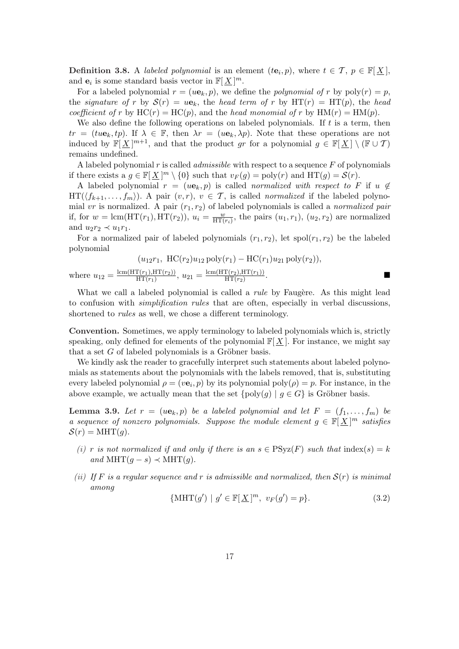<span id="page-18-0"></span>**Definition 3.8.** A labeled polynomial is an element  $(t\mathbf{e}_i, p)$ , where  $t \in \mathcal{T}$ ,  $p \in \mathbb{F}[\underline{X}]$ , and  $e_i$  is some standard basis vector in  $\mathbb{F}[\underline{X}]^m$ .

For a labeled polynomial  $r = (u\mathbf{e}_k, p)$ , we define the *polynomial of* r by  $poly(r) = p$ , the signature of r by  $S(r) = ue_k$ , the head term of r by  $HT(r) = HT(p)$ , the head coefficient of r by  $HC(r) = HC(p)$ , and the head monomial of r by  $HM(r) = HM(p)$ .

We also define the following operations on labeled polynomials. If  $t$  is a term, then  $tr = (tue_k, tp)$ . If  $\lambda \in \mathbb{F}$ , then  $\lambda r = (ue_k, \lambda p)$ . Note that these operations are not induced by  $\mathbb{F}[\underline{X}]^{m+1}$ , and that the product gr for a polynomial  $g \in \mathbb{F}[\underline{X}] \setminus (\mathbb{F} \cup \mathcal{T})$ remains undefined.

A labeled polynomial r is called *admissible* with respect to a sequence  $F$  of polynomials if there exists a  $g \in \mathbb{F}[\underline{X}]^m \setminus \{0\}$  such that  $v_F(g) = \text{poly}(r)$  and  $HT(g) = \mathcal{S}(r)$ .

A labeled polynomial  $r = (u\mathbf{e}_k, p)$  is called normalized with respect to F if  $u \notin$  $HT(\langle f_{k+1}, \ldots, f_m \rangle)$ . A pair  $(v, r), v \in \mathcal{T}$ , is called normalized if the labeled polynomial vr is normalized. A pair  $(r_1, r_2)$  of labeled polynomials is called a normalized pair if, for  $w = \text{lcm}(\text{HT}(r_1), \text{HT}(r_2)), u_i = \frac{w}{\text{HT}(r_1)}$  $\frac{w}{\text{HT}(r_i)}$ , the pairs  $(u_1, r_1)$ ,  $(u_2, r_2)$  are normalized and  $u_2r_2 \prec u_1r_1$ .

For a normalized pair of labeled polynomials  $(r_1, r_2)$ , let  $\text{spol}(r_1, r_2)$  be the labeled polynomial

$$
(u_{12}r_1, \text{ HC}(r_2)u_{12} \text{ poly}(r_1) - \text{HC}(r_1)u_{21} \text{ poly}(r_2)),
$$

where 
$$
u_{12} = \frac{\text{lcm}(HT(r_1), HT(r_2))}{HT(r_1)}, u_{21} = \frac{\text{lcm}(HT(r_2), HT(r_1))}{HT(r_2)}.
$$

What we call a labeled polynomial is called a *rule* by Faugère. As this might lead to confusion with simplification rules that are often, especially in verbal discussions, shortened to *rules* as well, we chose a different terminology.

Convention. Sometimes, we apply terminology to labeled polynomials which is, strictly speaking, only defined for elements of the polynomial  $\mathbb{F}[X]$ . For instance, we might say that a set  $G$  of labeled polynomials is a Gröbner basis.

We kindly ask the reader to gracefully interpret such statements about labeled polynomials as statements about the polynomials with the labels removed, that is, substituting every labeled polynomial  $\rho = (v \mathbf{e}_i, p)$  by its polynomial  $\text{poly}(\rho) = p$ . For instance, in the above example, we actually mean that the set  $\{poly(g) | g \in G\}$  is Gröbner basis.

**Lemma 3.9.** Let  $r = (u\mathbf{e}_k, p)$  be a labeled polynomial and let  $F = (f_1, \ldots, f_m)$  be a sequence of nonzero polynomials. Suppose the module element  $g \in \mathbb{F}[\underline{X}]^m$  satisfies  $\mathcal{S}(r) = \text{MHT}(q).$ 

- (i) r is not normalized if and only if there is an  $s \in \text{PSyz}(F)$  such that  $\text{index}(s) = k$ and MHT $(g - s) \prec \text{MHT}(g)$ .
- (ii) If F is a regular sequence and r is admissible and normalized, then  $S(r)$  is minimal among

$$
\{ \text{MHT}(g') \mid g' \in \mathbb{F}[\underline{X}]^m, \ v_F(g') = p \}. \tag{3.2}
$$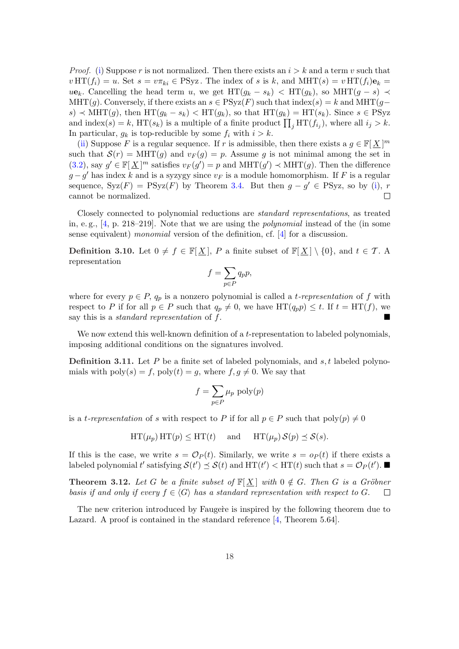<span id="page-19-0"></span>*Proof.* (i) Suppose r is not normalized. Then there exists an  $i > k$  and a term v such that  $v \operatorname{HT}(f_i) = u$ . Set  $s = v \pi_{ki} \in \operatorname{PSyz}$ . The index of s is k, and  $\operatorname{MHT}(s) = v \operatorname{HT}(f_i) \mathbf{e}_k = v$ ue<sub>k</sub>. Cancelling the head term u, we get  $HT(g_k - s_k) < HT(g_k)$ , so  $MHT(g - s) \prec$ MHT(g). Conversely, if there exists an  $s \in \text{PSyz}(F)$  such that index( $s$ ) = k and MHT(g- $s) \prec \text{MHT}(g)$  $s) \prec \text{MHT}(g)$  $s) \prec \text{MHT}(g)$ , then  $\text{HT}(g_k - s_k) \prec \text{HT}(g_k)$ , so that  $\text{HT}(g_k) = \text{HT}(s_k)$ . Since  $s \in \text{PSyz}$ and index(s) = k, HT(s<sub>k</sub>) is a multiple of a finite product  $\prod_j \text{HT}(f_{i_j})$ , where all  $i_j > k$ . In particular,  $g_k$  is top-reducible by some  $f_i$  with  $i > k$ .

(ii) Suppose F is a regular sequence. If r is admissible, then there exists a  $g \in \mathbb{F}[\underline{X}]^m$ such that  $S(r) = \text{MHT}(g)$  and  $v_F(g) = p$ . Assume g is not minimal among the set in (3.2), say  $g' \in \mathbb{F}[\underline{X}]^m$  satisfies  $v_F(g') = p$  and  $\text{MHT}(g') \prec \text{MHT}(g)$ . Then the difference  $g - g'$  has index k and is a syzygy since  $v_F$  is a module homomorphism. If F is a regular se[que](#page-18-0)nce,  $Syz(F) = PSyz(F)$  by Theorem 3.4. But then  $g - g' \in PSyz$ , so by (i), r [cann](#page-18-0)ot be normalized.  $\Box$ 

Closely connected to polynomial reductions are standard representations, as treated in, e.g.,  $[4, p. 218-219]$ . Note that we are u[sing](#page-16-0) the *polynomial* instead of the (in [so](#page-18-0)me sense equivalent) monomial version of the definition, cf. [4] for a discussion.

**Definition 3.10.** Let  $0 \neq f \in \mathbb{F}[X]$ , P a finite subset of  $\mathbb{F}[X] \setminus \{0\}$ , and  $t \in \mathcal{T}$ . A represen[tat](#page-51-0)ion  $\overline{\phantom{a}}$ 

$$
f = \sum_{p \in P} q_p p,
$$

where for every  $p \in P$ ,  $q_p$  is a nonzero polynomial is called a *t*-representation of f with respect to P if for all  $p \in P$  such that  $q_p \neq 0$ , we have  $HT(q_p p) \leq t$ . If  $t = HT(f)$ , we say this is a *standard representation* of  $f$ .

We now extend this well-known definition of a *t*-representation to labeled polynomials, imposing additional conditions on the signatures involved.

**Definition 3.11.** Let P be a finite set of labeled polynomials, and s, t labeled polynomials with  $\text{poly}(s) = f$ ,  $\text{poly}(t) = g$ , where  $f, g \neq 0$ . We say that

$$
f = \sum_{p \in P} \mu_p \text{ poly}(p)
$$

is a t-representation of s with respect to P if for all  $p \in P$  such that  $\text{poly}(p) \neq 0$ 

 $HT(\mu_n) HT(p) \le HT(t)$  and  $HT(\mu_n) S(p) \preceq S(s)$ .

If this is the case, we write  $s = \mathcal{O}_P(t)$ . Similarly, we write  $s = o_P(t)$  if there exists a labeled polynomial t' satisfying  $\mathcal{S}(t') \preceq \mathcal{S}(t)$  and  $HT(t') < HT(t)$  such that  $s = \mathcal{O}_P(t')$ .

**Theorem 3.12.** Let G be a finite subset of  $\mathbb{F}[X]$  with  $0 \notin G$ . Then G is a Gröbner basis if and only if every  $f \in \langle G \rangle$  has a standard representation with respect to G.  $\Box$ 

The new criterion introduced by Faugere is inspired by the following theorem due to Lazard. A proof is contained in the standard reference [4, Theorem 5.64].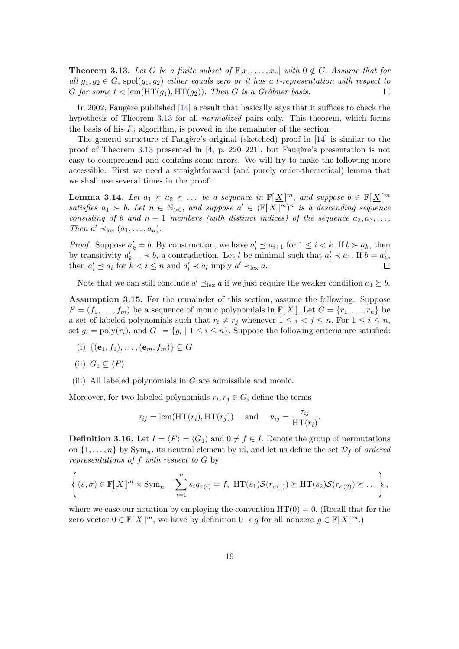<span id="page-20-0"></span>**Theorem 3.13.** Let G be a finite subset of  $\mathbb{F}[x_1, \ldots, x_n]$  with  $0 \notin G$ . Assume that for all  $g_1, g_2 \in G$ , spol $(g_1, g_2)$  either equals zero or it has a t-representation with respect to G for some  $t < \text{lcm}(\text{HT}(g_1), \text{HT}(g_2))$ . Then G is a Gröbner basis.  $\Box$ 

In 2002, Faugère published  $[14]$  a result that basically says that it suffices to check the hypothesis of Theorem 3.13 for all normalized pairs only. This theorem, which forms the basis of his  $F_5$  algorithm, is proved in the remainder of the section.

The general structure of Faugère's original (sketched) proof in  $[14]$  is similar to the proof of Theorem 3.13 prese[nted](#page-52-0) in  $[4, p. 220-221]$ , but Faugère's presentation is not easy to comprehend an[d con](#page-19-0)tains some errors. We will try to make the following more accessible. First we need a straightforward (and purely order-the[oret](#page-52-0)ical) lemma that we shall use sever[al tim](#page-19-0)es in the proo[f.](#page-51-0)

**Lemma 3.14.** Let  $a_1 \succeq a_2 \succeq ...$  be a sequence in  $\mathbb{F}[\underline{X}]^m$ , and suppose  $b \in \mathbb{F}[\underline{X}]^m$ satisfies  $a_1 \succ b$ . Let  $n \in \mathbb{N}_{>0}$ , and suppose  $a' \in (\mathbb{F}[\underline{X}]^m)^n$  is a descending sequence consisting of b and  $n-1$  members (with distinct indices) of the sequence  $a_2, a_3, \ldots$ Then  $a' \prec_{\text{lex}} (a_1, \ldots, a_n)$ .

*Proof.* Suppose  $a'_k = b$ . By construction, we have  $a'_i \preceq a_{i+1}$  for  $1 \leq i \leq k$ . If  $b \succ a_k$ , then by transitivity  $a'_{k-1} \prec b$ , a contradiction. Let l be minimal such that  $a'_{l} \prec a_{1}$ . If  $b = a'_{k}$ , then  $a'_i \preceq a_i$  for  $k < i \leq n$  and  $a'_l \prec a_l$  imply  $a' \prec_{\text{lex}} a$ .  $\Box$ 

Note that we can still conclude  $a' \preceq_{\text{lex}} a$  if we just require the weaker condition  $a_1 \succeq b$ .

Assumption 3.15. For the remainder of this section, assume the following. Suppose  $F = (f_1, \ldots, f_m)$  be a sequence of monic polynomials in  $\mathbb{F}[X]$ . Let  $G = \{r_1, \ldots, r_n\}$  be a set of labeled polynomials such that  $r_i \neq r_j$  whenever  $1 \leq i \leq j \leq n$ . For  $1 \leq i \leq n$ , set  $g_i = \text{poly}(r_i)$ , and  $G_1 = \{g_i \mid 1 \leq i \leq n\}$ . Suppose the following criteria are satisfied:

(i)  $\{({\bf e}_1, f_1), \ldots, ({\bf e}_m, f_m)\} \subseteq G$ 

(ii) 
$$
G_1 \subseteq \langle F \rangle
$$

(iii) All labeled polynomials in  $G$  are admissible and monic.

Moreover, for two labeled polynomials  $r_i, r_j \in G$ , define the terms

$$
\tau_{ij} = \text{lcm}(\text{HT}(r_i), \text{HT}(r_j)) \quad \text{and} \quad u_{ij} = \frac{\tau_{ij}}{\text{HT}(r_i)}
$$

.

**Definition 3.16.** Let  $I = \langle F \rangle = \langle G_1 \rangle$  and  $0 \neq f \in I$ . Denote the group of permutations on  $\{1, \ldots, n\}$  by  $Sym_n$ , its neutral element by id, and let us define the set  $\mathcal{D}_f$  of *ordered* representations of f with respect to G by

$$
\left\{(s,\sigma)\in\mathbb{F}[\underline{X}]^m\times\mathrm{Sym}_n\,\mid\,\sum_{i=1}^n s_ig_{\sigma(i)}=f,\ \mathrm{HT}(s_1)\mathcal{S}(r_{\sigma(1)})\succeq\mathrm{HT}(s_2)\mathcal{S}(r_{\sigma(2)})\succeq\ldots\right\},\right\}
$$

where we ease our notation by employing the convention  $HT(0) = 0$ . (Recall that for the zero vector  $0 \in \mathbb{F}[\underline{X}]^m$ , we have by definition  $0 \prec g$  for all nonzero  $g \in \mathbb{F}[\underline{X}]^m$ .)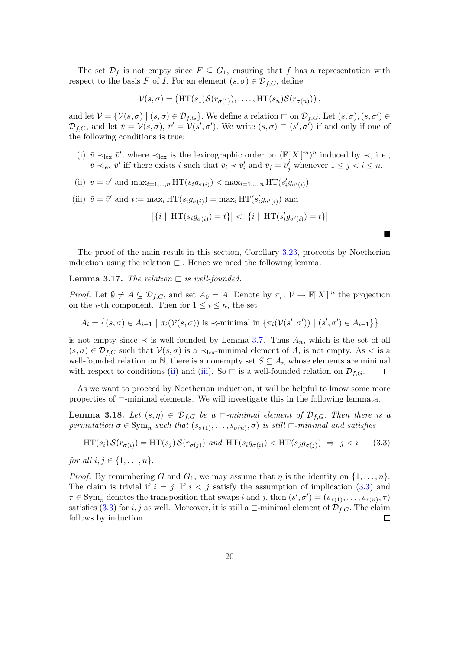<span id="page-21-0"></span>The set  $\mathcal{D}_f$  is not empty since  $F \subseteq G_1$ , ensuring that f has a representation with respect to the basis F of I. For an element  $(s, \sigma) \in \mathcal{D}_{f,G}$ , define

$$
\mathcal{V}(s,\sigma) = \big(\mathrm{HT}(s_1)\mathcal{S}(r_{\sigma(1)}),\ldots,\mathrm{HT}(s_n)\mathcal{S}(r_{\sigma(n)})\big)\,,
$$

and let  $\mathcal{V} = \{ \mathcal{V}(s, \sigma) \mid (s, \sigma) \in \mathcal{D}_{f, G} \}$ . We define a relation  $\Box$  on  $\mathcal{D}_{f, G}$ . Let  $(s, \sigma), (s, \sigma') \in$  $\mathcal{D}_{f,G}$ , and let  $\bar{v} = \mathcal{V}(s, \sigma)$ ,  $\bar{v}' = \mathcal{V}(s', \sigma')$ . We write  $(s, \sigma) \sqsubset (s', \sigma')$  if and only if one of the following conditions is true:

- (i)  $\bar{v} \prec_{\text{lex}} \bar{v}'$ , where  $\prec_{\text{lex}}$  is the lexicographic order on  $(\mathbb{F}[\underline{X}]^m)^n$  induced by  $\prec$ , i.e.,  $\overline{v} \prec_{\text{lex}} \overline{v}'$  iff there exists i such that  $\overline{v}_i \prec \overline{v}'_i$  and  $\overline{v}_j = \overline{v}'_j$  whenever  $1 \leq j < i \leq n$ .
- (ii)  $\bar{v} = \bar{v}'$  and  $\max_{i=1,\dots,n} \text{HT}(s_i g_{\sigma(i)}) < \max_{i=1,\dots,n} \text{HT}(s'_i g_{\sigma'(i)})$
- (iii)  $\bar{v} = \bar{v}'$  and  $t := \max_i \text{HT}(s_i g_{\sigma(i)}) = \max_i \text{HT}(s'_i g_{\sigma'(i)})$  and

$$
|\{i \mid HT(s_i g_{\sigma(i)}) = t\}| < |\{i \mid HT(s'_i g_{\sigma'(i)}) = t\}|
$$

¥

The proof of the main result in this section, Corollary 3.23, proceeds by Noetherian induction using the relation  $\Gamma$ . Hence we need the following lemma.

**Lemma 3.17.** The relation  $\Box$  is well-founded.

*Proof.* Let  $\emptyset \neq A \subseteq \mathcal{D}_{f,G}$ , and set  $A_0 = A$ . Denote by  $\pi_i: \mathcal{V} \to \mathbb{F}[\underline{X}]^m$  the projection on the *i*-th component. Then for  $1 \leq i \leq n$ , the set

$$
A_i = \{ (s, \sigma) \in A_{i-1} \mid \pi_i(\mathcal{V}(s, \sigma)) \text{ is } \prec \text{minimal in } \{ \pi_i(\mathcal{V}(s', \sigma')) \mid (s', \sigma') \in A_{i-1} \} \}
$$

is not empty since  $\prec$  is well-founded by Lemma 3.7. Thus  $A_n$ , which is the set of all  $(s, \sigma) \in \mathcal{D}_{f,G}$  such that  $\mathcal{V}(s, \sigma)$  is a  $\prec_{\text{lex}}$ -minimal element of A, is not empty. As  $\lt$  is a well-founded relation on N, there is a nonempty set  $S \subseteq A_n$  whose elements are minimal with respect to conditions (ii) and (iii). So  $\sqsubset$  is a [wel](#page-17-0)l-founded relation on  $\mathcal{D}_{f,G}$ .  $\Box$ 

As we want to proceed by Noetherian induction, it will be helpful to know some more properties of  $\sqsubset$ -minimal elements. We will investigate this in the following lemmata.

**Lemma 3.18.** Let  $(s, \eta) \in \mathcal{D}_{f,G}$  be a  $\Box$ -minimal element of  $\mathcal{D}_{f,G}$ . Then there is a permutation  $\sigma \in \text{Sym}_n$  such that  $(s_{\sigma(1)}, \ldots, s_{\sigma(n)}, \sigma)$  is still  $\sqsubset$ -minimal and satisfies

$$
\text{HT}(s_i) \mathcal{S}(r_{\sigma(i)}) = \text{HT}(s_j) \mathcal{S}(r_{\sigma(j)}) \text{ and } \text{HT}(s_i g_{\sigma(i)}) < \text{HT}(s_j g_{\sigma(j)}) \Rightarrow j < i \tag{3.3}
$$

for all  $i, j \in \{1, ..., n\}$ .

*Proof.* By renumbering G and  $G_1$ , we may assume that  $\eta$  is the identity on  $\{1, \ldots, n\}$ . The claim is trivial if  $i = j$ . If  $i < j$  satisfy the assumption of implication (3.3) and  $\tau \in \text{Sym}_n$  denotes the transposition that swaps i and j, then  $(s', \sigma') = (s_{\tau(1)}, \ldots, s_{\tau(n)}, \tau)$ satisfies (3.3) for i, j as well. Moreover, it is still a  $\Box$ -minimal element of  $\mathcal{D}_{f,G}$ . The claim follows by induction.  $\Box$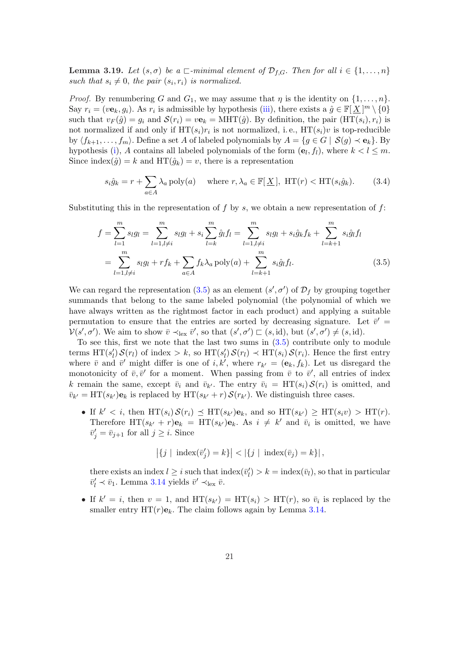<span id="page-22-0"></span>**Lemma 3.19.** Let  $(s, \sigma)$  be a  $\sqsubset$ -minimal element of  $\mathcal{D}_{f,G}$ . Then for all  $i \in \{1, \ldots, n\}$ such that  $s_i \neq 0$ , the pair  $(s_i, r_i)$  is normalized.

*Proof.* By renumbering G and  $G_1$ , we may assume that  $\eta$  is the identity on  $\{1, \ldots, n\}$ . Say  $r_i = (v \mathbf{e}_k, g_i)$ . As  $r_i$  is admissible by hypothesis (iii), there exists a  $\hat{g} \in \mathbb{F}[\underline{X}]^m \setminus \{0\}$ such that  $v_F(\hat{g}) = g_i$  and  $\mathcal{S}(r_i) = v_{\mathbf{e}_k} = \text{MHT}(\hat{g})$ . By definition, the pair  $(\text{HT}(s_i), r_i)$  is not normalized if and only if  $HT(s_i)r_i$  is not normalized, i.e.,  $HT(s_i)v$  is top-reducible by  $\langle f_{k+1}, \ldots, f_m \rangle$ . Define a set A of labeled polynomials by  $A = \{g \in G \mid \mathcal{S}(g) \prec \mathbf{e}_k\}$ . By hypothesis (i), A contains all labeled polynomials of [th](#page-20-0)e form  $(e_l, f_l)$ , where  $k < l \leq m$ . Since index $(\hat{g}) = k$  and  $HT(\hat{g}_k) = v$ , there is a representation

$$
s_i \hat{g}_k = r + \sum_{a \in A} \lambda_a \operatorname{poly}(a) \quad \text{where } r, \lambda_a \in \mathbb{F}[\underline{X}], \text{ HT}(r) < \text{HT}(s_i \hat{g}_k). \tag{3.4}
$$

Substituting this in the representation of  $f$  by  $s$ , we obtain a new representation of  $f$ :

$$
f = \sum_{l=1}^{m} s_l g_l = \sum_{l=1, l \neq i}^{m} s_l g_l + s_i \sum_{l=k}^{m} \hat{g}_l f_l = \sum_{l=1, l \neq i}^{m} s_l g_l + s_i \hat{g}_k f_k + \sum_{l=k+1}^{m} s_i \hat{g}_l f_l
$$
  
= 
$$
\sum_{l=1, l \neq i}^{m} s_l g_l + r f_k + \sum_{a \in A} f_k \lambda_a \text{poly}(a) + \sum_{l=k+1}^{m} s_i \hat{g}_l f_l.
$$
 (3.5)

We can regard the representation (3.5) as an element  $(s', \sigma')$  of  $\mathcal{D}_f$  by grouping together summands that belong to the same labeled polynomial (the polynomial of which we have always written as the rightmost factor in each product) and applying a suitable permutation to ensure that the entries are sorted by decreasing signature. Let  $\bar{v}' =$  $\mathcal{V}(s', \sigma')$ . We aim to show  $\bar{v} \prec_{\text{lex}} \bar{v}'$ , so that  $(s', \sigma') \sqsubset (s, \text{id})$ , but  $(s', \sigma') \neq (s, \text{id})$ .

To see this, first we note that the last two sums in (3.5) contribute only to module terms  $\text{HT}(s'_l) \mathcal{S}(r_l)$  of index > k, so  $\text{HT}(s'_l) \mathcal{S}(r_l) \prec \text{HT}(s_i) \mathcal{S}(r_i)$ . Hence the first entry where  $\bar{v}$  and  $\bar{v}'$  might differ is one of i, k', where  $r_{k'} = (\mathbf{e}_k, f_k)$ . Let us disregard the monotonicity of  $\bar{v}, \bar{v}'$  for a moment. When passing from  $\bar{v}$  to  $\bar{v}'$ , all entries of index k remain the same, except  $\bar{v}_i$  and  $\bar{v}_{k'}$ . The entry  $\bar{v}_i = HT(s_i) S(r_i)$  is omitted, and  $\bar{v}_{k'} = HT(s_{k'})$ **e**<sub>k</sub> is replaced by  $HT(s_{k'} + r) S(r_{k'})$ . We distinguish three cases.

• If  $k' < i$ , then  $HT(s_i) S(r_i) \preceq HT(s_{k'}) \mathbf{e}_k$ , and so  $HT(s_{k'}) \ge HT(s_i v) > HT(r)$ . Therefore  $HT(s_{k'} + r)\mathbf{e}_k = HT(s_{k'})\mathbf{e}_k$ . As  $i \neq k'$  and  $\bar{v}_i$  is omitted, we have  $\bar{v}'_j = \bar{v}_{j+1}$  for all  $j \geq i$ . Since

$$
|\{j \mid \text{index}(\bar{v}_j') = k\}| < |\{j \mid \text{index}(\bar{v}_j) = k\}|,
$$

there exists an index  $l \geq i$  such that  $\text{index}(\bar{v}'_l) > k = \text{index}(\bar{v}_l)$ , so that in particular  $\bar{v}'_l \prec \bar{v}_1$ . Lemma 3.14 yields  $\bar{v}' \prec_{\text{lex}} \bar{v}$ .

• If  $k' = i$ , then  $v = 1$ , and  $HT(s_{k'}) = HT(s_i) > HT(r)$ , so  $\bar{v}_i$  is replaced by the smaller entry  $HT(r)\mathbf{e}_k$ . The claim follows again by Lemma 3.14.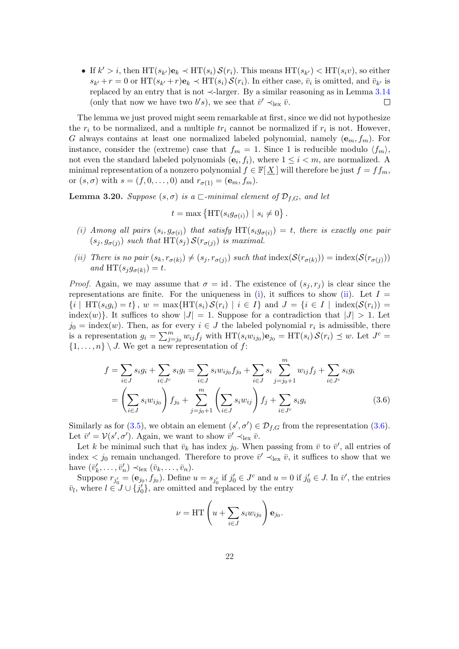<span id="page-23-0"></span>• If  $k' > i$ , then  $HT(s_{k'})\mathbf{e}_k \prec HT(s_i) \mathcal{S}(r_i)$ . This means  $HT(s_{k'}) < HT(s_i v)$ , so either  $s_{k'} + r = 0$  or  $HT(s_{k'} + r)\mathbf{e}_k \prec HT(s_i) \mathcal{S}(r_i)$ . In either case,  $\bar{v}_i$  is omitted, and  $\bar{v}_{k'}$  is replaced by an entry that is not ≺-larger. By a similar reasoning as in Lemma 3.14 (only that now we have two  $b's$ ), we see that  $\bar{v}' \prec_{\text{lex}} \bar{v}$ .  $\Box$ 

The lemma we just proved might seem remarkable at first, since we did not hypothesize the  $r_i$  to be normalized, and a multiple  $tr_i$  cannot be normalized if  $r_i$  is not. How[ever,](#page-20-0) G always contains at least one normalized labeled polynomial, namely  $(e_m, f_m)$ . For instance, consider the (extreme) case that  $f_m = 1$ . Since 1 is reducible modulo  $\langle f_m \rangle$ , not even the standard labeled polynomials  $(e_i, f_i)$ , where  $1 \leq i \leq m$ , are normalized. A minimal representation of a nonzero polynomial  $f \in \mathbb{F}[X]$  will therefore be just  $f = ff_m$ . or  $(s, \sigma)$  with  $s = (f, 0, \ldots, 0)$  and  $r_{\sigma(1)} = (e_m, f_m)$ .

**Lemma 3.20.** Suppose  $(s, \sigma)$  is a  $\Box$ -minimal element of  $\mathcal{D}_{f,G}$ , and let

$$
t = \max \left\{ \text{HT}(s_i g_{\sigma(i)}) \mid s_i \neq 0 \right\}.
$$

- (i) Among all pairs  $(s_i, g_{\sigma(i)})$  that satisfy  $HT(s_i g_{\sigma(i)}) = t$ , there is exactly one pair  $(s_j, g_{\sigma(j)})$  such that  $HT(s_j)S(r_{\sigma(j)})$  is maximal.
- (*ii*) There is no pair  $(s_k, r_{\sigma(k)}) \neq (s_j, r_{\sigma(j)})$  such that index $(S(r_{\sigma(k)})) = \text{index}(S(r_{\sigma(j)}))$ and  $\text{HT}(s_j g_{\sigma(k)}) = t$ .

*Proof.* Again, we may assume that  $\sigma = id$ . The existence of  $(s_i, r_j)$  is clear since the representations are finite. For the uniqueness in (i), it suffices to show (ii). Let  $I =$  $\{i \mid HT(s_ig_i) = t\}, w = \max\{HT(s_i) S(r_i) \mid i \in I\} \text{ and } J = \{i \in I \mid \text{index}(S(r_i)) = t\}$ index $(w)$ . It suffices to show  $|J| = 1$ . Suppose for a contradiction that  $|J| > 1$ . Let  $j_0 = \text{index}(w)$ . Then, as for every  $i \in J$  the labeled polynomial  $r_i$  is admissible, there  $y_0$  = maex(*w*). Then, as for<br>is a representation  $g_i = \sum_{j=1}^m$  $_{j=j_0}^m w_{ij} f_j$  with  $HT(s_i w_{ij_0}) \mathbf{e}_{j_0} = HT(s_i) \mathcal{S}(r_i) \preceq w$ . Let  $J^c =$  $\{1,\ldots,n\}\setminus J$ . We get a new representation of f:

$$
f = \sum_{i \in J} s_i g_i + \sum_{i \in J^c} s_i g_i = \sum_{i \in J} s_i w_{ij_0} f_{j_0} + \sum_{i \in J} s_i \sum_{j=j_0+1}^m w_{ij} f_j + \sum_{i \in J^c} s_i g_i
$$
  
= 
$$
\left(\sum_{i \in J} s_i w_{ij_0}\right) f_{j_0} + \sum_{j=j_0+1}^m \left(\sum_{i \in J} s_i w_{ij}\right) f_j + \sum_{i \in J^c} s_i g_i
$$
(3.6)

Similarly as for (3.5), we obtain an element  $(s', \sigma') \in \mathcal{D}_{f,G}$  from the representation (3.6). Let  $\bar{v}' = \mathcal{V}(s', \sigma')$ . Again, we want to show  $\bar{v}' \prec_{\text{lex}} \bar{v}$ .

Let k be minimal such that  $\bar{v}_k$  has index j<sub>0</sub>. When passing from  $\bar{v}$  to  $\bar{v}'$ , all entries of index  $\lt j_0$  remain unchanged. Therefore to prove  $\bar{v}' \prec_{\text{lex}} \bar{v}$ , it suffices to show that we have  $(\bar{v}'_k, \ldots, \bar{v}'_n) \prec_{\text{lex}} (\bar{v}_k, \ldots, \bar{v}_n).$ 

Suppose  $r_{j_0'} = (\mathbf{e}_{j_0}, f_{j_0})$ . Define  $u = s_{j_0'}$  if  $j_0' \in J^c$  and  $u = 0$  if  $j_0' \in J$ . In  $\bar{v}'$ , the entries  $\overline{v}_l$ , where  $l \in J \cup \{j_0'\}$ , are omitted and replaced by the entry

$$
\nu = \mathrm{HT}\left(u + \sum_{i \in J} s_i w_{ij_0}\right) \mathbf{e}_{j_0}.
$$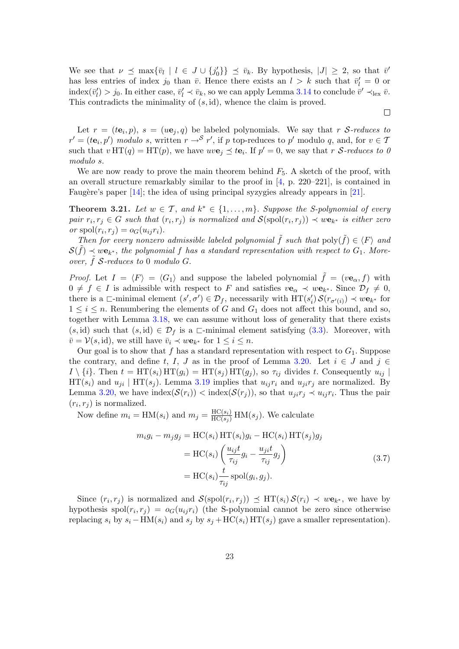<span id="page-24-0"></span>We see that  $\nu \preceq \max{\{\bar{v}_l \mid l \in J \cup \{j'_0\}\}} \preceq \bar{v}_k$ . By hypothesis,  $|J| \geq 2$ , so that  $\bar{v}'$ has less entries of index  $j_0$  than  $\bar{v}$ . Hence there exists an  $l > k$  such that  $\bar{v}'_l = 0$  or  $\text{index}(\bar{v}_l') > j_0.$  In either case,  $\bar{v}'_l \prec \bar{v}_k$ , so we can apply Lemma 3.14 to conclude  $\bar{v}' \prec_{\text{lex}} \bar{v}$ . This contradicts the minimality of  $(s, id)$ , whence the claim is proved.

 $\Box$ 

Let  $r = (t\mathbf{e}_i, p), s = (u\mathbf{e}_j, q)$  be labeled polynomials. W[e say](#page-20-0) that r S-reduces to  $r' = (t\mathbf{e}_i, p')$  modulo s, written  $r \rightarrow^S r'$ , if p top-reduces to p' modulo q, and, for  $v \in T$ such that  $v \text{HT}(q) = \text{HT}(p)$ , we have  $u v \mathbf{e}_j \preceq t \mathbf{e}_i$ . If  $p' = 0$ , we say that r S-reduces to 0 modulo s.

We are now ready to prove the main theorem behind  $F_5$ . A sketch of the proof, with an overall structure remarkably similar to the proof in  $[4, p. 220-221]$ , is contained in Faugère's paper  $[14]$ ; the idea of using principal syzygies already appears in [21].

**Theorem 3.21.** Let  $w \in \mathcal{T}$ , and  $k^* \in \{1, ..., m\}$ . Suppose the S-polynomial of every pair  $r_i, r_j \in G$  such that  $(r_i, r_j)$  is normalized and  $\mathcal{S}(\text{spol}(r_i, r_j)) \prec w e_{k^*}$  is either zero or  $\text{spol}(r_i, r_j) = o_G(u_{ij}r_i).$  $\text{spol}(r_i, r_j) = o_G(u_{ij}r_i).$  $\text{spol}(r_i, r_j) = o_G(u_{ij}r_i).$ 

Then for every nonzero admissible labeled polynomial  $\tilde{f}$  such that  $\text{poly}(\tilde{f}) \in \langle F \rangle$  and  $\mathcal{S}(\tilde{f}) \prec w \mathbf{e}_{k^*}$ , the polynomial f has a standard representation with respect to  $G_1$ . Moreover,  $f$  S-reduces to 0 modulo  $G$ .

*Proof.* Let  $I = \langle F \rangle = \langle G_1 \rangle$  and suppose the labeled polynomial  $\tilde{f} = (v \mathbf{e}_{\alpha}, f)$  with  $0 \neq f \in I$  is admissible with respect to F and satisfies  $v\mathbf{e}_{\alpha} \prec w\mathbf{e}_{k^*}$ . Since  $\mathcal{D}_f \neq 0$ , there is a  $\Box$ -minimal element  $(s', \sigma') \in \mathcal{D}_f$ , necessarily with  $HT(s'_i) \mathcal{S}(r_{\sigma'(i)}) \prec w \mathbf{e}_{k^*}$  for  $1 \leq i \leq n$ . Renumbering the elements of G and  $G_1$  does not affect this bound, and so, together with Lemma 3.18, we can assume without loss of generality that there exists (s, id) such that  $(s, id) \in \mathcal{D}_f$  is a  $\Box$ -minimal element satisfying  $(3.3)$ . Moreover, with  $\bar{v} = \mathcal{V}(s, id)$ , we still have  $\bar{v}_i \prec w \mathbf{e}_{k^*}$  for  $1 \leq i \leq n$ .

Our goal is to show that f has a standard representation with respect to  $G_1$ . Suppose the contrary, and defi[ne](#page-21-0) t, I, J as in the proof of Lemma 3.20. Let  $i \in J$  and  $j \in$  $I \setminus \{i\}$ . Then  $t = HT(s_i)HT(g_i) = HT(s_j)HT(g_j)$ , so  $\tau_{ij}$  divides [t.](#page-21-0) Consequently  $u_{ij}$  $HT(s_i)$  and  $u_{ii}$  | HT( $s_i$ ). Lemma 3.19 implies that  $u_{ij}r_i$  and  $u_{ji}r_j$  are normalized. By Lemma 3.20, we have  $index(S(r_i)) < index(S(r_j))$ , so that  $u_{ji}r_j \prec u_{ij}r_i$  $u_{ji}r_j \prec u_{ij}r_i$  $u_{ji}r_j \prec u_{ij}r_i$ . Thus the pair  $(r_i, r_j)$  is normalized.

Now define  $m_i = \text{HM}(s_i)$  $m_i = \text{HM}(s_i)$  $m_i = \text{HM}(s_i)$  and  $m_j = \frac{\text{HC}(s_i)}{\text{HC}(s_j)}$  HM $(s_j)$ . We calculate

$$
m_i g_i - m_j g_j = \text{HC}(s_i) \text{HT}(s_i) g_i - \text{HC}(s_i) \text{HT}(s_j) g_j
$$
  
= \text{HC}(s\_i) \left( \frac{u\_{ij} t}{\tau\_{ij}} g\_i - \frac{u\_{ji} t}{\tau\_{ij}} g\_j \right)   
= \text{HC}(s\_i) \frac{t}{\tau\_{ij}} \text{spol}(g\_i, g\_j). \tag{3.7}

Since  $(r_i, r_j)$  is normalized and  $\mathcal{S}(\text{spol}(r_i, r_j)) \preceq \text{HT}(s_i) \mathcal{S}(r_i) \prec w\mathbf{e}_{k^*}$ , we have by hypothesis spol $(r_i, r_j) = o_G(u_{ij}r_i)$  (the S-polynomial cannot be zero since otherwise replacing  $s_i$  by  $s_i - \text{HM}(s_i)$  and  $s_j$  by  $s_j + \text{HC}(s_i) \text{HT}(s_j)$  gave a smaller representation).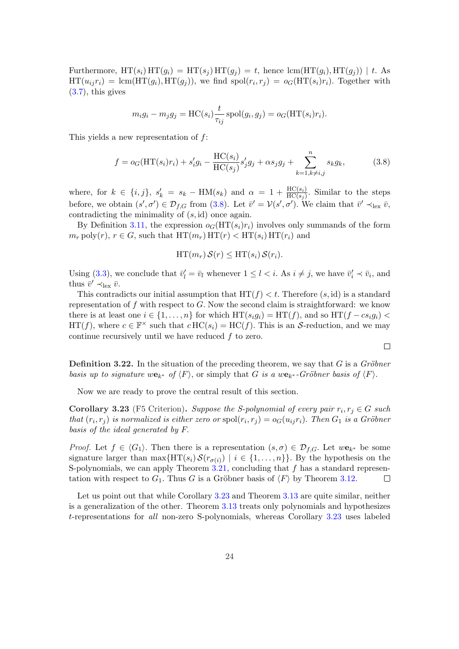<span id="page-25-0"></span>Furthermore,  $HT(s_i) HT(g_i) = HT(s_j) HT(g_j) = t$ , hence  $lcm(HT(g_i), HT(g_j)) \mid t$ . As  $HT(u_{ij}r_i) = \text{lcm}(HT(g_i), HT(g_j)),$  we find  $spol(r_i, r_j) = o_G(HT(s_i)r_i)$ . Together with  $(3.7)$ , this gives

$$
m_i g_i - m_j g_j = \text{HC}(s_i) \frac{t}{\tau_{ij}} \text{spol}(g_i, g_j) = o_G(\text{HT}(s_i) r_i).
$$

[This](#page-24-0) yields a new representation of f:

$$
f = o_G(\text{HT}(s_i)r_i) + s_i'g_i - \frac{\text{HC}(s_i)}{\text{HC}(s_j)}s_j'g_j + \alpha s_jg_j + \sum_{k=1, k \neq i, j}^{n} s_kg_k,
$$
(3.8)

where, for  $k \in \{i, j\}$ ,  $s'_{k} = s_{k} - \text{HM}(s_{k})$  and  $\alpha = 1 + \frac{\text{HC}(s_{i})}{\text{HC}(s_{j})}$ . Similar to the steps before, we obtain  $(s', \sigma') \in \mathcal{D}_{f,G}$  from (3.8). Let  $\bar{v}' = \mathcal{V}(s', \sigma')$ . We claim that  $\bar{v}' \prec_{\text{lex}} \bar{v}$ , contradicting the minimality of  $(s, id)$  once again.

By Definition 3.11, the expression  $o_G(\text{HT}(s_i)r_i)$  involves only summands of the form  $m_r \text{poly}(r)$ ,  $r \in G$ , such that  $HT(m_r) HT(r) < HT(s_i) HT(r_i)$  and

$$
\mathrm{HT}(m_r)\,\mathcal{S}(r) \leq \mathrm{HT}(s_i)\,\mathcal{S}(r_i).
$$

Using (3.3), we conclude that  $\bar{v}'_l = \bar{v}_l$  whenever  $1 \leq l < i$ . As  $i \neq j$ , we have  $\bar{v}'_i \prec \bar{v}_i$ , and thus  $\bar{v}' \prec_{\text{lex}} \bar{v}$ .

This contradicts our initial assumption that  $HT(f) < t$ . Therefore  $(s, id)$  is a standard representation of f with respect to  $G$ . Now the second claim is straightforward: we know there i[s at](#page-21-0) least one  $i \in \{1, \ldots, n\}$  for which  $HT(s_i q_i) = HT(f)$ , and so  $HT(f - cs_i q_i)$  $\text{HT}(f)$ , where  $c \in \mathbb{F}^\times$  such that  $c \text{HC}(s_i) = \text{HC}(f)$ . This is an S-reduction, and we may continue recursively until we have reduced f to zero.

**Definition 3.22.** In the situation of the preceding theorem, we say that G is a Gröbner basis up to signature we<sub>k\*</sub> of  $\langle F \rangle$ , or simply that G is a we<sub>k\*</sub>-Gröbner basis of  $\langle F \rangle$ .

Now we are ready to prove the central result of this section.

**Corollary 3.23** (F5 Criterion). Suppose the S-polynomial of every pair  $r_i, r_j \in G$  such that  $(r_i, r_j)$  is normalized is either zero or  $\text{spol}(r_i, r_j) = o_G(u_{ij}r_i)$ . Then  $G_1$  is a Gröbner basis of the ideal generated by F.

*Proof.* Let  $f \in \langle G_1 \rangle$ . Then there is a representation  $(s, \sigma) \in \mathcal{D}_{f,G}$ . Let  $w\mathbf{e}_{k^*}$  be some signature larger than  $\max\{HT(s_i)\mathcal{S}(r_{\sigma(i)}) \mid i \in \{1,\ldots,n\}\}\.$  By the hypothesis on the S-polynomials, we can apply Theorem  $3.21$ , concluding that f has a standard representation with respect to  $G_1$ . Thus G is a Gröbner basis of  $\langle F \rangle$  by Theorem 3.12.  $\Box$ 

Let us point out that while Corollary 3.23 and Theorem 3.13 are quite similar, neither is a generalization of the other. Theor[em](#page-24-0) 3.13 treats only polynomials and hypothesizes t-representations for all non-zero S-polynomials, whereas Corollary 3.23 [use](#page-19-0)s labeled

 $\Box$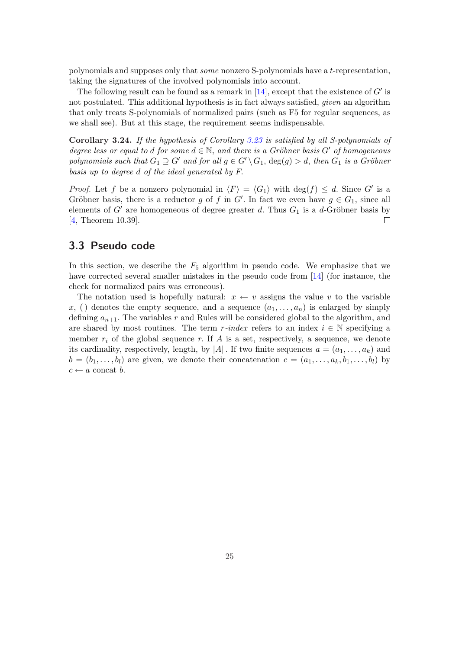<span id="page-26-0"></span>polynomials and supposes only that some nonzero S-polynomials have a t-representation, taking the signatures of the involved polynomials into account.

The following result can be found as a remark in  $[14]$ , except that the existence of  $G'$  is not postulated. This additional hypothesis is in fact always satisfied, given an algorithm that only treats S-polynomials of normalized pairs (such as F5 for regular sequences, as we shall see). But at this stage, the requirement s[eem](#page-52-0)s indispensable.

Corollary 3.24. If the hypothesis of Corollary 3.23 is satisfied by all S-polynomials of degree less or equal to d for some  $d \in \mathbb{N}$ , and there is a Gröbner basis G' of homogeneous polynomials such that  $G_1 \supseteq G'$  and for all  $g \in G' \setminus G_1$ ,  $\deg(g) > d$ , then  $G_1$  is a Gröbner basis up to degree d of the ideal generated by F.

*Proof.* Let f be a nonzero polynomial in  $\langle F \rangle = \langle G_1 \rangle$  with  $\deg(f) \leq d$ . Since G' is a Gröbner basis, there is a reductor g of f in G'. In fact we even have  $g \in G_1$ , since all elements of  $G'$  are homogeneous of degree greater d. Thus  $G_1$  is a d-Gröbner basis by [4, Theorem 10.39].  $\Box$ 

### 3.3 Pseudo code

[In](#page-51-0) this section, we describe the  $F_5$  algorithm in pseudo code. We emphasize that we have corrected several smaller mistakes in the pseudo code from [14] (for instance, the check for normalized pairs was erroneous).

The notation used is hopefully natural:  $x \leftarrow v$  assigns the value v to the variable x, () denotes the empty sequence, and a sequence  $(a_1, \ldots, a_n)$  is enlarged by simply defining  $a_{n+1}$ . The variables r and Rules will be considered global [to](#page-52-0) the algorithm, and are shared by most routines. The term r-index refers to an index  $i \in \mathbb{N}$  specifying a member  $r_i$  of the global sequence r. If A is a set, respectively, a sequence, we denote its cardinality, respectively, length, by |A|. If two finite sequences  $a = (a_1, \ldots, a_k)$  and  $b = (b_1, \ldots, b_l)$  are given, we denote their concatenation  $c = (a_1, \ldots, a_k, b_1, \ldots, b_l)$  by  $c \leftarrow a$  concat b.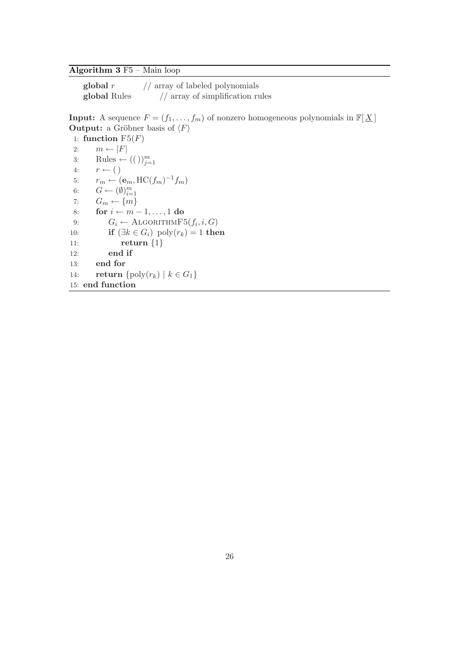#### <span id="page-27-0"></span>Algorithm 3 F5 – Main loop

| global $r$   | // array of labeled polynomials    |
|--------------|------------------------------------|
| global Rules | $//$ array of simplification rules |

**Input:** A sequence  $F = (f_1, \ldots, f_m)$  of nonzero homogeneous polynomials in  $\mathbb{F}[\underline{X}]$ **Output:** a Gröbner basis of  $\langle F \rangle$ 

```
1: function F5(F)2: m \leftarrow |F|3: Rules \leftarrow (())_{j=1}^m4: r \leftarrow ()5: r_m \leftarrow (\mathbf{e}_m, \text{HC}(f_m)^{-1} f_m)6: G \leftarrow (\emptyset)_{i=1}^m7: G_m \leftarrow \{m\}8: for i \leftarrow m-1, \ldots, 1 do
 9: G_i \leftarrow \text{ALGORITHMF5}(f_i, i, G)10: if (\exists k \in G_i) poly(r_k) = 1 then
11: return {1}
12: end if
13: end for
14: return {poly(r_k) \mid k \in G_1}
15: end function
```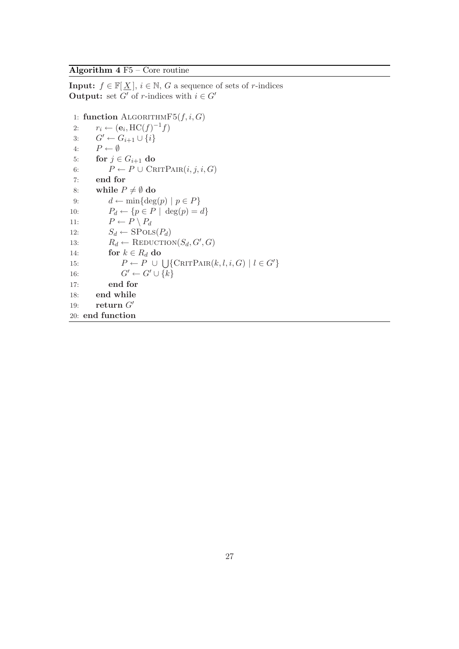#### <span id="page-28-0"></span>Algorithm 4 F5 – Core routine

**Input:**  $f \in \mathbb{F}[\underline{X}], i \in \mathbb{N}, G$  a sequence of sets of r-indices **Output:** set  $G'$  of r-indices with  $i \in G'$ 

```
1: function ALGORITHMF5(f, i, G)2: r_i \leftarrow (\mathbf{e}_i, \text{HC}(f)^{-1}f)3: G' \leftarrow G_{i+1} \cup \{i\}4: P \leftarrow \emptyset5: for j \in G_{i+1} do
 6: P \leftarrow P \cup \text{CRITPAIR}(i, j, i, G)7: end for
 8: while P \neq \emptyset do
 9: d \leftarrow \min\{\deg(p) \mid p \in P\}10: P_d \leftarrow \{p \in P \mid \deg(p) = d\}11: P \leftarrow P \setminus P_d12: S_d \leftarrow \text{SPOLS}(P_d)13: R_d \leftarrow \text{REDUCTION}(S_d, G', G)14: for k \in R_d do
15: P \leftarrow P \cup\bigcup{\text{CRITPAR}(k, l, i, G) \mid l \in G'}16: G' \leftarrow G' \cup \{k\}17: end for
18: end while
19: return G'20: end function
```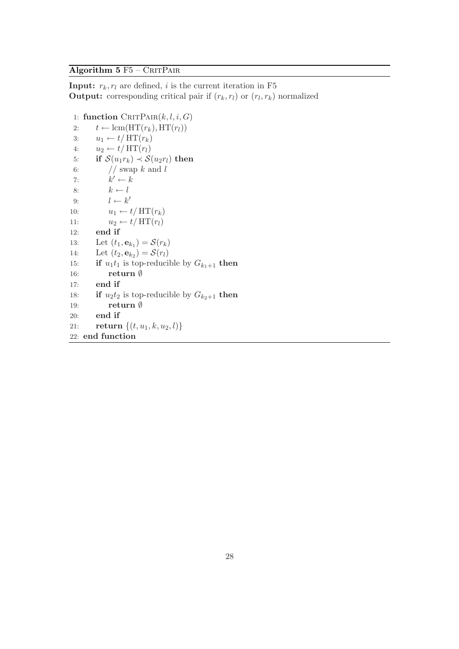#### <span id="page-29-0"></span>Algorithm  $5 F5 -$ CRITPAIR

**Input:**  $r_k$ ,  $r_l$  are defined, i is the current iteration in F5 **Output:** corresponding critical pair if  $(r_k, r_l)$  or  $(r_l, r_k)$  normalized

```
1: function \text{CRITPAIR}(k, l, i, G)2: t \leftarrow \text{lcm}(\text{HT}(r_k), \text{HT}(r_l))3: u_1 \leftarrow t / HT(r_k)4: u_2 \leftarrow t / HT(r_l)5: if S(u_1r_k) \prec S(u_2r_l) then
 6: // \text{ swap } k \text{ and } l7: k' \leftarrow k8: k \leftarrow l9: l \leftarrow k'10: u_1 \leftarrow t / HT(r_k)11: u_2 \leftarrow t / HT(r_l)12: end if
13: Let (t_1, e_{k_1}) = S(r_k)14: Let (t_2, \mathbf{e}_{k_2}) = \mathcal{S}(r_l)15: if u_1t_1 is top-reducible by G_{k_1+1} then
16: return Ø
17: end if
18: if u_2t_2 is top-reducible by G_{k_2+1} then
19: return Ø
20: end if
21: return \{(t, u_1, k, u_2, l)\}22: end function
```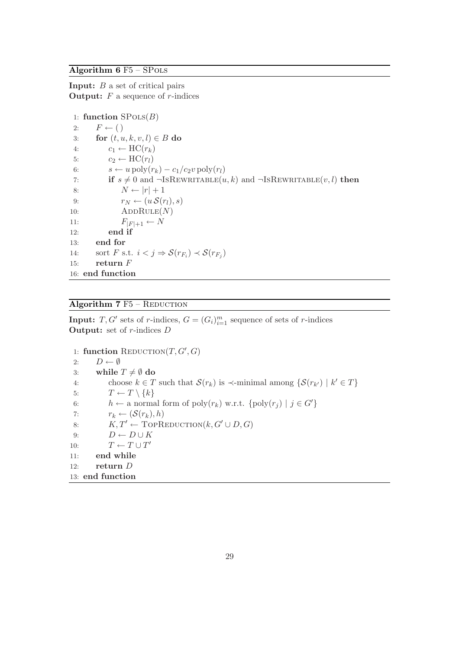#### <span id="page-30-0"></span>Algorithm 6 F5 – SPols

**Input:**  $B$  a set of critical pairs **Output:**  $F$  a sequence of  $r$ -indices

```
1: function SPOLS(B)2: F \leftarrow ()3: for (t, u, k, v, l) \in B do
 4: c_1 \leftarrow \text{HC}(r_k)5: c_2 \leftarrow \text{HC}(r_l)6: s \leftarrow u \operatorname{poly}(r_k) - c_1/c_2v \operatorname{poly}(r_l)7: if s \neq 0 and \negISREWRITABLE(u, k) and \negISREWRITABLE(v, l) then
 8: N \leftarrow |r| + 19: r_N \leftarrow (u \mathcal{S}(r_l), s)10: \text{ADD} \text{RULE}(N)11: F_{|F|+1} \leftarrow N12: end if
13: end for
14: sort F s.t. i < j \Rightarrow \mathcal{S}(r_{F_i}) \prec \mathcal{S}(r_{F_j})15: return F16: end function
```
#### Algorithm  $7 F5 -$  REDUCTION

**Input:** T, G' sets of r-indices,  $G = (G_i)_{i=1}^m$  sequence of sets of r-indices **Output:** set of  $r$ -indices  $D$ 

```
1: function REDUCTION(T, G', G)
 2: D \leftarrow \emptyset3: while T \neq \emptyset do
 4: choose k \in T such that \mathcal{S}(r_k) is \prec-minimal among \{\mathcal{S}(r_{k'}) \mid k' \in T\}5: T \leftarrow T \setminus \{k\}6: h \leftarrow a normal form of poly(r_k) w.r.t. {poly(r_j) | j \in G'}
 7: r_k \leftarrow (\mathcal{S}(r_k), h)8: K, T' \leftarrow \text{TOPREDUCTION}(k, G' \cup D, G)9: D \leftarrow D \cup K10: T \leftarrow T \cup T'11: end while
12: return D
13: end function
```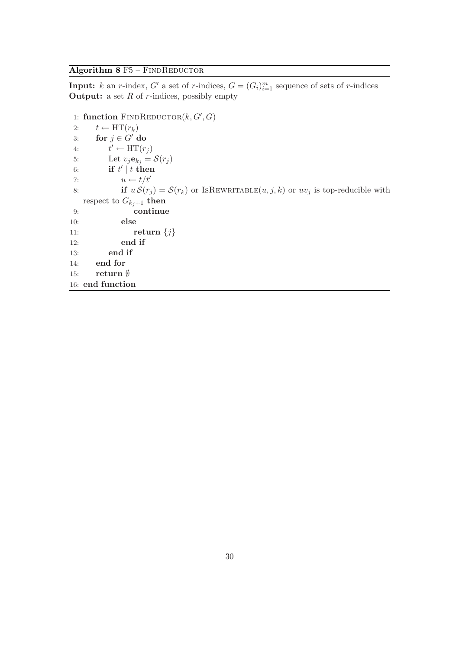### <span id="page-31-0"></span>Algorithm 8 F5 - FINDREDUCTOR

**Input:** k an r-index, G' a set of r-indices,  $G = (G_i)_{i=1}^m$  sequence of sets of r-indices **Output:** a set  $R$  of  $r$ -indices, possibly empty

1: function  $\text{FINDREDUCTOR}(k, G', G)$ 2:  $t \leftarrow \text{HT}(r_k)$ 3: for  $j \in G'$  do  $4:$  $t' \leftarrow HT(r_j)$ 5: Let  $v_j \mathbf{e}_{k_j} = \mathcal{S}(r_j)$ 6: if  $t' | t$  then 7:  $u \leftarrow t/t'$ 8: if  $u S(r_j) = S(r_k)$  or ISREWRITABLE $(u, j, k)$  or  $uv_j$  is top-reducible with respect to  $G_{k_i+1}$  then 9: continue 10: else 11:  $return {j}$ 12: end if 13: end if 14: end for 15: return ∅ 16: end function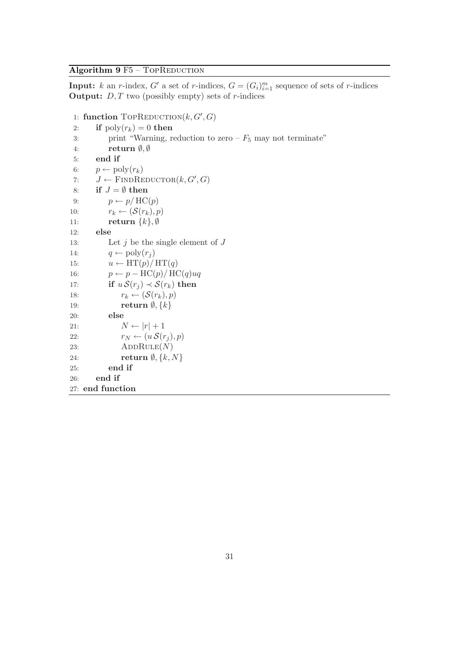#### <span id="page-32-0"></span>Algorithm  $9 F5 - TOPREDUCTION$

**Input:** k an r-index, G' a set of r-indices,  $G = (G_i)_{i=1}^m$  sequence of sets of r-indices **Output:**  $D, T$  two (possibly empty) sets of r-indices

```
1: function \text{TopREDUCTION}(k, G', G)2: if \text{poly}(r_k) = 0 then
 3: print "Warning, reduction to zero -F_5 may not terminate"
 4: return \emptyset, \emptyset5: end if
 6: p \leftarrow \text{poly}(r_k)7: J \leftarrow \text{FINDREDUCTOR}(k, G', G)8: if J = \emptyset then
 9: p \leftarrow p / \text{HC}(p)10: r_k \leftarrow (\mathcal{S}(r_k), p)11: return \{k\}, \emptyset12: else
13: Let j be the single element of J14: q \leftarrow \text{poly}(r_i)15: u \leftarrow HT(p)/HT(q)16: p \leftarrow p - \text{HC}(p) / \text{HC}(q)uq17: if u S(r_i) \prec S(r_k) then
18: r_k \leftarrow (\mathcal{S}(r_k), p)19: return \emptyset, \{k\}20: else
21: N \leftarrow |r| + 122: r_N \leftarrow (u \mathcal{S}(r_j), p)23: \qquad \qquad \text{ADD RULE}(N)24: return \emptyset, \{k, N\}25: end if
26: end if
27: end function
```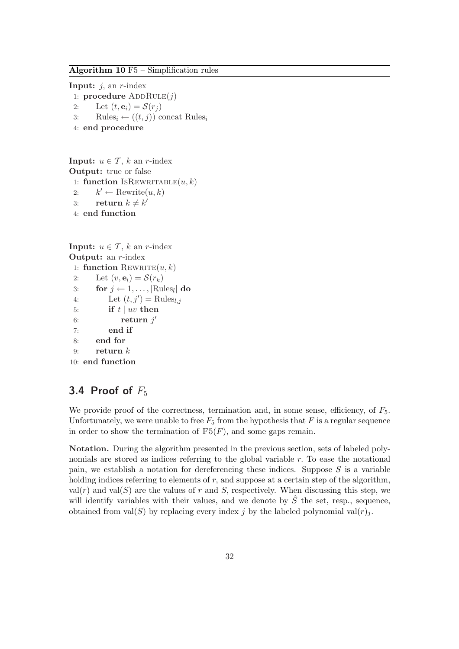<span id="page-33-0"></span>Algorithm 10 F5 – Simplification rules

**Input:**  $j$ , an  $r$ -index 1: procedure  $\text{ADDRULE}(j)$ 2: Let  $(t, e_i) = \mathcal{S}(r_i)$ 3: Rules<sub>i</sub>  $\leftarrow ((t, j))$  concat Rules<sub>i</sub> 4: end procedure

**Input:**  $u \in \mathcal{T}$ , k an r-index Output: true or false 1: function IsREWRITABLE $(u, k)$ 2:  $k' \leftarrow \text{Rewrite}(u, k)$ 3: return  $k \neq k'$ 4: end function

```
Input: u \in \mathcal{T}, k an r-index
Output: an r-index
 1: function \text{REWRITE}(u, k)2: Let (v, \mathbf{e}_l) = \mathcal{S}(r_k)3: for j \leftarrow 1, \ldots, |\text{Rules}_l| do
 4: Let (t, j') = \text{Rules}_{l,j}5: if t \mid uv then
 6: return j'7: end if
 8: end for
 9: return k10: end function
```
# 3.4 Proof of  $F_5$

We provide proof of the correctness, termination and, in some sense, efficiency, of  $F_5$ . Unfortunately, we were unable to free  $F_5$  from the hypothesis that F is a regular sequence in order to show the termination of  $F5(F)$ , and some gaps remain.

Notation. During the algorithm presented in the previous section, sets of labeled polynomials are stored as indices referring to the global variable  $r$ . To ease the notational pain, we establish a notation for dereferencing these indices. Suppose  $S$  is a variable holding indices referring to elements of  $r$ , and suppose at a certain step of the algorithm, val(r) and val(S) are the values of r and S, respectively. When discussing this step, we will identify variables with their values, and we denote by  $\hat{S}$  the set, resp., sequence, obtained from val(S) by replacing every index j by the labeled polynomial val(r)j.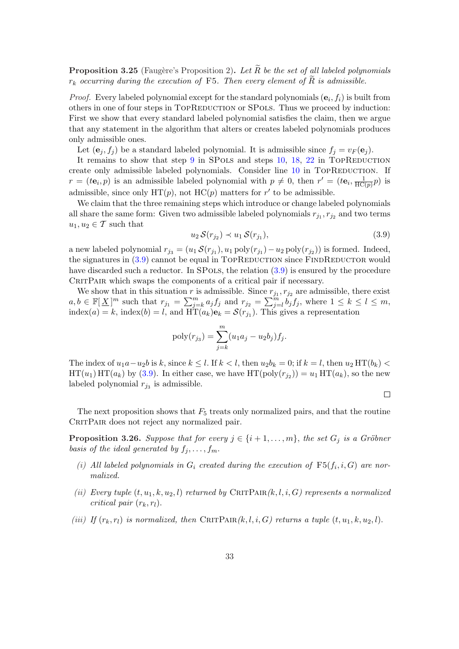<span id="page-34-0"></span>**Proposition 3.25** (Faugère's Proposition 2). Let  $\widetilde{R}$  be the set of all labeled polynomials  $r_k$  occurring during the execution of F5. Then every element of R is admissible.

*Proof.* Every labeled polynomial except for the standard polynomials  $(e_i, f_i)$  is built from others in one of four steps in TOPREDUCTION or SPOLS. Thus we proceed by induction: First we show that every standard labeled polynomial satisfies the claim, then we argue that any statement in the algorithm that alters or creates labeled polynomials produces only admissible ones.

Let  $(e_j, f_j)$  be a standard labeled polynomial. It is admissible since  $f_j = v_F(e_j)$ .

It remains to show that step  $9$  in SPoLs and steps 10, 18, 22 in TopReduction create only admissible labeled polynomials. Consider line  $10$  in TopReduction. If  $r = (t\mathbf{e}_i, p)$  is an admissible labeled polynomial with  $p \neq 0$ , then  $r' = (t\mathbf{e}_i, \frac{1}{\text{HC}_i})$  $\frac{1}{\text{HC}(p)}p$ ) is admissible, since only  $HT(p)$ , not  $HC(p)$  matters for r' to be admissible.

We claim that the three remain[in](#page-30-0)g steps which introdu[ce o](#page-32-0)r [change](#page-32-0) labeled polynomials all share the same form: Given two admissible labeled polyn[omia](#page-32-0)ls  $r_{j_1}, r_{j_2}$  and two terms  $u_1, u_2 \in \mathcal{T}$  such that

$$
u_2 \mathcal{S}(r_{j_2}) \prec u_1 \mathcal{S}(r_{j_1}), \tag{3.9}
$$

a new labeled polynomial  $r_{j_3} = (u_1 \mathcal{S}(r_{j_1}), u_1 \text{poly}(r_{j_1}) - u_2 \text{poly}(r_{j_2}))$  is formed. Indeed, the signatures in  $(3.9)$  cannot be equal in TOPREDUCTION since FINDREDUCTOR would have discarded such a reductor. In SPOLS, the relation  $(3.9)$  is ensured by the procedure CRITPAIR which swaps the components of a critical pair if necessary.

We show that in this situation r is admissible. Since  $r_{j_1}, r_{j_2}$  are admissible, there exist we show that in this situation  $r_1$ <br> $a, b \in \mathbb{F}[\underline{X}]^m$  such that  $r_{j_1} = \sum_{j=1}^m$ is admissible. Since  $r_{j_1}$ <br> $\sum_{j=k}^m a_j f_j$  and  $r_{j_2} = \sum_{j=1}^m$  $\sum_{j=l}^{m} b_j f_j$ , where  $1 \leq k \leq l \leq m$ , index(*a*) = *k*, index(*b*) = *l*, and  $HT(a_k)e_k = \mathcal{S}(r_{j_1})$ . This gives a representation

$$
poly(r_{j_3}) = \sum_{j=k}^{m} (u_1 a_j - u_2 b_j) f_j.
$$

The index of  $u_1a-u_2b$  is k, since  $k \leq l$ . If  $k < l$ , then  $u_2b_k = 0$ ; if  $k = l$ , then  $u_2 \text{HT}(b_k) <$  $HT(u_1) HT(a_k)$  by (3.9). In either case, we have  $HT(poly(r_{j_2})) = u_1 HT(a_k)$ , so the new labeled polynomial  $r_{j_3}$  is admissible.

$$
\qquad \qquad \Box
$$

The next proposition shows that  $F_5$  treats only normalized pairs, and that the routine CRITPAIR does not reject any normalized pair.

**Proposition 3.26.** Suppose that for every  $j \in \{i+1,\ldots,m\}$ , the set  $G_j$  is a Gröbner basis of the ideal generated by  $f_1, \ldots, f_m$ .

- (i) All labeled polynomials in  $G_i$  created during the execution of  $F5(f_i, i, G)$  are normalized.
- (ii) Every tuple  $(t, u_1, k, u_2, l)$  returned by CRITPAIR(k, l, i, G) represents a normalized critical pair  $(r_k, r_l)$ .
- (iii) If  $(r_k, r_l)$  is normalized, then CRITPAIR $(k, l, i, G)$  returns a tuple  $(t, u_1, k, u_2, l)$ .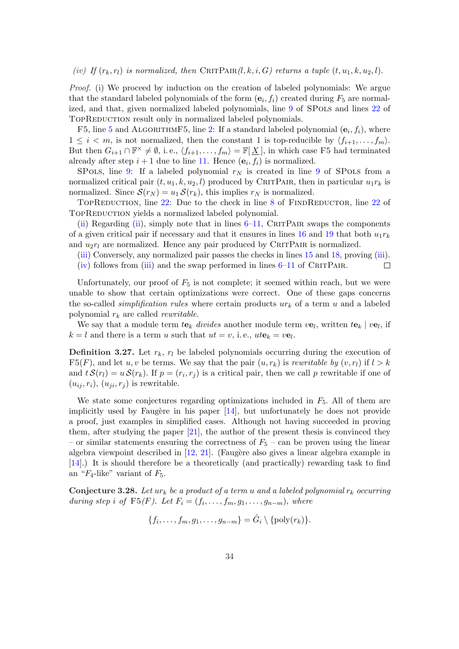#### (iv) If  $(r_k, r_l)$  is normalized, then CRITPAIR $(l, k, i, G)$  returns a tuple  $(t, u_1, k, u_2, l)$ .

Proof. (i) We proceed by induction on the creation of labeled polynomials: We argue that the standard labeled polynomials of the form  $(e_i, f_i)$  created during  $F_5$  are normalized, and that, given normalized labeled polynomials, line 9 of SPols and lines 22 of TOPREDUCTION result only in normalized labeled polynomials.

F5, li[n](#page-34-0)e 5 and ALGORITHMF5, line 2: If a standard labeled polynomial  $(e_i, f_i)$ , where  $1 \leq i < m$ , is not normalized, then the constant 1 is top-reducible by  $\langle f_{i+1}, \ldots, f_m \rangle$ . But then  $G_{i+1} \cap \mathbb{F}^\times \neq \emptyset$ , i.e.,  $\langle f_{i+1}, \ldots, f_m \rangle = \mathbb{F}[\underline{X}]$ , in w[hic](#page-30-0)h case F5 had termi[nat](#page-32-0)ed already after step  $i+1$  due to line 11. Hence  $(e_i, f_i)$  is normalized.

SPOLS, [li](#page-27-0)ne 9: If a labeled poly[nom](#page-28-0)ial  $r_N$  is created in line 9 of SPOLS from a normalized critical pair  $(t, u_1, k, u_2, l)$  produced by CRITPAIR, then in particular  $u_1r_k$  is normalized. Since  $\mathcal{S}(r_N) = u_1 \mathcal{S}(r_k)$ , this implies  $r_N$  is normalized.

TOPREDUCTION, line 22: Due [to t](#page-27-0)he check in line 8 of FINDREDUCTOR, line 22 of TOPREDUCTION yields a [n](#page-30-0)ormalized labeled polynomial.

(ii) Regarding (ii), simply note that in lines  $6-11$ , CRITPAIR swaps the components of a given critical pair if necessary and that it ensures in lines [1](#page-32-0)6 and 19 that both  $u_1r_k$ and  $u_2r_l$  are normalized. [He](#page-32-0)nce any pair produced by [C](#page-31-0)RITPAIR is normalized.

(iii) Conversely, any normalized pair passes the checks in lines 15 and 18, proving (iii).

[\(iv](#page-34-0)) follows fro[m \(](#page-34-0)iii) an[d](#page-29-0) the swap performed [in li](#page-29-0)nes  $6-11$  [of](#page-29-0) CRITPAIR.  $\Box$ 

Unfortunately, our proof of  $F_5$  is not complete; it seemed within reach, but we were un[abl](#page-34-0)e to show that certain optimizations were correct. One [of](#page-29-0) the[se g](#page-29-0)aps conc[ern](#page-34-0)s the so-called *simpli[fica](#page-34-0)tion r[u](#page-29-0)les* where certain products  $ur_k$  $ur_k$  of a term u and a labeled polynomial  $r_k$  are called *rewritable*.

We say that a module term  $te_k$  divides another module term  $ve_l$ , written  $te_k | ve_l$ , if  $k = l$  and there is a term u such that  $ut = v$ , i.e.,  $ut\mathbf{e}_k = v\mathbf{e}_l$ .

**Definition 3.27.** Let  $r_k$ ,  $r_l$  be labeled polynomials occurring during the execution of F5(F), and let u, v be terms. We say that the pair  $(u, r_k)$  is rewritable by  $(v, r_l)$  if  $l > k$ and  $t S(r_l) = u S(r_k)$ . If  $p = (r_i, r_j)$  is a critical pair, then we call p rewritable if one of  $(u_{ij}, r_i), (u_{ji}, r_j)$  is rewritable.

We state some conjectures regarding optimizations included in  $F<sub>5</sub>$ . All of them are implicitly used by Faugère in his paper  $[14]$ , but unfortunately he does not provide a proof, just examples in simplified cases. Although not having succeeded in proving them, after studying the paper  $[21]$ , the author of the present thesis is convinced they – or similar statements ensuring the correctness of  $F_5$  – can be proven using the linear algebra viewpoint described in  $[12, 21]$ . ([Faug](#page-52-0)ère also gives a linear algebra example in [14].) It is should therefore be [a th](#page-52-0)eoretically (and practically) rewarding task to find an " $F_4$ -like" variant of  $F_5$ .

**Conjecture 3.28.** Let  $ur_k$  be a [product](#page-52-0) of a term u and a labeled polynomial  $r_k$  occurring [dur](#page-52-0)ing step i of  $F5(F)$ . Let  $F_i = (f_i, \ldots, f_m, g_1, \ldots, g_{n-m})$ , where

$$
\{f_i,\ldots,f_m,g_1,\ldots,g_{n-m}\}=\hat{G}_i\setminus{\text{poly}(r_k)}.
$$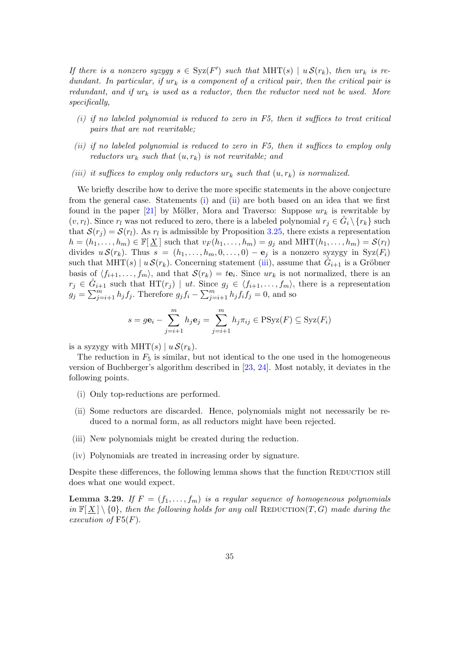If there is a nonzero syzygy  $s \in Syz(F')$  such that  $\text{MHT}(s) \mid u \mathcal{S}(r_k)$ , then  $ur_k$  is redundant. In particular, if  $ur_k$  is a component of a critical pair, then the critical pair is redundant, and if  $ur_k$  is used as a reductor, then the reductor need not be used. More specifically,

- $(i)$  if no labeled polynomial is reduced to zero in F5, then it suffices to treat critical pairs that are not rewritable;
- (ii) if no labeled polynomial is reduced to zero in F5, then it suffices to employ only reductors  $ur_k$  such that  $(u, r_k)$  is not rewritable; and
- (iii) it suffices to employ only reductors  $ur_k$  such that  $(u, r_k)$  is normalized.

We briefly describe how to derive the more specific statements in the above conjecture from the general case. Statements (i) and (ii) are both based on an idea that we first found in the paper [21] by Möller, Mora and Traverso: Suppose  $ur_k$  is rewritable by  $(v, r_l)$ . Since  $r_l$  was not reduced to zero, there is a labeled polynomial  $r_j \in \hat{G}_i \setminus \{r_k\}$  such that  $\mathcal{S}(r_j) = \mathcal{S}(r_l)$ . As  $r_l$  is admissible by Proposition 3.25, there exists a representation  $h = (h_1, \ldots, h_m) \in \mathbb{F}[\underline{X}]$  such that  $v_F(h_1, \ldots, h_m) = g_i$  and  $\text{MHT}(h_1, \ldots, h_m) = \mathcal{S}(r_i)$ divides  $u S(r_k)$ . Th[us](#page-52-0)  $s = (h_1, \ldots, h_m, 0, \ldots, 0) - e_j$  is a nonzero syzygy in Syz $(F_i)$ such that  $\text{MHT}(s) \mid u \mathcal{S}(r_k)$ . Concerning statement (iii), assume that  $\hat{G}_{i+1}$  is a Gröbner basis of  $\langle f_{i+1}, \ldots, f_m \rangle$ , and that  $\mathcal{S}(r_k) = t\mathbf{e}_i$ . Since  $ur_k$  $ur_k$  is not normalized, there is an  $r_j \in \hat{G}_{i+1}$  such that  $HT(r_j) \mid ut$ . Since  $g_j \in \langle f_{i+1}, \ldots, f_m \rangle$ , there is a representation  $g_j \in G_{i+1}$ <br> $g_j = \sum_{j=1}^m$  $\sum_{j=i+1}^{m} h_j f_j$ . Therefore  $g_j f_i$  – эшс<br> $\bigtriangledown m$  $\sum_{j=i+1}^{m} h_j f_i f_j = 0$ , and so

$$
s = g\mathbf{e}_i - \sum_{j=i+1}^m h_j \mathbf{e}_j = \sum_{j=i+1}^m h_j \pi_{ij} \in \text{PSyz}(F) \subseteq \text{Syz}(F_i)
$$

is a syzygy with MHT(s)  $| u S(r_k)$ .

The reduction in  $F_5$  is similar, but not identical to the one used in the homogeneous version of Buchberger's algorithm described in [23, 24]. Most notably, it deviates in the following points.

- (i) Only top-reductions are performed.
- (ii) Some reductors are discarded. Hence, p[olynom](#page-53-0)ials might not necessarily be reduced to a normal form, as all reductors might have been rejected.
- (iii) New polynomials might be created during the reduction.
- (iv) Polynomials are treated in increasing order by signature.

Despite these differences, the following lemma shows that the function REDUCTION still does what one would expect.

**Lemma 3.29.** If  $F = (f_1, \ldots, f_m)$  is a regular sequence of homogeneous polynomials in  $\mathbb{F}[X] \setminus \{0\}$ , then the following holds for any call REDUCTION(T, G) made during the execution of  $F5(F)$ .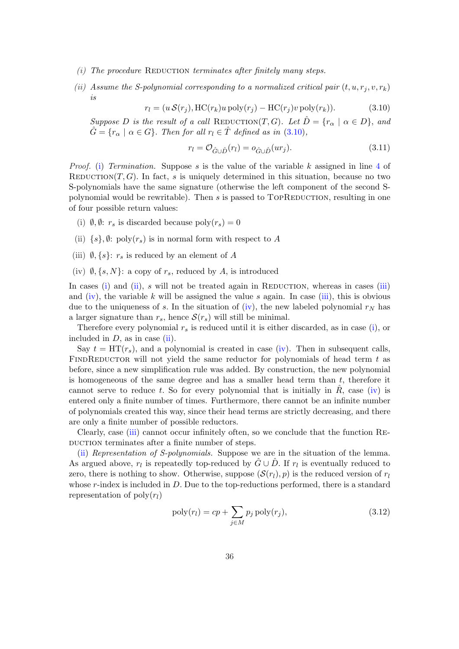- <span id="page-37-0"></span> $(i)$  The procedure REDUCTION terminates after finitely many steps.
- (ii) Assume the S-polynomial corresponding to a normalized critical pair  $(t, u, r_i, v, r_k)$ is

$$
r_l = (u \mathcal{S}(r_j), \text{HC}(r_k)u \,\text{poly}(r_j) - \text{HC}(r_j)v \,\text{poly}(r_k)).\tag{3.10}
$$

Suppose D is the result of a call REDUCTION(T, G). Let  $\hat{D} = \{r_{\alpha} \mid \alpha \in D\}$ , and  $\hat{G} = \{r_{\alpha} \mid \alpha \in G\}$ . Then for all  $r_l \in \hat{T}$  defined as in (3.10),

$$
r_l = \mathcal{O}_{\hat{G}\cup\hat{D}}(r_l) = o_{\hat{G}\cup\hat{D}}(ur_j). \tag{3.11}
$$

*Proof.* (i) Termination. Suppose s is the value of the variable k assigned in line 4 of REDUCTION(T, G). In fact, s is uniquely determined in this situation, because no two S-polynomials have the same signature (otherwise the left component of the second Spolynomial would be rewritable). Then  $s$  is passed to TOPREDUCTION, resulting i[n o](#page-30-0)ne of four possible return values:

- (i)  $\emptyset$ ,  $\emptyset$ :  $r_s$  is discarded because poly $(r_s) = 0$
- (ii)  $\{s\}, \emptyset$ : poly $(r_s)$  is in normal form with respect to A
- (iii)  $\emptyset$ ,  $\{s\}$ :  $r_s$  is reduced by an element of A
- (iv)  $\emptyset$ ,  $\{s, N\}$ : a copy of  $r_s$ , reduced by A, is introduced

In cases (i) and (ii), s will not be treated again in REDUCTION, whereas in cases (iii) and (iv), the variable k will be assigned the value s again. In case (iii), this is obvious due to the uniqueness of s. In the situation of (iv), the new labeled polynomial  $r_N$  has a larger signature than  $r_s$ , hence  $\mathcal{S}(r_s)$  will still be minimal.

Therefore every polynomial  $r_s$  is reduced until it is either discarded, as in case (i), or included in  $D$ , as in case (ii).

Say  $t = HT(r<sub>s</sub>)$ , and a polynomial is created in case (iv). Then in subsequent calls, FINDREDUCTOR will not yield the same reductor for polynomials of head term  $t$  as before, since a new simplification rule was added. By construction, the new polynomial is homogeneous of the same degree and has a smaller head term than  $t$ , therefore it cannot serve to reduce t. So for every polynomial that is initially in  $R$ , case (iv) is entered only a finite number of times. Furthermore, there cannot be an infinite number of polynomials created this way, since their head terms are strictly decreasing, and there are only a finite number of possible reductors.

Clearly, case (iii) cannot occur infinitely often, so we conclude that the function Re-DUCTION terminates after a finite number of steps.

(ii) Representation of S-polynomials. Suppose we are in the situation of the lemma. As argued above,  $r_l$  is repeatedly top-reduced by  $\hat{G} \cup \hat{D}$ . If  $r_l$  is eventually reduced to zero, there is nothing to show. Otherwise, suppose  $(\mathcal{S}(r_l), p)$  is the reduced version of  $r_l$ whose r-index is included in  $D$ . Due to the top-reductions performed, there is a standard representation of  $\text{poly}(r_l)$ 

$$
poly(r_l) = cp + \sum_{j \in M} p_j \text{ poly}(r_j), \qquad (3.12)
$$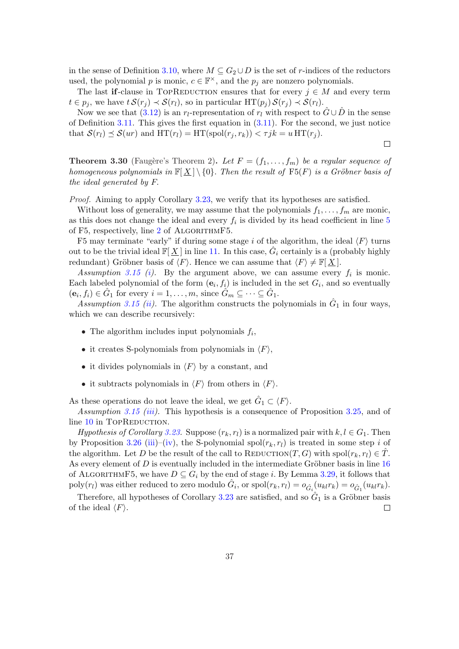<span id="page-38-0"></span>in the sense of Definition 3.10, where  $M \subseteq G_2 \cup D$  is the set of r-indices of the reductors used, the polynomial p is monic,  $c \in \mathbb{F}^{\times}$ , and the  $p_j$  are nonzero polynomials.

The last if-clause in TOPREDUCTION ensures that for every  $j \in M$  and every term  $t \in p_i$ , we have  $t \mathcal{S}(r_i) \prec \mathcal{S}(r_i)$ , so in particular  $HT(p_i) \mathcal{S}(r_i) \prec \mathcal{S}(r_i)$ .

Now we see that (3.12[\) is an](#page-19-0)  $r_l$ -representation of  $r_l$  with respect to  $G \cup D$  in the sense of Definition 3.11. This gives the first equation in  $(3.11)$ . For the second, we just notice that  $\mathcal{S}(r_l) \preceq \mathcal{S}(ur)$  and  $HT(r_l) = HT(\text{spol}(r_j, r_k)) < \tau j k = u HT(r_j)$ .

 $\Box$ 

**Theorem 3[.30](#page-19-0)** (Faugère's Theorem 2). Let  $F = (f_1, \ldots, f_m)$  be a regular sequence of homogeneous polynomials in  $\mathbb{F}[X] \setminus \{0\}$ . Then the result of  $F5(F)$  is a Gröbner basis of the ideal generated by F.

Proof. Aiming to apply Corollary 3.23, we verify that its hypotheses are satisfied.

Without loss of generality, we may assume that the polynomials  $f_1, \ldots, f_m$  are monic, as this does not change the ideal and every  $f_i$  is divided by its head coefficient in line  $5$ of F5, respectively, line  $2$  of ALGORITHMF5.

F5 may terminate "early" if dur[ing s](#page-25-0)ome stage i of the algorithm, the ideal  $\langle F \rangle$  turns out to be the trivial ideal  $\mathbb{F}[\underline{X}]$  in line 11. In this case,  $\hat{G}_i$  certain[ly](#page-27-0) is a (probably highly redundant) Gröbner ba[sis](#page-28-0) of  $\langle F \rangle$ . Hence we can assume that  $\langle F \rangle \neq \mathbb{F}[\underline{X}]$ .

Assumption 3.15 (i). By the argument above, we can assume every  $f_i$  is monic. Each labeled polynomial of the form  $(e_i, f_i)$  is included in the set  $G_i$ , and so eventually  $(\mathbf{e}_i, f_i) \in \hat{G}_1$  for every  $i = 1, \ldots, m$ , si[nce](#page-27-0)  $\hat{G}_m \subseteq \cdots \subseteq \hat{G}_1$ .

Assumption 3.15 (ii). The algorithm constructs the polynomials in  $\hat{G}_1$  in four ways, which we can [descri](#page-20-0)b[e](#page-20-0) recursively:

- The algorithm includes input polynomials  $f_i$ ,
- it create[s S-polyn](#page-20-0)omials from polynomials in  $\langle F \rangle$ ,
- it divides polynomials in  $\langle F \rangle$  by a constant, and
- it subtracts polynomials in  $\langle F \rangle$  from others in  $\langle F \rangle$ .

As these operations do not leave the ideal, we get  $\hat{G}_1 \subset \langle F \rangle$ .

Assumption 3.15 (iii). This hypothesis is a consequence of Proposition 3.25, and of line 10 in TOPREDUCTION.

Hypothesis of Corollary 3.23. Suppose  $(r_k, r_l)$  is a normalized pair with  $k, l \in G_1$ . Then by Proposition 3.26 (iii)–(iv), the S-polynomial spol $(r_k, r_l)$  is treated in some step i of the algorithm. [Let](#page-20-0) D [be](#page-20-0) the result of the call to REDUCTION(T, G) with spol $(r_k, r_l) \in T$ . As [ever](#page-32-0)y element of D is eventually included in the intermediate Gröbner basis in line  $16$ of ALGORITHMF5, we have  $D \subseteq G_i$  $D \subseteq G_i$  by the end of stage i. By Lemma 3.29, it follows that  $\text{poly}(r_l)$  was eit[her r](#page-34-0)e[duc](#page-34-0)e[d t](#page-35-0)o zero modulo  $\hat{G}_i$ , or  $\text{spol}(r_k, r_l) = o_{\hat{G}_i}(u_{kl}r_k) = o_{\hat{G}_1}(u_{kl}r_k)$ .

Therefore, all hypotheses of Corollary 3.23 are satisfied, and so  $\hat{G}_1$  is a Gröbner b[asis](#page-28-0) of the ideal  $\langle F \rangle$ .  $\Box$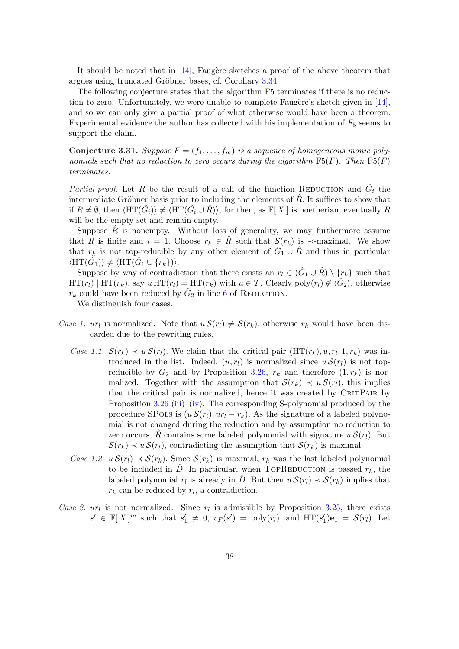<span id="page-39-0"></span>It should be noted that in  $[14]$ , Faugère sketches a proof of the above theorem that argues using truncated Gröbner bases, cf. Corollary 3.34.

The following conjecture states that the algorithm F5 terminates if there is no reduction to zero. Unfortunately, we were unable to complete Faugère's sketch given in  $[14]$ , and so we can only give a par[tial](#page-52-0) proof of what otherwise would have been a theorem. Experimental evidence the author has collected wit[h his i](#page-41-0)mplementation of  $F_5$  seems to support the claim.

**Conjecture 3.31.** Suppose  $F = (f_1, \ldots, f_m)$  is a sequence of homogeneous monic polynomials such that no reduction to zero occurs during the algorithm  $F5(F)$ . Then  $F5(F)$ terminates.

Partial proof. Let R be the result of a call of the function REDUCTION and  $\hat{G}_i$  the intermediate Gröbner basis prior to including the elements of  $\hat{R}$ . It suffices to show that if  $R \neq \emptyset$ , then  $\langle \text{HT}(\hat{G}_i) \rangle \neq \langle \text{HT}(\hat{G}_i \cup \hat{R}) \rangle$ , for then, as  $\mathbb{F}[\underline{X}]$  is noetherian, eventually R will be the empty set and remain empty.

Suppose  $\tilde{R}$  is nonempty. Without loss of generality, we may furthermore assume that R is finite and  $i = 1$ . Choose  $r_k \in R$  such that  $\mathcal{S}(r_k)$  is  $\prec$ -maximal. We show that  $r_k$  is not top-reducible by any other element of  $\hat{G}_1 \cup \hat{R}$  and thus in particular  $\langle \text{HT}(\hat{G}_1) \rangle \neq \langle \text{HT}(\hat{G}_1 \cup \{r_k\}) \rangle.$ 

Suppose by way of contradiction that there exists an  $r_l \in (\hat{G}_1 \cup \hat{R}) \setminus \{r_k\}$  such that  $HT(r_l) | HT(r_k)$ , say  $u HT(r_l) = HT(r_k)$  with  $u \in \mathcal{T}$ . Clearly  $poly(r_l) \notin \langle \hat{G}_2 \rangle$ , otherwise  $r_k$  could have been reduced by  $\hat{G}_2$  in line 6 of REDUCTION.

We distinguish four cases.

- Case 1.  $ur_l$  is normalized. Note that  $u S(r_l) \neq S(r_k)$ , otherwise  $r_k$  would have been discarded due to the rewriting rules.
	- Case 1.1.  $\mathcal{S}(r_k) \prec u \mathcal{S}(r_l)$ . We claim that the critical pair  $(HT(r_k), u, r_l, 1, r_k)$  was introduced in the list. Indeed,  $(u, r_l)$  is normalized since  $u S(r_l)$  is not topreducible by  $G_2$  and by Proposition 3.26,  $r_k$  and therefore  $(1, r_k)$  is normalized. Together with the assumption that  $\mathcal{S}(r_k) \prec u \mathcal{S}(r_l)$ , this implies that the critical pair is normalized, hence it was created by CRITPAIR by Proposition  $3.26$  (iii)–(iv). The corresponding S-polynomial produced by the procedure SPOLS is  $(u \mathcal{S}(r_l), u r_l - r_k)$ . [As t](#page-34-0)he signature of a labeled polynomial is not changed during the reduction and by assumption no reduction to zero occurs, R contains some labeled polynomial with signature  $u \mathcal{S}(r_l)$ . But  $S(r_k) \prec u S(r_l)$  $S(r_k) \prec u S(r_l)$  $S(r_k) \prec u S(r_l)$ , c[ont](#page-34-0)r[adic](#page-35-0)ting the assumption that  $S(r_k)$  is maximal.
	- Case 1.2.  $u S(r_l) \prec S(r_k)$ . Since  $S(r_k)$  is maximal,  $r_k$  was the last labeled polynomial to be included in D. In particular, when TOPREDUCTION is passed  $r_k$ , the labeled polynomial  $r_l$  is already in  $\hat{D}$ . But then  $u \mathcal{S}(r_l) \prec \mathcal{S}(r_k)$  implies that  $r_k$  can be reduced by  $r_l$ , a contradiction.
- Case 2.  $ur_l$  is not normalized. Since  $r_l$  is admissible by Proposition 3.25, there exists  $s' \in \mathbb{F}[\underline{X}]^m$  such that  $s'_1 \neq 0$ ,  $v_F(s') = \text{poly}(r_l)$ , and  $HT(s'_1)e_1 = \mathcal{S}(r_l)$ . Let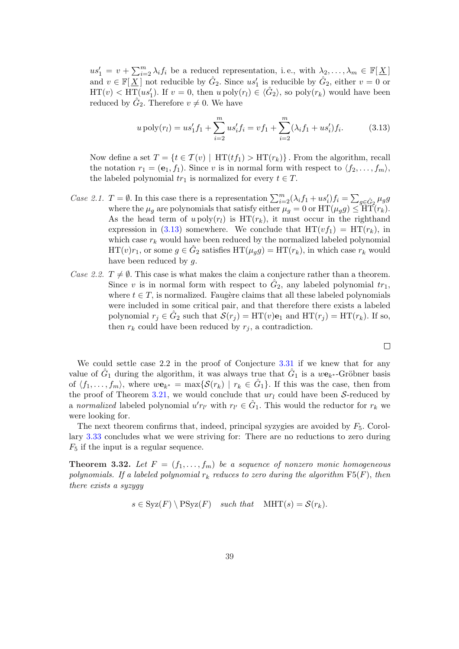<span id="page-40-0"></span> $us'_1 = v + \sum_{i=1}^m$  $\sum_{i=2}^{m} \lambda_i f_i$  be a reduced representation, i.e., with  $\lambda_2, \ldots, \lambda_m \in \mathbb{F}[\underline{X}]$ and  $v \in \mathbb{F}[\underline{X}]$  not reducible by  $\hat{G}_2$ . Since  $us'_1$  is reducible by  $\hat{G}_2$ , either  $v = 0$  or  $HT(v) < HT(us'_1)$ . If  $v = 0$ , then  $u \text{ poly}(r_1) \in \langle \hat{G}_2 \rangle$ , so  $\text{poly}(r_k)$  would have been reduced by  $\hat{G}_2$ . Therefore  $v \neq 0$ . We have

$$
u \operatorname{poly}(r_l) = us'_1 f_1 + \sum_{i=2}^{m} us'_i f_i = v f_1 + \sum_{i=2}^{m} (\lambda_i f_1 + us'_i) f_i.
$$
 (3.13)

Now define a set  $T = \{t \in \mathcal{T}(v) \mid \text{HT}(tf_1) > \text{HT}(r_k)\}\.$  From the algorithm, recall the notation  $r_1 = (e_1, f_1)$ . Since v is in normal form with respect to  $\langle f_2, \ldots, f_m \rangle$ , the labeled polynomial  $tr_1$  is normalized for every  $t \in T$ .

- Case 2.1.  $T = \emptyset$ . In this case there is a representation  $\sum_{i=2}^{m} (\lambda_i f_1 + us'_i) f_i =$  $\overline{ }$  $g\in\hat{G}_2$   $\mu_g g$ where the  $\mu_g$  are polynomials that satisfy either  $\mu_g = 0$  or  $HT(\mu_g g) \le HT(r_k)$ . As the head term of  $u \text{ poly}(r_l)$  is  $HT(r_k)$ , it must occur in the righthand expression in (3.13) somewhere. We conclude that  $HT(vf_1) = HT(r_k)$ , in which case  $r_k$  would have been reduced by the normalized labeled polynomial  $HT(v)r_1$ , or some  $g \in \hat{G}_2$  satisfies  $HT(\mu_g g) = HT(r_k)$ , in which case  $r_k$  would have been reduced by q.
- Case 2.2.  $T \neq \emptyset$ . This case is what makes the claim a conjecture rather than a theorem. Since v is in normal form with respect to  $\hat{G}_2$ , any labeled polynomial  $tr_1$ , where  $t \in T$ , is normalized. Faugère claims that all these labeled polynomials were included in some critical pair, and that therefore there exists a labeled polynomial  $r_j \in \hat{G}_2$  such that  $\mathcal{S}(r_j) = HT(v)\mathbf{e}_1$  and  $HT(r_j) = HT(r_k)$ . If so, then  $r_k$  could have been reduced by  $r_j$ , a contradiction.

We could settle case 2.2 in the proof of Conjecture 3.31 if we knew that for any value of  $\hat{G}_1$  during the algorithm, it was always true that  $\hat{G}_1$  is a  $w\mathbf{e}_{k^*}$ -Gröbner basis of  $\langle f_1,\ldots,f_m\rangle$ , where  $w\mathbf{e}_{k^*} = \max\{\mathcal{S}(r_k) \mid r_k \in \hat{G}_1\}$ . If this was the case, then from the proof of Theorem 3.21, we would conclude that  $ur_l$  could have been S-reduced by a normalized labeled polynomial  $u'r_{l'}$  with  $r_{l'} \in \hat{G}_1$ . Thi[s wou](#page-39-0)ld the reductor for  $r_k$  we were looking for.

The next theorem confirms that, indeed, principal syzygies are avoided by  $F_5$ . Corollary 3.33 concludes w[hat w](#page-24-0)e were striving for: There are no reductions to zero during  $F_5$  if the input is a regular sequence.

**Theorem 3.32.** Let  $F = (f_1, \ldots, f_m)$  be a sequence of nonzero monic homogeneous poly[nomia](#page-41-0)ls. If a labeled polynomial  $r_k$  reduces to zero during the algorithm  $F5(F)$ , then there exists a syzygy

 $s \in Syz(F) \setminus \text{PSyz}(F)$  such that  $\text{MHT}(s) = \mathcal{S}(r_k)$ .

 $\Box$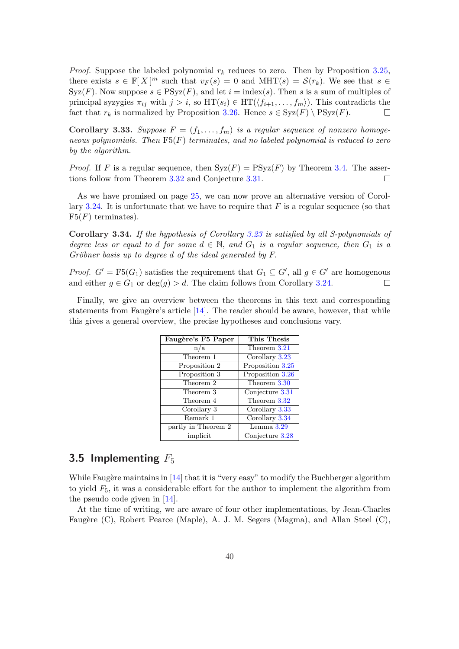<span id="page-41-0"></span>*Proof.* Suppose the labeled polynomial  $r_k$  reduces to zero. Then by Proposition 3.25, there exists  $s \in \mathbb{F}[\underline{X}]^m$  such that  $v_F(s) = 0$  and  $\text{MHT}(s) = \mathcal{S}(r_k)$ . We see that  $s \in \mathbb{F}[\underline{X}]^m$  $Syz(F)$ . Now suppose  $s \in \text{PSyz}(F)$ , and let  $i = \text{index}(s)$ . Then s is a sum of multiples of principal syzygies  $\pi_{ij}$  with  $j > i$ , so  $HT(s_i) \in HT(\langle f_{i+1}, \ldots, f_m \rangle)$ . This contradict[s the](#page-33-0) fact that  $r_k$  is normalized by Proposition 3.26. Hence  $s \in Syz(F) \setminus \text{PSyz}(F)$ .  $\Box$ 

**Corollary 3.33.** Suppose  $F = (f_1, \ldots, f_m)$  is a regular sequence of nonzero homogeneous polynomials. Then  $F5(F)$  terminates, and no labeled polynomial is reduced to zero by the algorithm.

*Proof.* If F is a regular sequence, then  $Syz(F) = PSyz(F)$  by Theorem 3.4. The assertions follow from Theorem 3.32 and Conjecture 3.31.  $\Box$ 

As we have promised on page 25, we can now prove an alternative version of Corollary 3.24. It is unfortunate that we have to require that  $F$  is a regular se[que](#page-16-0)nce (so that  $F5(F)$  terminates).

Corollary 3.34. If the hypothe[sis o](#page-26-0)f Corollary 3.23 is satisfied by all S-polynomials of degr[ee les](#page-26-0)s or equal to d for some  $d \in \mathbb{N}$ , and  $G_1$  is a regular sequence, then  $G_1$  is a Gröbner basis up to degree d of the ideal generated by  $F$ .

*Proof.*  $G' = F5(G_1)$  s[at](#page-25-0)isfies the requirement that  $G_1 \subseteq G'$ , all  $g \in G'$  are homogenous and either  $g \in G_1$  or  $deg(g) > d$ . The claim follows from Corollary 3.24.  $\Box$ 

Finally, we give an overview between the theorems in this text and corresponding statements from Faugère's article  $[14]$ . The reader should be aware, however, that while this gives a general overview, the precise hypotheses and conclusio[ns va](#page-26-0)ry.

| Faugère's F5 Paper  | This Thesis      |
|---------------------|------------------|
| n/a                 | Theorem 3.21     |
| Theorem 1           | Corollary 3.23   |
| Proposition 2       | Proposition 3.25 |
| Proposition 3       | Proposition 3.26 |
| Theorem 2           | Theorem 3.30     |
| Theorem 3           | Conjecture 3.31  |
| Theorem 4           | Theorem 3.32     |
| Corollary 3         | Corollary 3.33   |
| Remark 1            | Corollary 3.34   |
| partly in Theorem 2 | Lemma $3.29$     |
| implicit            | Conjecture 3.28  |

## 3.5 Implementing  $F_5$

While Faugère maintains in  $[14]$  that it is "very easy" to m[odify](#page-35-0) the Buchberger algorithm to yield  $F_5$ , it was a considerable effort for the author to implement the algorithm from the pseudo code given in [14].

At the time of writing, we are aware of four other implementations, by Jean-Charles Faugère (C), Robert Pearc[e \(M](#page-52-0)aple), A. J. M. Segers (Magma), and Allan Steel (C),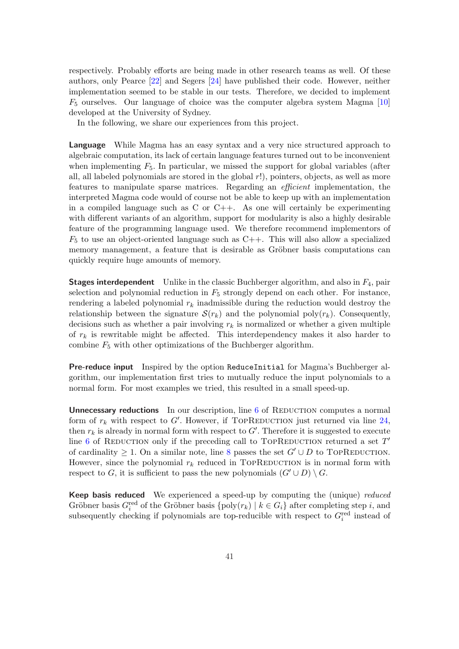respectively. Probably efforts are being made in other research teams as well. Of these authors, only Pearce [22] and Segers [24] have published their code. However, neither implementation seemed to be stable in our tests. Therefore, we decided to implement  $F_5$  ourselves. Our language of choice was the computer algebra system Magma [10] developed at the University of Sydney.

In the following, we [sh](#page-53-0)are our exper[ien](#page-53-0)ces from this project.

Language While Magma has an easy syntax and a very nice structured approac[h to](#page-52-0) algebraic computation, its lack of certain language features turned out to be inconvenient when implementing  $F_5$ . In particular, we missed the support for global variables (after all, all labeled polynomials are stored in the global  $r!$ ), pointers, objects, as well as more features to manipulate sparse matrices. Regarding an efficient implementation, the interpreted Magma code would of course not be able to keep up with an implementation in a compiled language such as  $C$  or  $C++$ . As one will certainly be experimenting with different variants of an algorithm, support for modularity is also a highly desirable feature of the programming language used. We therefore recommend implementors of  $F_5$  to use an object-oriented language such as  $C_{++}$ . This will also allow a specialized memory management, a feature that is desirable as Gröbner basis computations can quickly require huge amounts of memory.

**Stages interdependent** Unlike in the classic Buchberger algorithm, and also in  $F_4$ , pair selection and polynomial reduction in  $F_5$  strongly depend on each other. For instance, rendering a labeled polynomial  $r_k$  inadmissible during the reduction would destroy the relationship between the signature  $\mathcal{S}(r_k)$  and the polynomial poly $(r_k)$ . Consequently, decisions such as whether a pair involving  $r_k$  is normalized or whether a given multiple of  $r_k$  is rewritable might be affected. This interdependency makes it also harder to combine  $F_5$  with other optimizations of the Buchberger algorithm.

Pre-reduce input Inspired by the option ReduceInitial for Magma's Buchberger algorithm, our implementation first tries to mutually reduce the input polynomials to a normal form. For most examples we tried, this resulted in a small speed-up.

**Unnecessary reductions** In our description, line  $6$  of REDUCTION computes a normal form of  $r_k$  with respect to G'. However, if TOPREDUCTION just returned via line 24, then  $r_k$  is already in normal form with respect to  $G'$ . Therefore it is suggested to execute line 6 of REDUCTION only if the preceding call to TOPREDUCTION returned a set  $T'$ of cardinality  $\geq 1$ . On a [s](#page-30-0)imilar note, line 8 passes the set  $G' \cup D$  to TOPREDUCTION. However, since the polynomial  $r_k$  reduced in TOPREDUCTION is in normal form [with](#page-32-0) resp[ec](#page-30-0)t to G, it is sufficient to pass the new polynomials  $(G' \cup D) \setminus G$ .

**Keep basis reduced** We experienced a [spe](#page-30-0)ed-up by computing the (unique) reduced Gröbner basis  $G_i^{\text{red}}$  of the Gröbner basis  $\{\text{poly}(r_k) \mid k \in G_i\}$  after completing step i, and subsequently checking if polynomials are top-reducible with respect to  $G_i^{\text{red}}$  instead of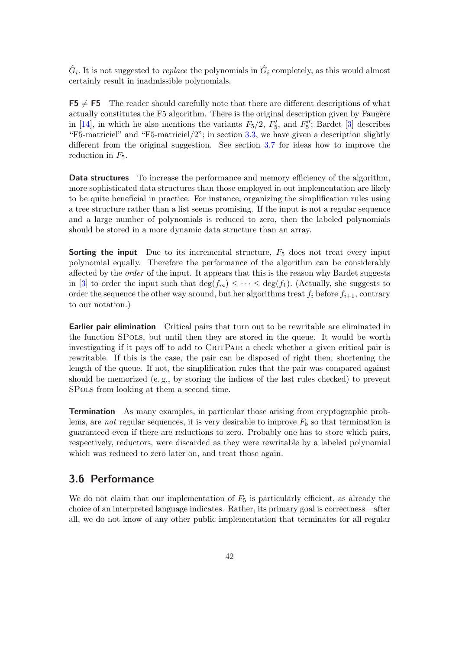$\hat{G}_i$ . It is not suggested to *replace* the polynomials in  $\hat{G}_i$  completely, as this would almost certainly result in inadmissible polynomials.

**F5**  $\neq$  **F5** The reader should carefully note that there are different descriptions of what actually constitutes the F5 algorithm. There is the original description given by Faugère in [14], in which he also mentions the variants  $F_5/2$ ,  $F'_5$ , and  $F''_5$ ; Bardet [3] describes "F5-matriciel" and "F5-matriciel $/2$ "; in section 3.3, we have given a description slightly different from the original suggestion. See section 3.7 for ideas how to improve the red[uct](#page-52-0)ion in  $F_5$ .

**Data structures** To increase the performance [and](#page-26-0) memory efficiency of the algorithm, more sophisticated data structures than those employ[ed i](#page-47-0)n out implementation are likely to be quite beneficial in practice. For instance, organizing the simplification rules using a tree structure rather than a list seems promising. If the input is not a regular sequence and a large number of polynomials is reduced to zero, then the labeled polynomials should be stored in a more dynamic data structure than an array.

**Sorting the input** Due to its incremental structure,  $F_5$  does not treat every input polynomial equally. Therefore the performance of the algorithm can be considerably affected by the *order* of the input. It appears that this is the reason why Bardet suggests in [3] to order the input such that  $\deg(f_m) \leq \cdots \leq \deg(f_1)$ . (Actually, she suggests to order the sequence the other way around, but her algorithms treat  $f_i$  before  $f_{i+1}$ , contrary to our notation.)

**Ea[rlie](#page-51-0)r pair elimination** Critical pairs that turn out to be rewritable are eliminated in the function SPols, but until then they are stored in the queue. It would be worth investigating if it pays off to add to CRITPAIR a check whether a given critical pair is rewritable. If this is the case, the pair can be disposed of right then, shortening the length of the queue. If not, the simplification rules that the pair was compared against should be memorized (e. g., by storing the indices of the last rules checked) to prevent SPols from looking at them a second time.

**Termination** As many examples, in particular those arising from cryptographic problems, are *not* regular sequences, it is very desirable to improve  $F_5$  so that termination is guaranteed even if there are reductions to zero. Probably one has to store which pairs, respectively, reductors, were discarded as they were rewritable by a labeled polynomial which was reduced to zero later on, and treat those again.

## 3.6 Performance

We do not claim that our implementation of  $F_5$  is particularly efficient, as already the choice of an interpreted language indicates. Rather, its primary goal is correctness – after all, we do not know of any other public implementation that terminates for all regular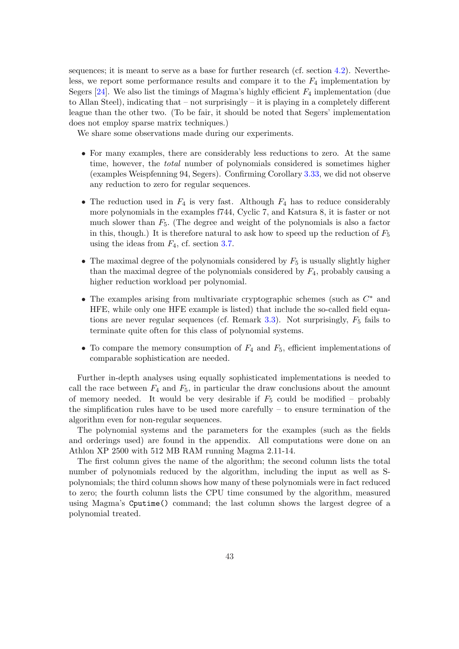sequences; it is meant to serve as a base for further research (cf. section 4.2). Nevertheless, we report some performance results and compare it to the  $F_4$  implementation by Segers [24]. We also list the timings of Magma's highly efficient  $F_4$  implementation (due to Allan Steel), indicating that – not surprisingly – it is playing in a completely different league than the other two. (To be fair, it should be noted that Segers' [imp](#page-49-0)lementation does not employ sparse matrix techniques.)

We s[har](#page-53-0)e some observations made during our experiments.

- For many examples, there are considerably less reductions to zero. At the same time, however, the total number of polynomials considered is sometimes higher (examples Weispfenning 94, Segers). Confirming Corollary 3.33, we did not observe any reduction to zero for regular sequences.
- The reduction used in  $F_4$  is very fast. Although  $F_4$  has to reduce considerably more polynomials in the examples f744, Cyclic 7, and Kat[sura 8](#page-41-0), it is faster or not much slower than  $F_5$ . (The degree and weight of the polynomials is also a factor in this, though.) It is therefore natural to ask how to speed up the reduction of  $F_5$ using the ideas from  $F_4$ , cf. section 3.7.
- The maximal degree of the polynomials considered by  $F_5$  is usually slightly higher than the maximal degree of the polynomials considered by  $F_4$ , probably causing a higher reduction workload per poly[nom](#page-47-0)ial.
- The examples arising from multivariate cryptographic schemes (such as  $C^*$  and HFE, while only one HFE example is listed) that include the so-called field equations are never regular sequences (cf. Remark 3.3). Not surprisingly,  $F_5$  fails to terminate quite often for this class of polynomial systems.
- To compare the memory consumption of  $F_4$  and  $F_5$ , efficient implementations of comparable sophistication are needed.

Further in-depth analyses using equally sophisticated implementations is needed to call the race between  $F_4$  and  $F_5$ , in particular the draw conclusions about the amount of memory needed. It would be very desirable if  $F_5$  could be modified – probably the simplification rules have to be used more carefully – to ensure termination of the algorithm even for non-regular sequences.

The polynomial systems and the parameters for the examples (such as the fields and orderings used) are found in the appendix. All computations were done on an Athlon XP 2500 with 512 MB RAM running Magma 2.11-14.

The first column gives the name of the algorithm; the second column lists the total number of polynomials reduced by the algorithm, including the input as well as Spolynomials; the third column shows how many of these polynomials were in fact reduced to zero; the fourth column lists the CPU time consumed by the algorithm, measured using Magma's Cputime() command; the last column shows the largest degree of a polynomial treated.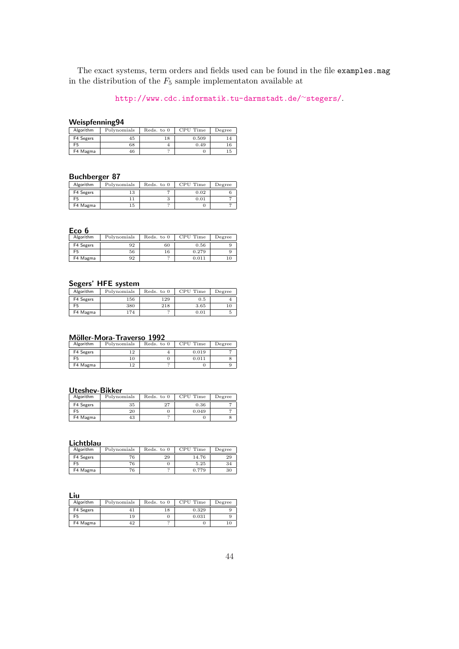The exact systems, term orders and fields used can be found in the file examples.mag in the distribution of the  $F_5$  sample implementaton available at  $\,$ 

## http://www.cdc.informatik.tu-darmstadt.de/∼stegers/.

## Weispfenning94

| Algorithm | Polynomials | Reds. to 0 | CPU Time | Degree |
|-----------|-------------|------------|----------|--------|
| F4 Segers | 45          | 18         | 0.509    |        |
| F5        | 68          |            | 0.49     |        |
| F4 Magma  | 46          |            |          | 15     |

## Buchberger 87

| Algorithm      | Polynomials | Reds. to 0 | CPU Time | Degree |
|----------------|-------------|------------|----------|--------|
| F4 Segers      |             |            | 0.02     |        |
| F <sub>5</sub> |             |            | 0.01     |        |
| F4 Magma       | 15          |            |          |        |

## Eco 6

| Algorithm      | Polynomials | Reds. to 0 | CPU Time | Degree |
|----------------|-------------|------------|----------|--------|
| F4 Segers      | 92          | 60         | 0.56     |        |
| F <sub>5</sub> | 56          | 16         | 0.279    |        |
| F4 Magma       | 92          |            | 0.011    |        |

## Segers' HFE system

| Algorithm | Polynomials | Reds. to 0 | CPU Time | Degree |
|-----------|-------------|------------|----------|--------|
| F4 Segers | 156         | 129        | 0.5      |        |
| F5        | 380         | 218        | 3.65     | 10     |
| F4 Magma  | 174         |            | 0.01     |        |

## Möller-Mora-Traverso 1992

| Algorithm | Polynomials | Reds. to 0 | CPU Time | Degree |
|-----------|-------------|------------|----------|--------|
| F4 Segers |             |            | 0.019    |        |
| F5        | ΙU          |            | 0.011    |        |
| F4 Magma  | 10          |            |          |        |

## Uteshev-Bikker

| Algorithm      | Polynomials | Reds. to 0 | CPU Time | Degree |
|----------------|-------------|------------|----------|--------|
| F4 Segers      | 35          | 27         | 0.36     |        |
| F <sub>5</sub> | 20          |            | 0.049    |        |
| F4 Magma       | 43          |            |          |        |

## **Lichtblau**

| Algorithm      | Polynomials | Reds. to 0 | CPU Time | Degree |
|----------------|-------------|------------|----------|--------|
| F4 Segers      | 76          | 29         | 14.76    | 29     |
| F <sub>5</sub> | 76          |            | 5.25     | 34     |
| F4 Magma       | 76          |            | 0.779    | 30     |

## Liu

| Algorithm      | Polynomials | Reds. to 0 | CPU Time | Degree |
|----------------|-------------|------------|----------|--------|
| F4 Segers      |             | 18         | 0.329    |        |
| F <sub>5</sub> | 19          |            | 0.031    |        |
| F4 Magma       | 42          |            |          |        |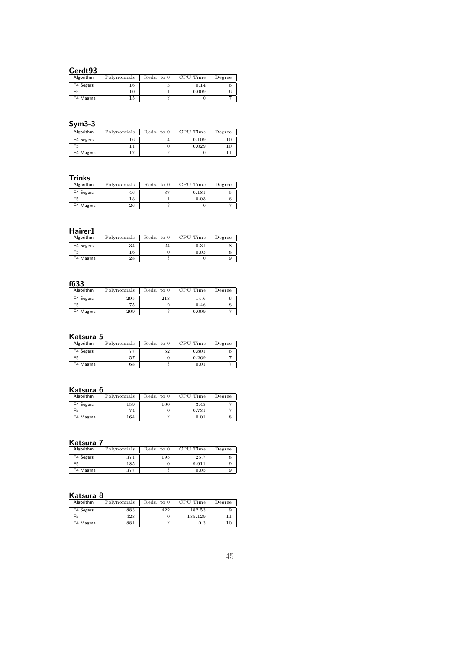## Gerdt93

| Algorithm | Polynomials | Reds. to 0 | CPU Time | Degree |
|-----------|-------------|------------|----------|--------|
| F4 Segers |             |            | 0.14     |        |
| F5        |             |            | 0.009    |        |
| F4 Magma  | 15          |            |          |        |

## Sym3-3

| Algorithm | Polynomials | Reds. to 0 | CPU Time | Degree |
|-----------|-------------|------------|----------|--------|
| F4 Segers |             |            | 0.109    |        |
| F5        |             |            | 0.029    |        |
| F4 Magma  |             |            |          |        |

## **Trinks**

| Algorithm | Polynomials | Reds. to 0 | CPU Time | Degree |
|-----------|-------------|------------|----------|--------|
| F4 Segers | 46          | 37         | 0.181    |        |
| F5        |             |            | 0.03     |        |
| F4 Magma  | 26          |            |          |        |

## Hairer1

| Algorithm | Polynomials | Reds. to $0$ | CPU Time | Degree |
|-----------|-------------|--------------|----------|--------|
| F4 Segers | 34          | 24           | 0.31     |        |
| F5        | 16          |              | 0.03     |        |
| F4 Magma  | 28          |              |          |        |

## f633

| Algorithm | Polynomials | Reds. to 0 | CPU Time | Degree |
|-----------|-------------|------------|----------|--------|
| F4 Segers | 295         | 213        | 14.6     |        |
| F5        | 75          |            | 0.46     |        |
| F4 Magma  | 209         |            | 0.009    |        |

## Katsura 5 **Katsura 5** Katsura 5 **Katsura 6 Katsura 6 Katsura 6 Katsura 6 Katsura 6 Katsura 6 Katsura 6 Katsura 6 Katsura 6 Katsura 6 Katsura 6 Katsura 6 Katsura 6 Katsura 6 Katsura 6 Katsura 6 Katsura 6 Katsura 6 Katsura 6**

| Algorithm      | Polynomials | Reds. to 0 | CPU Time | Degree |
|----------------|-------------|------------|----------|--------|
| F4 Segers      | חח          | 62         | 0.801    |        |
| F <sub>5</sub> | 57          |            | 0.269    |        |
| F4 Magma       | 68          |            | 0.01     |        |

## Katsura 6

| Algorithm      | Polynomials | Reds. to 0 | CPU Time | Degree |
|----------------|-------------|------------|----------|--------|
| F4 Segers      | 159         | 100        | 3.43     |        |
| F <sub>5</sub> | 74          |            | 0.731    |        |
| F4 Magma       | 164         |            | 0.01     |        |

| Katsura        |             |              |          |        |  |
|----------------|-------------|--------------|----------|--------|--|
| Algorithm      | Polynomials | Reds. to $0$ | CPU Time | Degree |  |
| F4 Segers      | 371         | 195          | 25.7     |        |  |
| F <sub>5</sub> | 185         |              | 9.911    |        |  |
| F4 Magma       | 377         |              | 0.05     |        |  |

## Katsura 8

| Algorithm | Polynomials | Reds. to 0 | CPU Time | Degree |
|-----------|-------------|------------|----------|--------|
| F4 Segers | 883         | 422        | 182.53   |        |
| F5        | 423         |            | 135.129  |        |
| F4 Magma  | 881         |            | $_{0.3}$ |        |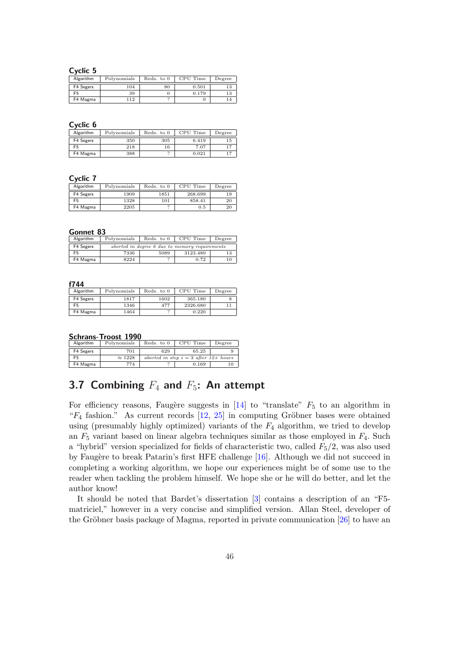### <span id="page-47-0"></span>Cyclic 5

| Algorithm | Polynomials | Reds. to 0 | CPU Time | Degree |
|-----------|-------------|------------|----------|--------|
| F4 Segers | 104         | 80         | 0.501    |        |
| F5        | 39          |            | 0.179    |        |
| F4 Magma  | 112         |            |          |        |

Cyclic 6

| Algorithm      | Polynomials | Reds. to 0 | CPU Time | Degree |
|----------------|-------------|------------|----------|--------|
| F4 Segers      | 350         | 305        | 6.419    | 15     |
| F <sub>5</sub> | 218         | 16         | 7.07     | 17     |
| F4 Magma       | 388         |            | 0.021    | $1 -$  |

Cyclic 7

| Algorithm | Polynomials | Reds. to 0 | CPU Time | Degree |
|-----------|-------------|------------|----------|--------|
| F4 Segers | 1909        | 1851       | 268.699  | 19     |
| F5        | 1328        | 101        | 858.41   | 20     |
| F4 Magma  | 2205        |            | 0.5      | 20     |

Gonnet 83

| Algorithm | Polynomials                                    | Reds. to 0 | CPU Time | Degree |  |
|-----------|------------------------------------------------|------------|----------|--------|--|
| F4 Segers | aborted in degree 6 due to memory requirements |            |          |        |  |
| F5        | 7336                                           | 5089       | 3123.480 | 13     |  |
| F4 Magma  | 8224                                           |            | 0.72     | 10     |  |

f744

| .         |             |            |          |        |
|-----------|-------------|------------|----------|--------|
| Algorithm | Polynomials | Reds. to 0 | CPU Time | Degree |
| F4 Segers | 1817        | 1602       | 365.180  |        |
| F5        | 1346        | 477        | 2326.680 |        |
| F4 Magma  | 1464        |            | 0.220    |        |

Schrans-Troost 1990

| Algorithm | Polynomials    | Reds. to 0                                | CPU Time | Degree |
|-----------|----------------|-------------------------------------------|----------|--------|
| F4 Segers | 701            | 629                                       | 65.25    |        |
| F5        | $\approx 1228$ | aborted in step $i = 3$ after $12+$ hours |          |        |
| F4 Magma  | 774            |                                           | 0.169    | 10     |

## 3.7 Combining  $F_4$  and  $F_5$ : An attempt

For efficiency reasons, Faugère suggests in  $[14]$  to "translate"  $F_5$  to an algorithm in " $F_4$  fashion." As current records  $[12, 25]$  in computing Gröbner bases were obtained using (presumably highly optimized) variants of the  $F_4$  algorithm, we tried to develop an  $F_5$  variant based on linear algebra techniques similar as those employed in  $F_4$ . Such a "hybrid" version specialized for fields of ch[arac](#page-52-0)teristic two, called  $F_5/2$ , was also used by Faugère to break Patarin's first [HF](#page-52-0)[E ch](#page-53-0)allenge  $[16]$ . Although we did not succeed in completing a working algorithm, we hope our experiences might be of some use to the reader when tackling the problem himself. We hope she or he will do better, and let the author know!

It should be noted that Bardet's dissertation [[3\] c](#page-52-0)ontains a description of an "F5 matriciel," however in a very concise and simplified version. Allan Steel, developer of the Gröbner basis package of Magma, reported in private communication  $[26]$  to have an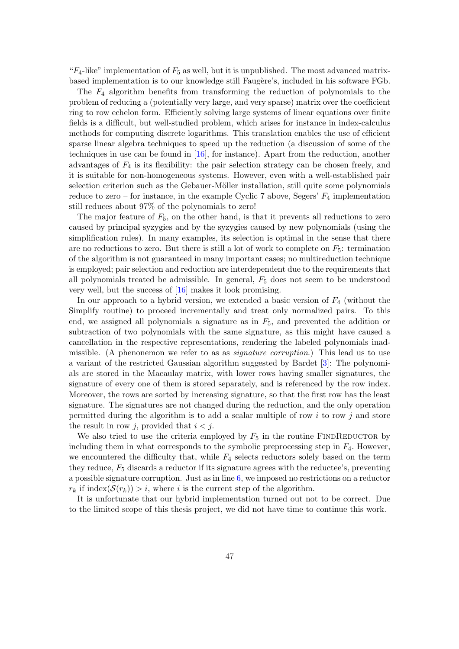" $F_4$ -like" implementation of  $F_5$  as well, but it is unpublished. The most advanced matrixbased implementation is to our knowledge still Faugère's, included in his software FGb.

The  $F_4$  algorithm benefits from transforming the reduction of polynomials to the problem of reducing a (potentially very large, and very sparse) matrix over the coefficient ring to row echelon form. Efficiently solving large systems of linear equations over finite fields is a difficult, but well-studied problem, which arises for instance in index-calculus methods for computing discrete logarithms. This translation enables the use of efficient sparse linear algebra techniques to speed up the reduction (a discussion of some of the techniques in use can be found in  $[16]$ , for instance). Apart from the reduction, another advantages of  $F_4$  is its flexibility: the pair selection strategy can be chosen freely, and it is suitable for non-homogeneous systems. However, even with a well-established pair selection criterion such as the Gebauer-Möller installation, still quite some polynomials reduce to zero – for instance, in t[he e](#page-52-0)xample Cyclic 7 above, Segers'  $F_4$  implementation still reduces about 97% of the polynomials to zero!

The major feature of  $F_5$ , on the other hand, is that it prevents all reductions to zero caused by principal syzygies and by the syzygies caused by new polynomials (using the simplification rules). In many examples, its selection is optimal in the sense that there are no reductions to zero. But there is still a lot of work to complete on  $F_5$ : termination of the algorithm is not guaranteed in many important cases; no multireduction technique is employed; pair selection and reduction are interdependent due to the requirements that all polynomials treated be admissible. In general,  $F_5$  does not seem to be understood very well, but the success of [16] makes it look promising.

In our approach to a hybrid version, we extended a basic version of  $F_4$  (without the Simplify routine) to proceed incrementally and treat only normalized pairs. To this end, we assigned all polynomials a signature as in  $F_5$ , and prevented the addition or subtraction of two polynomi[als](#page-52-0) with the same signature, as this might have caused a cancellation in the respective representations, rendering the labeled polynomials inadmissible. (A phenonemon we refer to as as *signature corruption*.) This lead us to use a variant of the restricted Gaussian algorithm suggested by Bardet [3]: The polynomials are stored in the Macaulay matrix, with lower rows having smaller signatures, the signature of every one of them is stored separately, and is referenced by the row index. Moreover, the rows are sorted by increasing signature, so that the first row has the least signature. The signatures are not changed during the reduction, and [th](#page-51-0)e only operation permitted during the algorithm is to add a scalar multiple of row  $i$  to row j and store the result in row j, provided that  $i < j$ .

We also tried to use the criteria employed by  $F_5$  in the routine FINDREDUCTOR by including them in what corresponds to the symbolic preprocessing step in  $F_4$ . However, we encountered the difficulty that, while  $F_4$  selects reductors solely based on the term they reduce,  $F_5$  discards a reductor if its signature agrees with the reductee's, preventing a possible signature corruption. Just as in line 6, we imposed no restrictions on a reductor  $r_k$  if index $(\mathcal{S}(r_k)) > i$ , where i is the current step of the algorithm.

It is unfortunate that our hybrid implementation turned out not to be correct. Due to the limited scope of this thesis project, we [d](#page-30-0)id not have time to continue this work.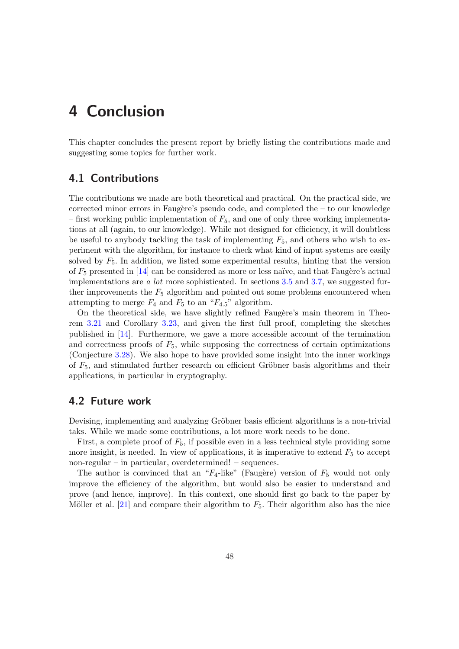# <span id="page-49-0"></span>4 Conclusion

This chapter concludes the present report by briefly listing the contributions made and suggesting some topics for further work.

## 4.1 Contributions

The contributions we made are both theoretical and practical. On the practical side, we corrected minor errors in Faugère's pseudo code, and completed the  $-$  to our knowledge – first working public implementation of  $F_5$ , and one of only three working implementations at all (again, to our knowledge). While not designed for efficiency, it will doubtless be useful to anybody tackling the task of implementing  $F_5$ , and others who wish to experiment with the algorithm, for instance to check what kind of input systems are easily solved by  $F_5$ . In addition, we listed some experimental results, hinting that the version of  $F_5$  presented in [14] can be considered as more or less naïve, and that Faugère's actual implementations are a lot more sophisticated. In sections  $3.5$  and  $3.7$ , we suggested further improvements the  $F_5$  algorithm and pointed out some problems encountered when attempting to merge  $F_4$  and  $F_5$  to an " $F_{4.5}$ " algorithm.

On the theoreti[cal](#page-52-0) side, we have slightly refined Faugère's main theorem in Theorem 3.21 and Corollary 3.23, and given the first full p[roof](#page-41-0), co[mple](#page-47-0)ting the sketches published in [14]. Furthermore, we gave a more accessible account of the termination and correctness proofs of  $F_5$ , while supposing the correctness of certain optimizations (Conjecture 3.28). We also hope to have provided some insight into the inner workings of  $F_5$ , [an](#page-24-0)d stimulated fu[rther](#page-25-0) research on efficient Gröbner basis algorithms and their applications, [in p](#page-52-0)articular in cryptography.

## 4.2 Futu[re w](#page-35-0)ork

Devising, implementing and analyzing Gröbner basis efficient algorithms is a non-trivial taks. While we made some contributions, a lot more work needs to be done.

First, a complete proof of  $F_5$ , if possible even in a less technical style providing some more insight, is needed. In view of applications, it is imperative to extend  $F_5$  to accept non-regular – in particular, overdetermined! – sequences.

The author is convinced that an " $F_4$ -like" (Faugère) version of  $F_5$  would not only improve the efficiency of the algorithm, but would also be easier to understand and prove (and hence, improve). In this context, one should first go back to the paper by Möller et al.  $[21]$  and compare their algorithm to  $F_5$ . Their algorithm also has the nice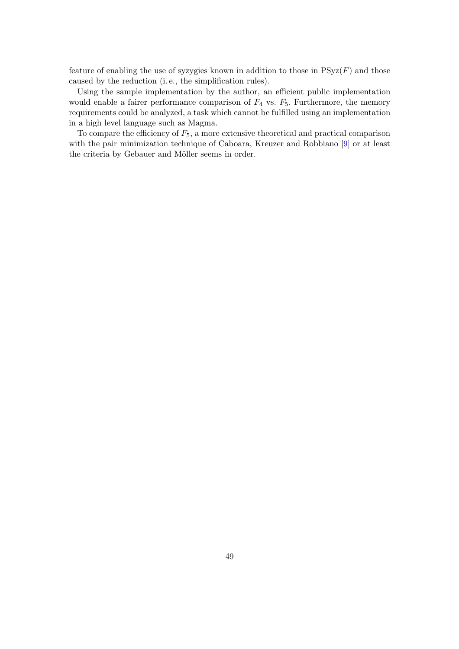feature of enabling the use of syzygies known in addition to those in  $PSyz(F)$  and those caused by the reduction (i. e., the simplification rules).

Using the sample implementation by the author, an efficient public implementation would enable a fairer performance comparison of  $F_4$  vs.  $F_5$ . Furthermore, the memory requirements could be analyzed, a task which cannot be fulfilled using an implementation in a high level language such as Magma.

To compare the efficiency of  $F_5$ , a more extensive theoretical and practical comparison with the pair minimization technique of Caboara, Kreuzer and Robbiano [9] or at least the criteria by Gebauer and Möller seems in order.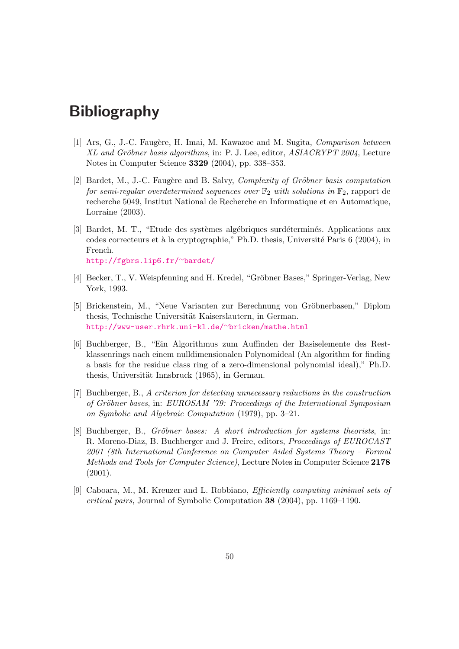# <span id="page-51-0"></span>Bibliography

- [1] Ars, G., J.-C. Faugère, H. Imai, M. Kawazoe and M. Sugita, *Comparison between* XL and Gröbner basis algorithms, in: P. J. Lee, editor, ASIACRYPT 2004, Lecture Notes in Computer Science 3329 (2004), pp. 338–353.
- [2] Bardet, M., J.-C. Faugère and B. Salvy, *Complexity of Gröbner basis computation* for semi-regular overdetermined sequences over  $\mathbb{F}_2$  with solutions in  $\mathbb{F}_2$ , rapport de recherche 5049, Institut National de Recherche en Informatique et en Automatique, Lorraine (2003).
- [3] Bardet, M. T., "Etude des systèmes algébriques surdéterminés. Applications aux codes correcteurs et à la cryptographie," Ph.D. thesis, Université Paris 6 (2004), in French. http://fgbrs.lip6.fr/∼bardet/
- [4] Becker, T., V. Weispfenning and H. Kredel, "Gröbner Bases," Springer-Verlag, New York, 1993.
- [5] [Brickenstein, M., "Neue Varianten](http://fgbrs.lip6.fr/~bardet/) zur Berechnung von Gröbnerbasen," Diplom thesis, Technische Universität Kaiserslautern, in German. http://www-user.rhrk.uni-kl.de/∼bricken/mathe.html
- [6] Buchberger, B., "Ein Algorithmus zum Auffinden der Basiselemente des Restklassenrings nach einem nulldimensionalen Polynomideal (An algorithm for finding [a basis for the residue class ring of a zero-dimensional poly](http://www-user.rhrk.uni-kl.de/~bricken/mathe.html)nomial ideal)," Ph.D. thesis, Universität Innsbruck (1965), in German.
- [7] Buchberger, B., A criterion for detecting unnecessary reductions in the construction of Gröbner bases, in:  $EUROSAM$  '79: Proceedings of the International Symposium on Symbolic and Algebraic Computation (1979), pp. 3–21.
- [8] Buchberger, B., Gröbner bases: A short introduction for systems theorists, in: R. Moreno-Diaz, B. Buchberger and J. Freire, editors, Proceedings of EUROCAST 2001 (8th International Conference on Computer Aided Systems Theory – Formal Methods and Tools for Computer Science), Lecture Notes in Computer Science 2178 (2001).
- [9] Caboara, M., M. Kreuzer and L. Robbiano, Efficiently computing minimal sets of critical pairs, Journal of Symbolic Computation 38 (2004), pp. 1169–1190.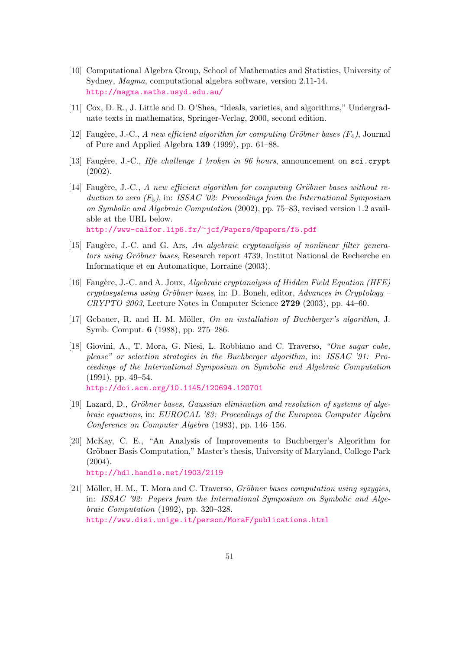- <span id="page-52-0"></span>[10] Computational Algebra Group, School of Mathematics and Statistics, University of Sydney, Magma, computational algebra software, version 2.11-14. http://magma.maths.usyd.edu.au/
- [11] Cox, D. R., J. Little and D. O'Shea, "Ideals, varieties, and algorithms," Undergraduate texts in mathematics, Springer-Verlag, 2000, second edition.
- [12] Faugère, J.-C., [A new efficient algorith](http://magma.maths.usyd.edu.au/)m for computing Gröbner bases  $(F_4)$ , Journal of Pure and Applied Algebra 139 (1999), pp. 61–88.
- [13] Faugère, J.-C., *Hfe challenge 1 broken in 96 hours*, announcement on sci.crypt (2002).
- [14] Faugère, J.-C., A new efficient algorithm for computing Gröbner bases without reduction to zero  $(F_5)$ , in: ISSAC '02: Proceedings from the International Symposium on Symbolic and Algebraic Computation (2002), pp. 75–83, revised version 1.2 available at the URL below. http://www-calfor.lip6.fr/∼jcf/Papers/@papers/f5.pdf
- [15] Faugère, J.-C. and G. Ars, An algebraic cryptanalysis of nonlinear filter generators using Gröbner bases, Research report 4739, Institut National de Recherche en [Informatique et en Automatique, Lorraine \(2003\).](http://www-calfor.lip6.fr/~jcf/Papers/@papers/f5.pdf)
- [16] Faugère, J.-C. and A. Joux, Algebraic cryptanalysis of Hidden Field Equation (HFE) cryptosystems using Gröbner bases, in: D. Boneh, editor, Advances in Cryptology –  $CRYPTO$  2003, Lecture Notes in Computer Science 2729 (2003), pp. 44–60.
- [17] Gebauer, R. and H. M. Möller, On an installation of Buchberger's algorithm, J. Symb. Comput. 6 (1988), pp. 275–286.
- [18] Giovini, A., T. Mora, G. Niesi, L. Robbiano and C. Traverso, "One sugar cube, please" or selection strategies in the Buchberger algorithm, in: ISSAC '91: Proceedings of the International Symposium on Symbolic and Algebraic Computation (1991), pp. 49–54. http://doi.acm.org/10.1145/120694.120701
- $[19]$  Lazard, D., Gröbner bases, Gaussian elimination and resolution of systems of algebraic equations, in: EUROCAL '83: Proceedings of the European Computer Algebra
- [Conference on Computer Algebra](http://doi.acm.org/10.1145/120694.120701) (1983), pp. 146–156. [20] McKay, C. E., "An Analysis of Improvements to Buchberger's Algorithm for
- Gröbner Basis Computation," Master's thesis, University of Maryland, College Park  $(2004).$ http://hdl.handle.net/1903/2119
- $[21]$  Möller, H. M., T. Mora and C. Traverso, *Gröbner bases computation using syzygies*, in: ISSAC '92: Papers from the International Symposium on Symbolic and Alge[braic Computation](http://hdl.handle.net/1903/2119) (1992), pp. 320–328. http://www.disi.unige.it/person/MoraF/publications.html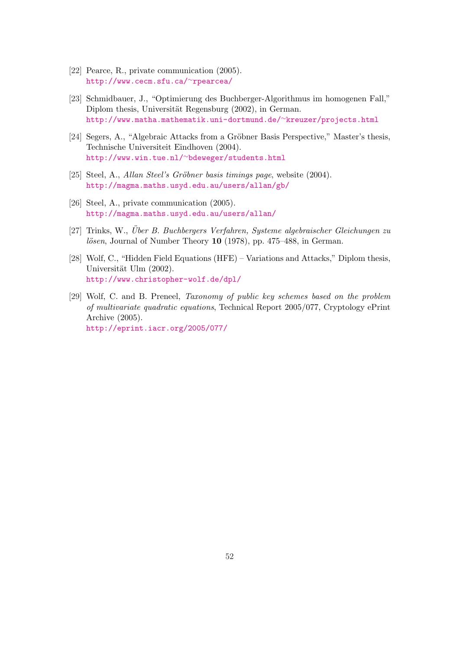- <span id="page-53-0"></span>[22] Pearce, R., private communication (2005). http://www.cecm.sfu.ca/∼rpearcea/
- [23] Schmidbauer, J., "Optimierung des Buchberger-Algorithmus im homogenen Fall," Diplom thesis, Universität Regensburg (2002), in German. [http://www.matha.mathematik.uni-do](http://www.cecm.sfu.ca/~rpearcea/)rtmund.de/∼kreuzer/projects.html
- [24] Segers, A., "Algebraic Attacks from a Gröbner Basis Perspective," Master's thesis, Technische Universiteit Eindhoven (2004). [http://www.win.tue.nl/](http://www.matha.mathematik.uni-dortmund.de/~kreuzer/projects.html)∼bdeweger/students.html
- [25] Steel, A., Allan Steel's Gröbner basis timings page, website (2004). http://magma.maths.usyd.edu.au/users/allan/gb/
- [26] [Steel, A., private communication \(2005\).](http://www.win.tue.nl/~bdeweger/students.html) http://magma.maths.usyd.edu.au/users/allan/
- [27] Trinks, W., Über B. Buchbergers Verfahren, Systeme algebraischer Gleichungen zu  $lösen$ , Journal of Number Theory 10 (1978), pp. 475–488, in German.
- [28] [Wolf, C., "Hidden Field Equations \(HFE\) Variation](http://magma.maths.usyd.edu.au/users/allan/)s and Attacks," Diplom thesis, Universität Ulm (2002). http://www.christopher-wolf.de/dpl/
- [29] Wolf, C. and B. Preneel, Taxonomy of public key schemes based on the problem of multivariate quadratic equations, Technical Report 2005/077, Cryptology ePrint [Archive \(2005\).](http://www.christopher-wolf.de/dpl/) http://eprint.iacr.org/2005/077/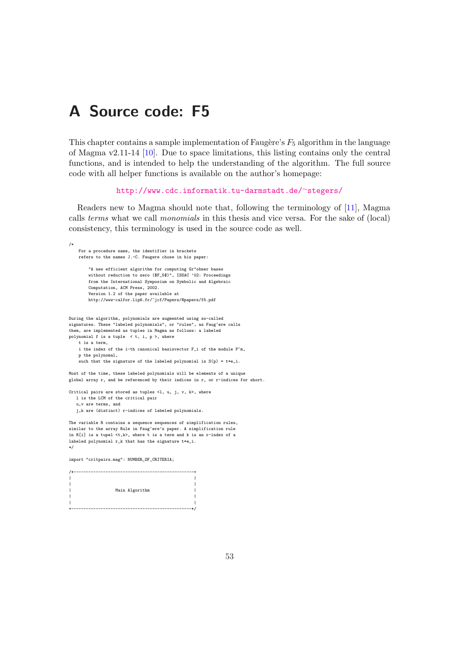## A Source code: F5

This chapter contains a sample implementation of Faugère's  $F_5$  algorithm in the language of Magma v2.11-14 [10]. Due to space limitations, this listing contains only the central functions, and is intended to help the understanding of the algorithm. The full source code with all helper functions is available on the author's homepage:

http:/[/ww](#page-52-0)w.cdc.informatik.tu-darmstadt.de/∼stegers/

Readers new to Magma should note that, following the terminology of [11], Magma calls terms what we call monomials in this thesis and vice versa. For the sake of (local) consistency, [this terminology is used in the source code as well.](http://www.cdc.informatik.tu-darmstadt.de/~stegers/)

/\* For a procedure name, the identifier in brackets refers to the names J.-C. Faugere chose in his paper: "A new efficient algorithm for computing Gr"obner bases without reduction to zero (\$F\_5\$)", ISSAC '02: Proceedings from the International Symposium on Symbolic and Algebraic Computation, ACM Press, 2002. Version 1.2 of the paper available at http://www-calfor.lip6.fr/~jcf/Papers/@papers/f5.pdf During the algorithm, polynomials are augmented using so-called signatures. These "labeled polynomials", or "rules", as Faug'ere calls them, are implemented as tuples in Magma as follows: a labeled polynomial f is a tuple  $\langle t, i, p \rangle$ , where t is a term, i the index of the i-th canonical basisvector F\_i of the module P^m, p the polynomal, such that the signature of the labeled polynomial is  $S(p) = t*e_i$ . Most of the time, these labeled polynomials will be elements of a unique global array r, and be referenced by their indices in r, or r-indices for short. Critical pairs are stored as tuples  $\langle 1, u, j, v, k \rangle$ , where l is the LCM of the critical pair u,v are terms, and j,k are (distinct) r-indices of labeled polynomials.

The variable R contains a sequence sequences of simplification rules, similar to the array Rule in Faug'ere's paper. A simplification rule in R[i] is a tupel <t,k>, where t is a term and k is an r-index of a labeled polynomial r\_k that has the signature t\*e\_i. \*/

import "critpairs.mag": NUMBER\_OF\_CRITERIA;

| Main Algorithm |
|----------------|
|                |
|                |
|                |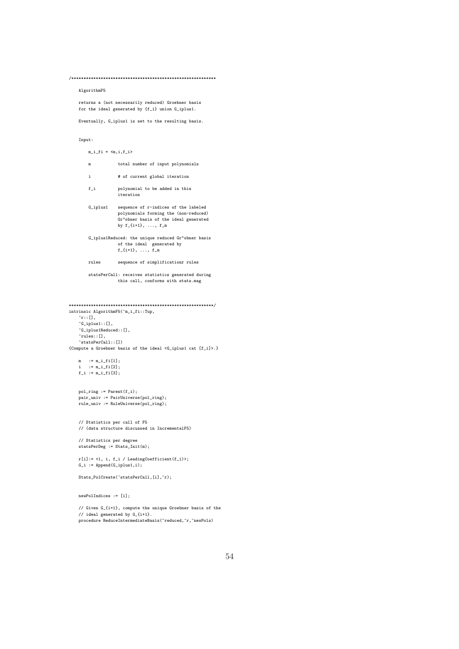### AlgorithmF5

returns a (not necessarily reduced) Groebner basis for the ideal generated by {f\_i} union G\_iplus1.

Eventually, G\_iplus1 is set to the resulting basis.

### $Input:$

 $m_i_f_i = \langle m, i, f_i \rangle$ 

|  |  |  |  |  | total number of input polynomials |
|--|--|--|--|--|-----------------------------------|
|--|--|--|--|--|-----------------------------------|

- $\mathcal{A}^{\pm}$ # of current global iteration
- $f_i$ polynomial to be added in this iteration
- G\_iplus1 sequence of r-indices of the labeled polynomials forming the (non-reduced)<br>Gr"obner basis of the ideal generated by  $f_{-}\{i+1\}, \ldots, f_{-}m$
- G\_iplus1Reduced: the unique reduced Gr"obner basis of the ideal generated by<br> $f_{-}\{i+1\}$ , ...,  $f_{-}m$
- sequence of simplificationr rules rules

statsPerCall: receives statistics generated during this call, conforms with stats.mag

intrinsic AlgorithmF5("m\_i\_fi::Tup,

 $\tilde{r}::[1,1]$  $\verb|^G_iiplus1::[]|$  ,  $\ulcorner \mathtt{G\_iplus1Reduced}:\left[\;\right],$  $\sim$ rules:: $[]$ ,

 $\text{``statsPerCall::[])}$ {Compute a Groebner basis of the ideal <G\_iplus1 cat [f\_i]>.}

```
m \qquad := m_i_i_f[i] ;i := m i f i[2]:f_i := m_i_f[i]
```
 $\verb!pol_ring := Parent(f_i);$ pair\_univ := PairUniverse(pol\_ring);<br>rule\_univ := RuleUniverse(pol\_ring);

// Statistics per call of F5 // (data structure discussed in IncrementalF5)

// Statistics per degree  $\mathtt{statsPerDeg} \; \texttt{:=} \; \mathtt{Stats\_Init(m)} \, ;$ 

 $r[i] := \langle 1, i, f_i \rangle$  LeadingCoefficient(f\_i)>;  $G_i$  := Append( $G_i$ plus1,i);

Stats\_PolCreate("statsPerCall,[i],"r);

 $newPolIndices := [i];$ 

// Given G\_{i+1}, compute the unique Groebner basis of the // ideal generated by G\_{i+1}.<br>procedure ReduceIntermediateBasis("reduced,"r,"newPols)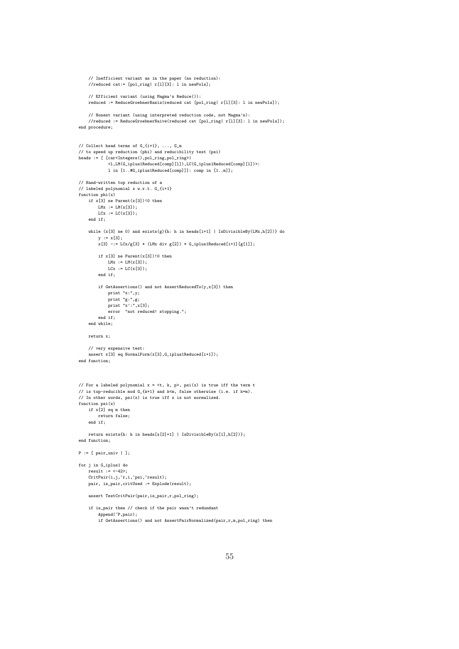```
// Inefficient variant as in the paper (no reduction):
    //reduced cat:= [pol_ring| r[l][3]: l in newPols];
    // Efficient variant (using Magma's Reduce()):
    reduced := ReduceGroebnerBasis(reduced cat [pol_ring| r[l][3]: l in newPols]);
    // Honest variant (using interpreted reduction code, not Magma's):
    //reduced := ReduceGroebnerNaive(reduced cat [pol_ring| r[l][3]: l in newPols]);
end procedure;
// Collect head terms of G_{i+1}, ..., G_m
// to speed up reduction (phi) and reducibility test (psi)
heads := [ [car<Integers(),pol_ring,pol_ring>|
            <l,LM(G_iplus1Reduced[comp][l]),LC(G_iplus1Reduced[comp][l])>:
            l in [1..#G_iplus1Reduced[comp]]]: comp in [1..m]];
// Hand-written top reduction of a
// labeled polynomial x w.r.t. G_{i+1}
function phi(x)
    if x[3] ne Parent(x[3])!0 then
       LMx := LM(x[3]);
       LCx := LC(x[3]):
    end if:while (x[3] ne 0) and exists(g){h: h in heads[i+1] | IsDivisibleBy(LMx,h[2])} do
        y := x[3];x[3] -:= LCx/g[3] * (LMx div g[2]) * G_iplus1Reduced[i+1][g[1]];
        if x[3] ne Parent(x[3])!0 then
            LMx := LM(x[3]):
            LCx := LC(x[3]):
        end if;
        if GetAssertions() and not AssertReducedTo(y,x[3]) then
            print "x:",y;
            print "g:",g;
            print "x": ", x[3];error "not reduced! stopping.";
        end if;
    end while;
    return x;
    // very expensive test:
    assert x[3] eq NormalForm(x[3],G_iplus1Reduced[i+1]);
end function;
// For a labeled polynomial x = \langle t, k, p \rangle, psi(x) is true iff the term t
// is top-reducible mod G_{-}{k+1} and k<m, false otherwise (i.e. if k=m).
// In other words, psi(x) is true iff x is not normalized.
function psi(x)
   if x[2] eq m then
       return false;
    end if;
   return exists{h: h in heads[x[2]+1] | IsDivisibleBy(x[1],h[2])};
end function;
P := [ pair\_univ | ];
for j in G_iplus1 do
    result := \leftarrow 42>:
    CritPair(i,j,~r,i,~psi,~result);
    pair, is_pair,critUsed := Explode(result);
    assert TestCritPair(pair,is_pair,r,pol_ring);
    if is_pair then // check if the pair wasn't redundant
        Append(~P,pair);
        if GetAssertions() and not AssertPairNormalized(pair,r,m,pol_ring) then
```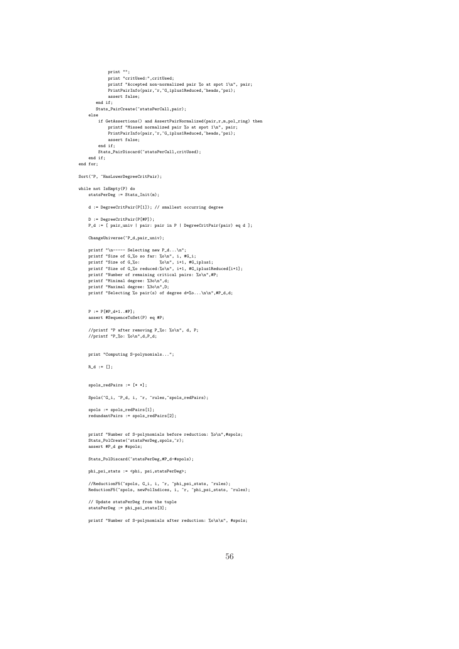```
print "";
             print "critUsed:",critUsed;
             printf "Accepted non-normalized pair %o at spot 1\n", pair;
             PrintPairInfo(pair,~r,~G_iplus1Reduced,~heads,~psi);
             assert false;
       end if;
       Stats_PairCreate(~statsPerCall,pair);
    else
        if GetAssertions() and AssertPairNormalized(pair,r,m,pol_ring) then
             printf "Missed normalized pair ‰o at spot 1\n", pair;<br>PrintPairInfo(pair,~r,~G_iplus1Reduced,~heads,~psi);
             assert false;
        end if;
        Stats_PairDiscard(~statsPerCall,critUsed);
    end if;
end for;
Sort(~P, ~HasLowerDegreeCritPair);
while not IsEmpty(P) do
   statsPerDeg := Stats_Init(m);
    d := DegreeCritPair(P[1]); // smallest occurring degree
    D := DegreeCritPair(P[#P]);
    P_d := [ pair_univ | pair: pair in P | DegreeCritPair(pair) eq d ];
    ChangeUniverse(~P_d,pair_univ);
    printf "\n----- Selecting new P_d...\n";
    printf "Size of G_{\infty} so far: %o\n", i, #G_i;
     printf "Size of G_%o: %o\n", i+1, #G_iplus1;
printf "Size of G_%o reduced:%o\n", i+1, #G_iplus1Reduced[i+1];
    printf "Number of remaining critical pairs: %o\n",#P;
    printf "Minimal degree: %3o\n",d;
    printf "Maximal degree: %3o\n",D;
    printf "Selecting %o pair(s) of degree d=%o...\n\n",#P_d,d;
    P := P[HP_d+1..#P];assert #SequenceToSet(P) eq #P;
     //printf "P after removing P_%o: %o\n", d, P;
//printf "P_%o: %o\n",d,P_d;
    print "Computing S-polynomials...";
    R d := \Box;
    spols_redPairs := [* *];
    Spols(~G_i, ~P_d, i, ~r, ~rules,~spols_redPairs);
    spols := spols_redPairs[1];
    redundantPairs := spols_redPairs[2];
    printf "Number of S-polynomials before reduction: %o\n",#spols;
    Stats_PolCreate(~statsPerDeg,spols,~r);
    assert #P_d ge #spols;
    Stats_PolDiscard(~statsPerDeg,#P_d-#spols);
    phi_psi_stats := <phi, psi,statsPerDeg>;
    // \verb"ReductionF5("spols, G_i, i, "r, "phi_psi_stats, "rules);ReductionF5(~spols, newPolIndices, i, ~r, ~phi_psi_stats, ~rules);
    // Update statsPerDeg from the tuple
    statsPerDeg := phi_psi_stats[3];
    printf "Number of S-polynomials after reduction: %o\n\n", #spols;
```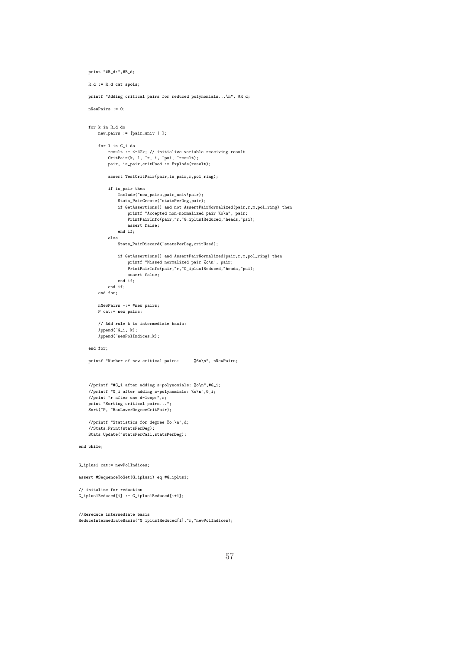```
print "#R_d:",#R_d;
```
 $R_d := R_d$  cat spols;

printf "Adding critical pairs for reduced polynomials... $\n\cdot \n\cdot n$ ", #R\_d;

```
nNewPairs := 0;
```

```
for k in R_d do
    new_pairs := [pair_univ | ];
    for l in G_i do
        result := <-42>; // initialize variable receiving result
        CritPair(k, 1, ~r, i, ~psi, ~result);
        pair, is_pair,critUsed := Explode(result);
        assert TestCritPair(pair,is_pair,r,pol_ring);
        if is_pair then
             Include(~new_pairs,pair_univ!pair);
             Stats_PairCreate(~statsPerDeg,pair);
            if GetAssertions() and not AssertPairNormalized(pair,r,m,pol_ring) then
                  printf "Accepted non-normalized pair %o\n", pair;<br>PrintPairInfo(pair,~r,~G_iplus1Reduced,~heads,~psi);
                 assert false;
            end if;
        else
            Stats_PairDiscard(~statsPerDeg,critUsed);
             if GetAssertions() and AssertPairNormalized(pair,r,m,pol_ring) then
                 printf "Missed normalized pair %o\n", pair;
                 PrintPairInfo(pair,~r,~G_iplus1Reduced,~heads,~psi);
                 assert false;
             end if;
        end if;
    end for;
    nNewPairs +:= #new_pairs;
    P cat:= new_pairs;
    // Add rule k to intermediate basis:
     Append(~G_i, k);
Append(~newPolIndices,k);
end for;
```
printf "Number of new critical pairs: %6o\n", nNewPairs;

```
//printf "#G_i after adding s-polynomials: %o\n",#G_i;
//printf "G_i after adding s-polynomials: %o\n",G_i;
//print "r after one d-loop:",r;
print "Sorting critical pairs...";
Sort(~P, ~HasLowerDegreeCritPair);
```
//printf "Statistics for degree %o:\n",d; //Stats\_Print(statsPerDeg); Stats\_Update(~statsPerCall,statsPerDeg);

end while;

#### G\_iplus1 cat:= newPolIndices;

assert #SequenceToSet(G\_iplus1) eq #G\_iplus1;

```
// initalize for reduction
G_iplus1Reduced[i] := G_iplus1Reduced[i+1];
```

```
//Rereduce intermediate basis
\texttt{ReduceIntermediateBasis("G\_iplus1ReduceId[i], "r, "newPolIndices)};
```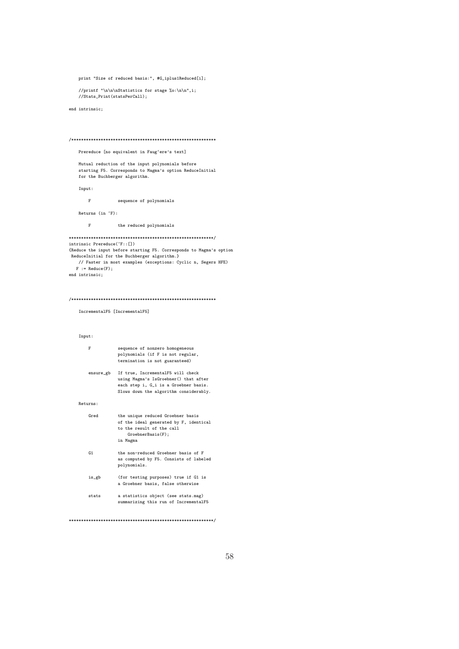print "Size of reduced basis:", #G\_iplus1Reduced[i];

//printf "\n\n\nStatistics for stage %o:\n\n",i; //Stats\_Print(statsPerCall);

end intrinsic;

### 

Prereduce [no equivalent in Faug'ere's text]

Mutual reduction of the input polynomials before starting F5. Corresponds to Magma's option ReduceInitial for the Buchberger algorithm.

Input:  $\mathbf{F}$ 

sequence of polynomials

Returns (in  $\tilde{}$ F):

 $\mathbf{F}$ the reduced polynomials

 $\small \texttt{intrinsic} \; \texttt{Prereduce}(\texttt{``F::}[]) \\$ {Reduce the input before starting F5. Corresponds to Magma's option deduce Initial for the Buchberger algorithm.}<br>Neduce Initial for the Buchberger algorithm.}<br>// Faster in most examples (exceptions: Cyclic n, Segers HFE)<br>F := Reduce(F); end intrinsic;

IncrementalF5 [IncrementalF5]

 $Input:$ 

| F              | sequence of nonzero homogeneous<br>polynomials (if F is not regular,<br>termination is not guaranteed)                                                        |
|----------------|---------------------------------------------------------------------------------------------------------------------------------------------------------------|
| ensure_gb      | If true, IncrementalF5 will check<br>using Magma's IsGroebner() that after<br>each step i, G_i is a Groebner basis.<br>Slows down the algorithm considerably. |
| Returns:       |                                                                                                                                                               |
| Gred           | the unique reduced Groebner basis<br>of the ideal generated by F, identical<br>to the result of the call<br>GroebnerBasis(F):<br>in Magma                     |
| G <sub>1</sub> | the non-reduced Groebner basis of F<br>as computed by F5. Consists of labeled<br>polynomials.                                                                 |
| is_gb          | (for testing purposes) true if G1 is<br>a Groebner basis, false otherwise                                                                                     |
| stats          | a statistics object (see stats.mag)<br>summarizing this run of IncrementalF5                                                                                  |
|                |                                                                                                                                                               |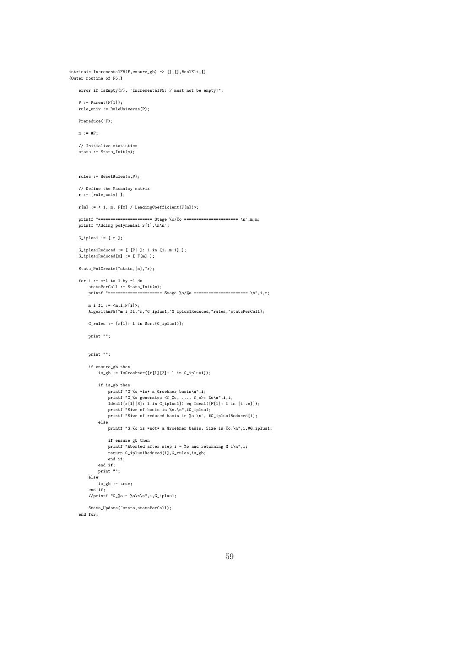```
intrinsic IncrementalF5(F,ensure_gb) -> [],[],BoolElt,[]
{Outer routine of F5.}
```
error if IsEmpty(F), "IncrementalF5: F must not be empty!";

 $P := Parent(F[1])$ ; rule\_univ := RuleUniverse(P);

Prereduce( $\tilde{}$ F);

 $m := #F$ ;

// Initialize statistics stats := Stats\_Init(m);

rules :=  $ResetRules(m.P)$ ;

// Define the Macaulay matrix  $\mathtt{r}\ :=\ \left[\texttt{rule\_univ}\,|\ \ \right];$ 

 $\texttt{r[m]} := \texttt{<1, m}, \texttt{F[m]} \texttt{ / leadingCoefficient(F[m])>};$ 

```
printf "======================= Stage %o/%o ====================== \n",m,m;
printf "Adding polynomial r[1].\n\n";
```
 $\texttt{G\_iplus1} \; := \; \texttt{[ m ]};$ 

 $G_i$ iplus1Reduced :=  $[$   $[P]$   $]$ : i in  $[1..m+1]$   $]$ ;  $G_i$ plus1Reduced[m] := [ $F[m]$ ];

Stats\_PolCreate("stats,[m],"r);

```
for i := m-1 to 1 by -1 do
    statsPerCall := Stats_Init(m);
   printf "======================= Stage %o/%o ====================== \n",i,m;
```
 $m_i_f$  :=  $(m,i,F[i])$ ; AlgorithmF5("m\_i\_fi,"r,"G\_iplus1,"G\_iplus1Reduced,"rules,"statsPerCall);

```
G_rules := [r[1]: 1 in Sort(G_iplus1)];
```
print "";

### print "";

```
if ensure_gb then
         is\_gb := IsGroebner([r[1][3]: 1 in G_iplus1]);if is_gb then
             printf "G_%o *is* a Groebner basis\n",i;
              printf "G_%o generates <f_%o, ..., f_m>: %o\n",i,i,
Ideal([r[l][3]: l in G_iplus1]) eq Ideal([F[l]: l in [i..m]]);
             printf "Size of basis is %o.\n",#G_iplus1;
             printf "Size of reduced basis is %o.\n", #G_iplus1Reduced[i];
         else
             printf "G_%o is *not* a Groebner basis. Size is %o.\n",i,#G_iplus1;
             if ensure_gb then
              printf "Aborted after step i = %o and returning G_i\n",i;
return G_iplus1Reduced[i],G_rules,is_gb;
             end if;
         end if;
        print "";
    else
        is_gb := true;
    end if;
    //printf "G_%o = %o\n\n",i,G_iplus1;
    Stats_Update(~stats,statsPerCall);
end for;
```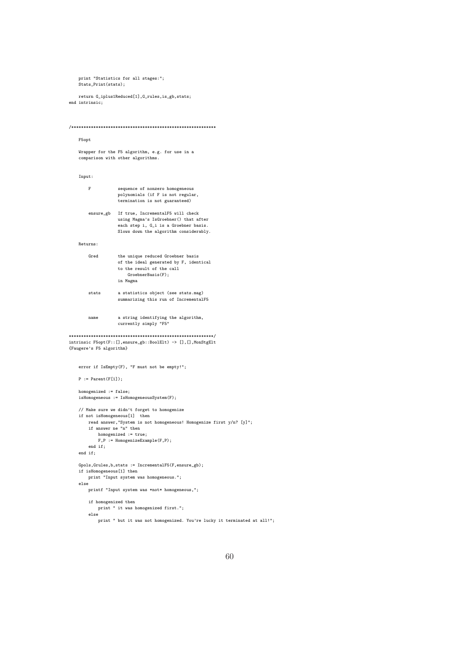```
print "Statistics for all stages:";
.<br>Stats_Print(stats);
```
return $\texttt{G}_\texttt{i}$  plus<br>1Reduced[1],G\_rules, is\_gb, stats; end intrinsic:

```
F<sub>5opt</sub>
  Wrapper for the F5 algorithm, e.g. for use in a
```
comparison with other algorithms.

### $T$ nput:

| F | sequence of nonzero homogeneous<br>polynomials (if F is not regular,<br>termination is not guaranteed) |
|---|--------------------------------------------------------------------------------------------------------|
|   | ensure_gb If true, IncrementalF5 will check<br>using Magma's IsGroebner() that after                   |

```
each step i, G_i is a Groebner basis.
Slows down the algorithm considerably.
```
Returns:

```
Gred
              the unique reduced Groebner basis
              of the ideal generated by F, identical<br>to the result of the call
                   GroebnerBasis(F);
              in Magma
```

```
a statistics object (see stats.mag)
stats
           summarizing this run of IncrementalF5
```
name a string identifying the algorithm, currently simply "F5"

```
intrinsic F5opt(F::[],ensure_gb::BoolElt) -> [], [],MonStgElt
{Faugere's F5 algorithm}
```

```
error if IsEmpty(F), "F must not be empty!";
P := Parent(F[1]);homogenized := false;
isHomeoous := IsHomeousSystem(F);// Make sure we didn't forget to homogenize<br>if not isHomogeneous[1] then
    read answer, "System is not homogeneous! Homogenize first y/n? [y]";
     if answer ne "n" then
         homogenized := true;\texttt{F,P} \texttt{ := HomogenicExample(F,P)} \texttt{;}end if;end if;
```

```
Gpols, Grules, b, stats := IncrementalF5(F, ensure_gb);if isHomogeneous[1] then
print "Input system was homogeneous.";<br>else
    printf "Input system was *not* homogeneous,";
    if homogenized then
      print " it was homogenized first.";
    else
```
print " but it was not homogenized. You're lucky it terminated at all!";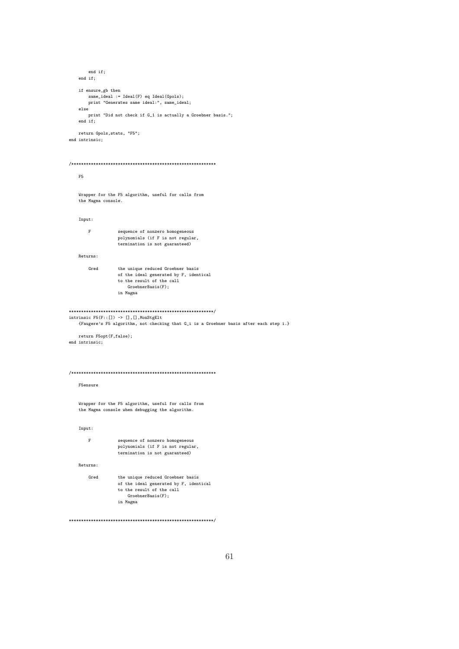```
end if;end if;
if ensure_gb then
same_ideal := Ideal(F) eq Ideal(Gpols);<br>print "Generates same ideal:", same_ideal;<br>else
\cdots \cdots <br> print "Did not check if G_1 is actually a Groebner basis."; end if;
return Gpols.stats. "F5":
```
 $\frac{1}{1}$  end intrinsic;

 $F<sub>5</sub>$ 

Wrapper for the F5 algorithm, useful for calls from<br>the Magma console.

Input:

| F | sequence of nonzero homogeneous   |
|---|-----------------------------------|
|   | polynomials (if F is not regular, |
|   | termination is not guaranteed)    |
|   |                                   |

Returns:

| Gred | the unique reduced Groebner basis      |
|------|----------------------------------------|
|      | of the ideal generated by F, identical |
|      | to the result of the call              |
|      | GroebnerBasis(F):                      |
|      | in Magma                               |

#### $\texttt{intrinsic F5(F::[])} \ \texttt{->} \ [ \ ] \texttt{,[]}, \texttt{MonStgElt}$

{Faugere's F5 algorithm, not checking that G\_i is a Groebner basis after each step i.}

return F5opt(F,false); end intrinsic;

### 

### F5ensure

Wrapper for the F5 algorithm, useful for calls from<br>the Magma console when debugging the algorithm.

Input:

| F        | sequence of nonzero homogeneous<br>polynomials (if F is not regular,<br>termination is not guaranteed)                                    |
|----------|-------------------------------------------------------------------------------------------------------------------------------------------|
| Returns: |                                                                                                                                           |
| Gred     | the unique reduced Groebner basis<br>of the ideal generated by F, identical<br>to the result of the call<br>GroebnerBasis(F):<br>in Magma |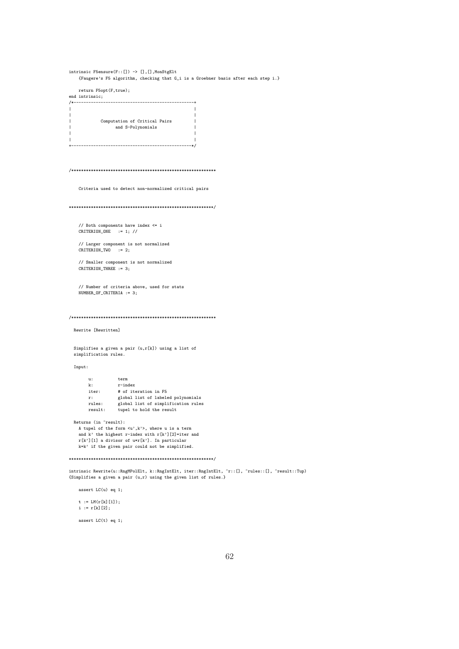intrinsic F5ensure(F:: []) -> [], [], MonStgElt {Faugere's F5 algorithm, checking that G\_i is a Groebner basis after each step i.}

return F5opt(F,true);<br>end intrinsic;

| Computation of Critical Pairs |
|-------------------------------|
| and S-Polynomials             |
|                               |
|                               |
|                               |

Criteria used to detect non-normalized critical pairs

// Both components have index  $\leq i$ CRITERION\_ONE := 1; //

// Larger component is not normalized<br>CRITERION\_TWO := 2;

// Smaller component is not normalized CRITERION\_THREE  $:= 3;$ 

// Number of criteria above, used for stats NUMBER\_OF\_CRITERIA := 3;

Rewrite [Rewritten]

Simplifies a given a pair  $(u, r[k])$  using a list of simplification rules.

Input:

| u:      | term                                |
|---------|-------------------------------------|
| k:      | $r$ -index                          |
| iter:   | # of iteration in F5                |
| r:      | global list of labeled polynomials  |
| rules:  | global list of simplification rules |
| result: | tupel to hold the result            |
|         |                                     |

Returns (in "result): A tupel of the form  $\langle u', k' \rangle$ , where u is a term and  $k'$  the highest r-index with  $r[k']$  [2]=iter and  $\mathbf{r}\left[\mathtt{k'}\right]$  [1] a divisor of  $\mathbf{u}{*}\mathbf{r}\left[\mathtt{k'}\right]$  . In particular  $k=k'$  if the given pair could not be simplified.

intrinsic Rewrite(u::RngMPolElt, k::RngIntElt, iter::RngIntElt, ~r::[], ~rules::[], ~result::Tup) {Simplifies a given a pair  $(u,r)$  using the given list of rules.}

assert  $LC(u)$  eq 1;  $t := LM(r[k][1]);$  $\begin{aligned} \texttt{i} \texttt{ := } r \texttt{[k]} \texttt{[2]}; \end{aligned}$ assert  $LC(t)$  eq 1;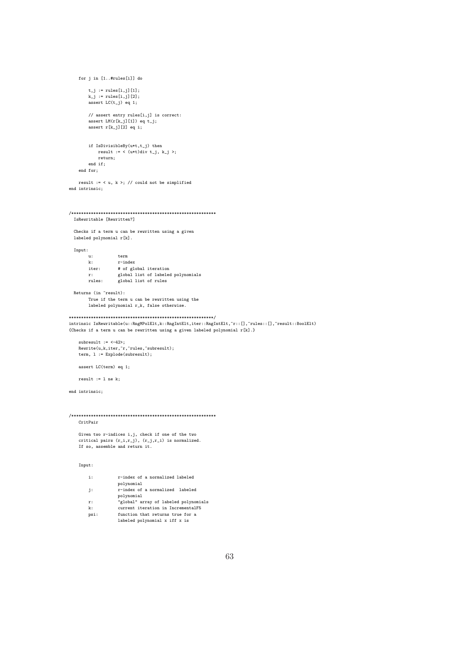```
for j in [1..#rules[i]] do
       t_{-j} := rules[i,j][1];
       k_j := rules[i,j][2];<br>assert LC(t_j) eq 1;
       // assert entry rules[i,j] is correct:<br>assert LM(r[k_j][1]) eq t_j;
       assert r[k_j][2] eq i;
       if IsDivisibleBy(u*t,j) then<br>result := < (u*t)div t_j, k_j >;
           return;
        end if;end for;
   result := \langle u, k \rangle; // could not be simplified
end intrinsic;
IsRewritable [Rewritten?]
 Checks if a term u can be rewritten using a given
 labeled polynomial r[k].
 Input:\mathbf{u}:
                  term
                  r-index
       k:# of global iteration
       iter:
                 global list of labeled polynomials
       \mathbf{r}:
       _{\rm rules:}global list of rules
 Returns (in "result):
       True if the term u can be rewritten using the
       labeled polynomial r_k, false otherwise.
\verb+intrinsic IsRewritable(u::RngMPo1E1t,k::RngIntE1t,iter::RngIntE1t,"r::[], \verb+rules::[], \verb+rresult::Bool1t){Checks if a term u can be rewritten using a given labeled polynomial r[k].}
    subresult := \langle -42 \rangle;
   Rewrite(u,k,iter, "r, "rules, "subresult);
   term, 1 := Explode(subresult);assert LC(term) eq 1;
   result := 1 ne k;
end intrinsic;
CritPairGiven two r-indices i, j, check if one of the two
   critical pairs ({\tt r\_i, r\_j}) , ({\tt r\_j, r\_i}) is normalized.
   If so, assemble and return it.
   Input:
       \mathbf{i}:
                   r-index of a normalized labeled
                   polynomial
                   r-index of a normalized labeled
       j:
                   polynomial<br>"global" array of labeled polynomials
       \mathbf{r}:
```
- $\mathbf{k}$  : current iteration in IncrementalF5
- $psi:$ function that returns true for a labeled polynomial x iff x is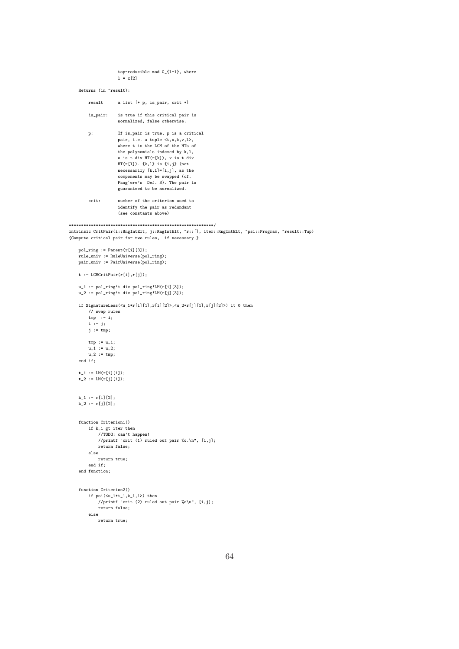```
top-reducible mod G_{l+1}, where
                     1 = x[2]Returns (in ~result):
        result a list [* p, is pair, crit *]
        is_pair: is true if this critical pair is
                    normalized, false otherwise.
        p: If is_pair is true, p is a critical
                    pair, i.e. a tuple <t,u,k,v,l>,
                    where t is the LCM of the HTs of
                     the polynomials indexed by k,l,
                    u is t div HT(r[k]), v is t div
                    HT(r[1]). \{k, 1\} is \{i, j\} (not
                    necessarily [k,l]=[i,j], as the
                     components may be swapped (cf.
Faug'ere's Def. 3). The pair is
                    guaranteed to be normalized.
        crit: number of the criterion used to
                    identify the pair as redundant
                    (see constants above)
***********************************************************/
intrinsic CritPair(i::RngIntElt, j::RngIntElt, ~r::[], iter::RngIntElt, ~psi::Program, ~result::Tup)<br>{Compute critical pair for two rules,  if necessary.}
    pol\_ring := Parent(r[i][3]);rule_univ := RuleUniverse(pol_ring);
    pair_univ := PairUniverse(pol_ring);
    t := LCMCritPair(r[i], r[j]);
    u_1 := pol\_ring!t div pol\_ring!LM(r[i][3]);
    u_2 := \text{pol\_ring}!t div \text{pol\_ring}!LM(r[j][3]);
    if SignatureLess(<u_1*r[i][1],r[i][2]>,<u_2*r[j][1],r[j][2]>) lt 0 then
       // swap rules
        tmp := i;
       i := j;j := \text{tmp};tmp := u_1;u_1 := u_2;u_2 := \text{tmp};end if;
    t. 1 := LM(r[i][1]):
    t_{-2} := LM(r[j][1]);k_1 := r[i][2];
k_2 := r[j][2];
    function Criterion1()
        if k_1 gt iter then
           //TODO: can't happen!
            //printf "crit (1) ruled out pair \alpha \return false;
        else
           return true;
        end if;
    end function;
    function Criterion2()
        if psi(-1*t_1,k_1,1) then
            //printf "crit (2) ruled out pair %o\n", [i,j];
            return false;
        else
```

```
return true;
```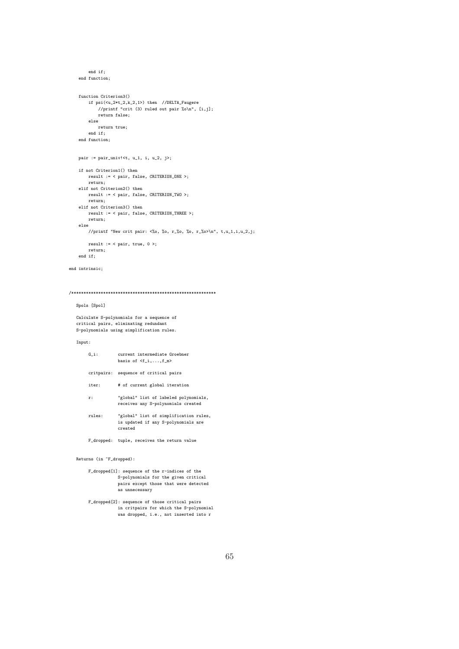```
end if;
end function;
function Criterion3()
if psi(<u_2*t_2,k_2,1>) then //DELTA_Faugere
        //printf "crit (3) ruled out pair %o\n", [i,j];
        return false;
    else
    return true;
end if;
end function;
pair := pair_univ!<t, u_1, i, u_2, j>;
if not Criterion1() then
   result := < pair, false, CRITERION_ONE >;
   return;
elif not Criterion2() then
   result := < pair, false, CRITERION_TWO >;
   return;
elif not Criterion3() then
   result := < pair, false, CRITERION_THREE >;
   return;
else
   //printf "New crit pair: <%o, %o, r_%o, %o, r_%o>\n", t,u_1,i,u_2,j;
   result := < pair, true, 0 >;
   return;
end if;
```

```
end intrinsic;
```
### /\*\*\*\*\*\*\*\*\*\*\*\*\*\*\*\*\*\*\*\*\*\*\*\*\*\*\*\*\*\*\*\*\*\*\*\*\*\*\*\*\*\*\*\*\*\*\*\*\*\*\*\*\*\*\*\*\*\*\*

### Spols [Spol]

Calculate S-polynomials for a sequence of critical pairs, eliminating redundant S-polynomials using simplification rules.

### Input:

| $G$ i: | current intermediate Groebner<br>basis of $\langle f_i, \ldots, f_m \rangle$             |
|--------|------------------------------------------------------------------------------------------|
|        | critpairs: sequence of critical pairs                                                    |
| iter:  | # of current global iteration                                                            |
| r:     | "global" list of labeled polynomials,<br>receives any S-polynomials created              |
| rules: | "global" list of simplification rules,<br>is updated if any S-polynomials are<br>created |

F\_dropped: tuple, receives the return value

Returns (in "F\_dropped):

- F\_dropped[1]: sequence of the r-indices of the S-polynomials for the given critical pairs except those that were detected as unnecessary
- F\_dropped[2]: sequence of those critical pairs in critpairs for which the S-polynomial was dropped, i.e., not inserted into r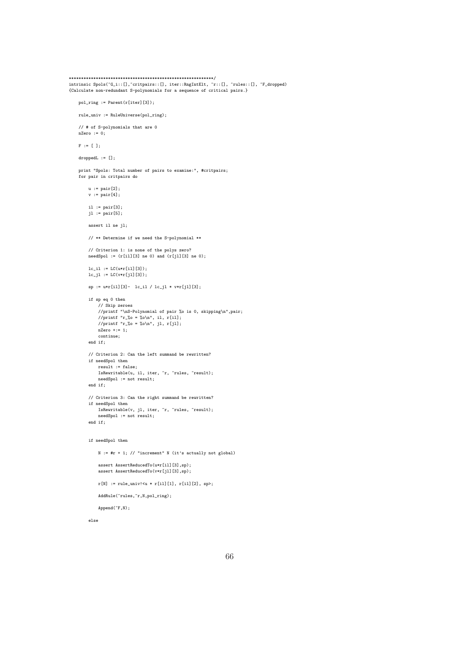intrinsic Spols("G\_i::[],"critpairs::[], iter::RngIntElt, "r::[], "rules::[], "F\_dropped) {Calculate non-redundant S-polynomials for a sequence of critical pairs.}

```
pol\_ring := Parent(r[iter][3]);
```
rule\_univ := RuleUniverse(pol\_ring);

// # of S-polynomials that are  $0$  $n^{2}$ ero  $= 0$ 

 $F := \begin{bmatrix} 1 \\ 1 \end{bmatrix}$ :

droppedL  $:= []$ ;

print "Spols: Total number of pairs to examine:", #critpairs; for pair in critpairs do

 $u := pair[2];$  $v := pair[4];$ il :=  $pair[3]$ ;

 $jl := pair[5];$ 

assert il ne jl;

// \*\* Determine if we need the S-polynomial \*\*

```
// Criterion 1: is none of the polys zero?
{\rm needSpol} := {\rm (r[i1][3] \; ne \; 0) \; and \; (r[j1][3] \; ne \; 0)};
```

```
lc_i1 := LC(u*r[i1][3]);lc_j1 := LC(v*r[j1][3]);
```
 $sp := u *r[i1][3] - lc_1i / lc_ji * v *r[j1][3];$ 

```
if sp eq 0 then
      // Skip zeroes
     //printf "\nS-Polynomial of pair %o is 0, skipping\n",pair;<br>//printf "\nS-Polynomial of pair %o is 0, skipping\n",pair;<br>//printf "r_%o = %o\n", jl, r[jl];
      nZero += 1;continue;
end if;// Criterion 2: Can the left summand be rewritten?
if needSpol then
```

```
result := falseIsRewritable(u, il, iter, "r, "rules, "result);
    needSpol := not result;end if;// Criterion 3: Can the right summand be rewritten?
if needSpol then
   IsRewritable(v, jl, iter, ~r, ~rules, ~result);
```

```
if needSpol then
```
 $end if;$ 

 $needSpot := not result;$ 

 $N := #r + 1$ ; // "increment" N (it's actually not global)

```
assert AssertReducedTo(u*r[il][3],sp);
assert AssertReducedTo(v*r[jl][3],sp);
```
 $r[N] := rule\_univ!\leq u * r[i][1], r[i][2], sp$ ;

```
AddRule("rules,"r,N,pol_ring);
```
 $Append('F,N);$ 

else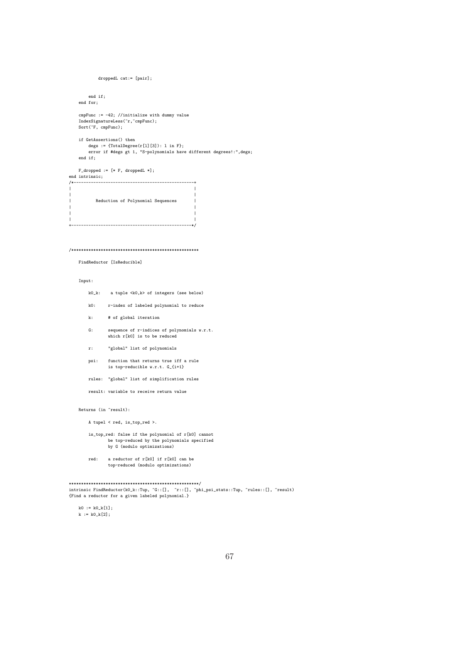```
droppedL cat:= [pair];
   end if;
end for;
   cmpFunc := -42; //initialize with dummy value
   IndexSignatureLess("r,"cmpFunc);
   Sort("F, cmpFunc);
   if GetAssertions() then
       degs := {TotalDegree(r[l][3]): l in F};
error if #degs gt 1, "S-polynomials have different degrees!:",degs;
   end if;
  F_dropped := [* F, droppedL *];
end intrinsic;<br>/*--------------
              /*-------------------------------------------------+
| |
| |
        Reduction of Polynomial Sequences
| |
| |
| |
+-------------------------------------------------*/
```
### /\*\*\*\*\*\*\*\*\*\*\*\*\*\*\*\*\*\*\*\*\*\*\*\*\*\*\*\*\*\*\*\*\*\*\*\*\*\*\*\*\*\*\*\*\*\*\*\*\*\*\*\*

FindReductor [IsReducible]

### Input:

- k0\_k: a tuple <k0,k> of integers (see below)
- k0: r-index of labeled polynomial to reduce
- k: # of global iteration
- G: sequence of r-indices of polynomials w.r.t. which r[k0] is to be reduced
- r: "global" list of polynomials
- psi: function that returns true iff a rule is top-reducible w.r.t. G\_{i+1}
- rules: "global" list of simplification rules
- result: variable to receive return value

### Returns (in "result):

- A tupel < red, is\_top\_red >.
- is\_top\_red: false if the polynomial of r[k0] cannot be top-reduced by the polynomials specified by G (modulo optimizations)
- red: a reductor of r[k0] if r[k0] can be top-reduced (modulo optimizations)

```
*****************************************************/
intrinsic FindReductor(k0_k::Tup, ~G::[], ~r::[], ~phi_psi_stats::Tup, ~rules::[], ~result)
{Find a reductor for a given labeled polynomial.}
```
 $k0 := k0_k[1];$  $k := k0_k[2];$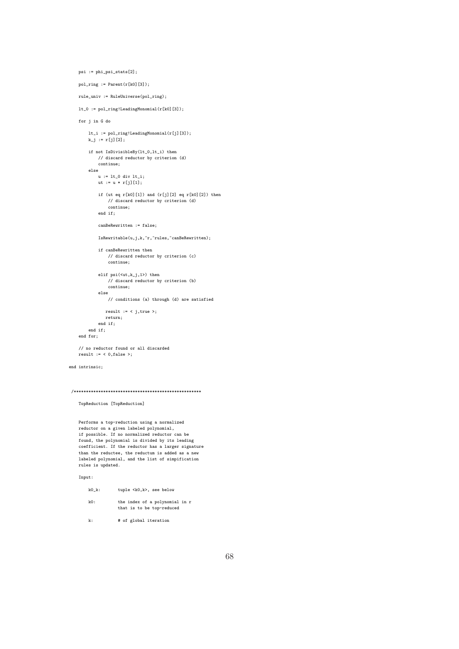```
psi := phi_psi_stats[2];
pol\_ring := Parent(r[k0][3]);rule_univ := RuleUniverse(pol_ring);
lt_0 := pol_ring!LeadingMonomial(r[k0][3]);
for j in G do
   lt_i := pol_ring!LeadingMonomial(r[j][3]);
   k_{-}j := r[j][2];if not IsDivisibleBy(lt_0,lt_i) then
        // discard reductor by criterion (d)
        continue;
    else
        u := 1t_0 div lt_i;
        ut := u * r[j][1];if (ut eq r[k0][1]) and (r[j][2] eq r[k0][2]) then
// discard reductor by criterion (d)
            continue;
        end if;
        canBeRewritten := false;
        IsRewritable(u,j,k,~r,~rules,~canBeRewritten);
        if canBeRewritten then
            // discard reductor by criterion (c)
            continue;
        elif psi(<ut,k_j,1>) then
            // discard reductor by criterion (b)
            continue;
        else
            // conditions (a) through (d) are satisfied
          result := < j,true >;
          return;
        end if;
    end if:end for;
// no reductor found or all discarded
result := < 0,false >;
```

```
end intrinsic;
```

```
/****************************************************
```
TopReduction [TopReduction]

Performs a top-reduction using a normalized reductor on a given labeled polynomial, if possible. If no normalized reductor can be found, the polynomial is divided by its leading coefficient. If the reductor has a larger signature than the reductee, the reductum is added as a new labeled polynomial, and the list of simpification rules is updated.

### Input:

- k0\_k: tuple <k0,k>, see below
- k0: the index of a polynomial in r that is to be top-reduced
- k: # of global iteration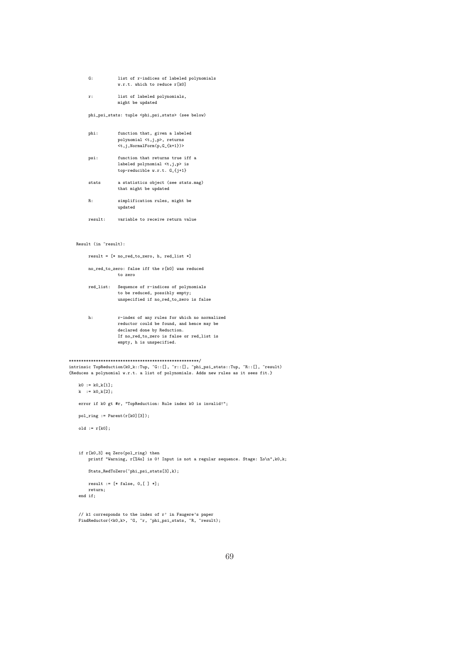- G: list of r-indices of labeled polynomials w.r.t. which to reduce r[k0]
- r: list of labeled polynomials, might be updated

phi\_psi\_stats: tuple <phi,psi,stats> (see below)

- phi: function that, given a labeled polynomial <t,j,p>, returns <t,j,NormalForm(p,G\_{k+1})>
- psi: function that returns true iff a labeled polynomial <t,j,p> is top-reducible w.r.t. G\_{j+1}
- stats a statistics object (see stats.mag) that might be updated
- R: simplification rules, might be updated
- result: variable to receive return value

### Result (in ~result):

result =  $[* no_{red_to_zero, h, red_list *}]$ 

- no\_red\_to\_zero: false iff the r[k0] was reduced to zero
- red\_list: Sequence of r-indices of polynomials to be reduced, possibly empty; unspecified if no\_red\_to\_zero is false
- h: r-index of any rules for which no normalized reductor could be found, and hence may be declared done by Reduction. If no\_red\_to\_zero is false or red\_list is empty, h is unspecified.

\*\*\*\*\*\*\*\*\*\*\*\*\*\*\*\*\*\*\*\*\*\*\*\*\*\*\*\*\*\*\*\*\*\*\*\*\*\*\*\*\*\*\*\*\*\*\*\*\*\*\*\*\*/ intrinsic TopReduction(k0\_k::Tup, ~G::[], ~r::[], ~phi\_psi\_stats::Tup, ~R::[], ~result) {Reduces a polynomial w.r.t. a list of polynomials. Adds new rules as it sees fit.}

 $k0 := k0_k[1];$  $k := k0_k[2];$ 

error if k0 gt #r, "TopReduction: Rule index k0 is invalid!";

 $pol\_ring := Parent(r[k0][3]);$ 

 $old := r[k0];$ 

if r[k0,3] eq Zero(pol\_ring) then printf "Warning, r[%4o] is 0! Input is not a regular sequence. Stage: %o\n",k0,k;

Stats\_RedToZero(~phi\_psi\_stats[3],k);

```
result := [* \, false, 0, [ ] *];return;
end if;
```
// k1 corresponds to the index of r' in Faugere's paper FindReductor(<k0,k>, ~G, ~r, ~phi\_psi\_stats, ~R, ~result);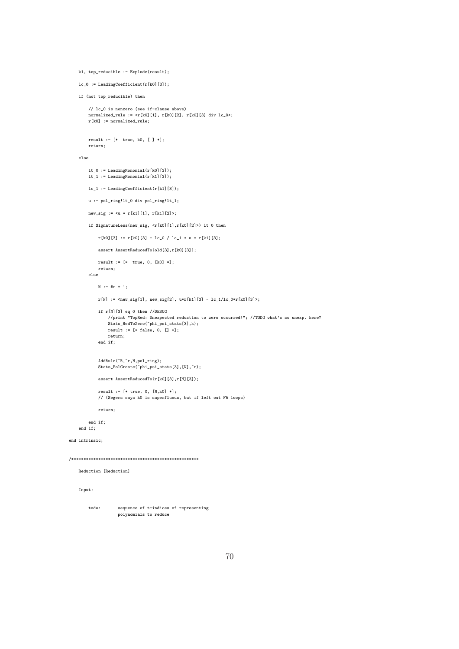```
k1, top_reducible := Explode(result);
```

```
lc_0 := LeadingCoefficient(r[k0][3]);
```
if (not top\_reducible) then

```
// lc_0 is nonzero (see if-clause above)
normalized_rule := \langle r \rangle is the limit director.<br>normalized_rule := \langle r[k0][1], r[k0][2], r[k0][3] div lc_0>;
r[k0] := normalized_rule;
```
result := [\* true, k0, [ ] \*]; return;

else

```
\verb|lt_0 := \verb|leadingMonomial(r[k0][3]);lt_1 := LeadingMonomial(r[k1][3]);
```
lc\_1 := LeadingCoefficient(r[k1][3]);

u := pol\_ring!lt\_0 div pol\_ring!lt\_1;

```
new_sig := <u * r[k1][1], r[k1][2]>;
```
if SignatureLess(new\_sig, <r[k0][1],r[k0][2]>) lt 0 then

```
r[k0][3] := r[k0][3] - lc_0 / lc_1 * u * r[k1][3];
```
assert AssertReducedTo(old[3],r[k0][3]);

result := [\* true, 0, [k0] \*]; return;

```
else
```
 $N := 4r + 1$ :

 $r[N] := \text{New\_sig}[1], \text{ new\_sig}[2], \text{u*r}[k1][3] - \text{lc\_1/lc\_0*r}[k0][3]$ >;

```
if r[N][3] eq 0 then //DEBUG
   //print "TopRed: Unexpected reduction to zero occurred!"; //TODO what's so unexp. here?
   Stats_RedToZero(~phi_psi_stats[3],k);
   result := [* false, 0, [] *];
   return;
end if;
```

```
AddRule(~R,~r,N,pol_ring);
Stats_PolCreate(~phi_psi_stats[3],[N],~r);
```
assert AssertReducedTo(r[k0][3],r[N][3]);

result := [\* true, 0, [N,k0] \*]; // (Segers says k0 is superfluous, but if left out F5 loops)

return;

```
end if;
end if;
```

```
end intrinsic;
```
### /\*\*\*\*\*\*\*\*\*\*\*\*\*\*\*\*\*\*\*\*\*\*\*\*\*\*\*\*\*\*\*\*\*\*\*\*\*\*\*\*\*\*\*\*\*\*\*\*\*\*\*\*

Reduction [Reduction]

Input:

todo: sequence of t-indices of representing polynomials to reduce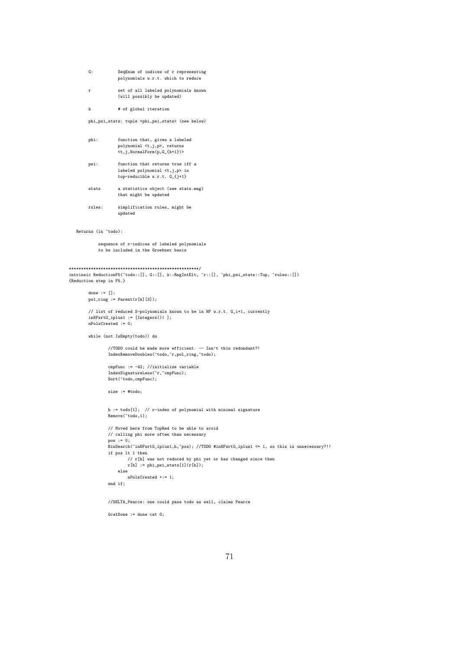- G: SeqEnum of indices of r representing polynomials w.r.t. which to reduce
- r set of all labeled polynomials known (will possibly be updated)
- k # of global iteration

phi\_psi\_stats: tuple <phi,psi,stats> (see below)

- phi: function that, given a labeled polynomial <t,j,p>, returns <t,j,NormalForm(p,G\_{k+1})>
- psi: function that returns true iff a labeled polynomial <t,j,p> is top-reducible w.r.t. G\_{j+1}
- stats a statistics object (see stats.mag) that might be updated
- rules: simplification rules, might be updated

Returns (in "todo):

```
sequence of r-indices of labeled polynomials
to be included in the Groebner basis
```
#### \*\*\*\*\*\*\*\*\*\*\*\*\*\*\*\*\*\*\*\*\*\*\*\*\*\*\*\*\*\*\*\*\*\*\*\*\*\*\*\*\*\*\*\*\*\*\*\*\*\*\*\*\*/ intrinsic ReductionF5(~todo::[], G::[], k::RngIntElt, ~r::[], ~phi\_psi\_stats::Tup, ~rules::[]) {Reduction step in F5.}

done  $:= []$ ;  $pol\_ring := Parent(r[k][3]);$ 

```
// list of reduced S-polynomials known to be in NF w.r.t. G_i+1, currently
inNFwrtG_iplus1 := [Integers()| ];
nPolsCreated := 0;
```
while (not IsEmpty(todo)) do

//TODO could be made more efficient. -- Isn't this redundant?! IndexRemoveDoubles(~todo,~r,pol\_ring,~todo);

```
cmpFunc := -42; //initialize variable
IndexSignatureLess(~r,~cmpFunc);
Sort("todo, cmpFunc);
```
size := #todo;

```
h := todo[1]; // r-index of polynomial with minimal signature
Remove(~todo,1);
```

```
// Moved here from TopRed to be able to avoid
// calling phi more often than necessary
pos := 0;
BinSearch(~inNFwrtG_iplus1,h,~pos); //TODO #inNFwrtG_iplus1 <= 1, so this is unnecessary?!!
if pos lt 1 then
        // r[h] was not reduced by phi yet or has changed since then
        r[h] := phi\_psi\_stats[1](r[h]);else
        nPolsCreated +:= 1;
end if;
```
//DELTA\_Pearce: one could pass todo as well, claims Pearce

GcatDone := done cat G;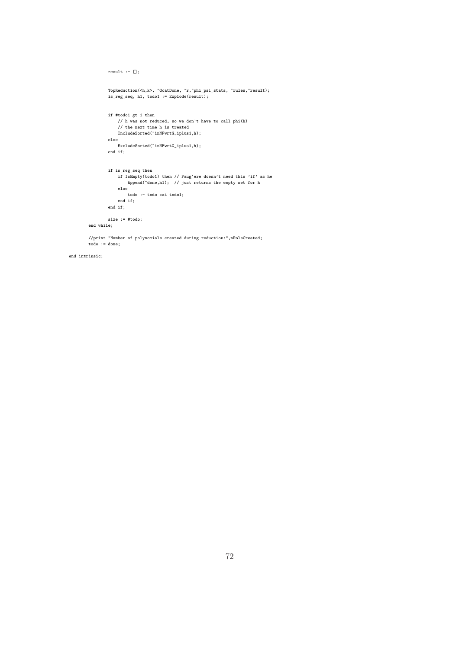```
result := [];
         TopReduction(<h,k>, ~GcatDone, ~r,~phi_psi_stats, ~rules,~result);
         is_reg_seq, h1, todo1 := Explode(result);
          if #todo1 gt 1 then
// h was not reduced, so we don't have to call phi(h)
               // the next time h is treated
IncludeSorted(~inNFwrtG_iplus1,h);
         else
             ExcludeSorted(~inNFwrtG_iplus1,h);
         end if;
         if is_reg_seq then
               if IsEmpty(todo1) then // Faug'ere doesn't need this 'if' as he
Append(~done,h1); // just returns the empty set for h
else
               todo := todo cat todo1;
end if;
         end if;
         size := #todo;
end while;
```
//print "Number of polynomials created during reduction:",nPolsCreated; todo := done;

end intrinsic;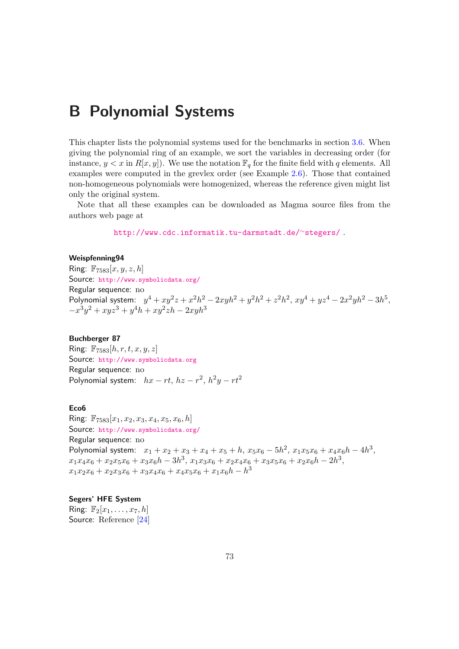# B Polynomial Systems

This chapter lists the polynomial systems used for the benchmarks in section 3.6. When giving the polynomial ring of an example, we sort the variables in decreasing order (for instance,  $y < x$  in  $R[x, y]$ . We use the notation  $\mathbb{F}_q$  for the finite field with q elements. All examples were computed in the grevlex order (see Example 2.6). Those that contained non-homogeneous polynomials were homogenized, whereas the reference give[n mi](#page-43-0)ght list only the original system.

Note that all these examples can be downloaded as M[agm](#page-7-0)a source files from the authors web page at

http://www.cdc.informatik.tu-darmstadt.de/∼stegers/ .

#### Weispfenning94

Ring:  $\mathbb{F}_{7583}[x, y, z, h]$  $\mathbb{F}_{7583}[x, y, z, h]$  $\mathbb{F}_{7583}[x, y, z, h]$ Source: http://www.symbolicdata.org/ Regular sequence: no Polynomial system:  $y^4 + xy^2z + x^2h^2 - 2xyh^2 + y^2h^2 + z^2h^2$ ,  $xy^4 + yz^4 - 2x^2yh^2 - 3h^5$ ,  $-x^3y^2 + xyz^3 + y^4h + xy^2zh - 2xyh^3$  $-x^3y^2 + xyz^3 + y^4h + xy^2zh - 2xyh^3$  $-x^3y^2 + xyz^3 + y^4h + xy^2zh - 2xyh^3$ 

#### Buchberger 87

Ring:  $\mathbb{F}_{7583}[h, r, t, x, y, z]$ Source: http://www.symbolicdata.org Regular sequence: no Polynomial system:  $hx - rt$ ,  $hz - r^2$ ,  $h^2y - rt^2$ 

Eco6

Ring:  $\mathbb{F}_{7583}[x_1, x_2, x_3, x_4, x_5, x_6, h]$ Source: http://www.symbolicdata.org/ Regular sequence: no Polynomial system:  $x_1 + x_2 + x_3 + x_4 + x_5 + h$ ,  $x_5x_6 - 5h^2$ ,  $x_1x_5x_6 + x_4x_6h - 4h^3$ ,  $x_1x_4x_6 + x_2x_5x_6 + x_3x_6h - 3h^3$ ,  $x_1x_3x_6 + x_2x_4x_6 + x_3x_5x_6 + x_2x_6h - 2h^3$ ,  $x_1x_2x_6 + x_2x_3x_6 + x_3x_4x_6 + x_4x_5x_6 + x_1x_6h - h^3$  $x_1x_2x_6 + x_2x_3x_6 + x_3x_4x_6 + x_4x_5x_6 + x_1x_6h - h^3$  $x_1x_2x_6 + x_2x_3x_6 + x_3x_4x_6 + x_4x_5x_6 + x_1x_6h - h^3$ 

# Segers' HFE System

Ring:  $\mathbb{F}_2[x_1,\ldots,x_7,h]$ Source: Reference [24]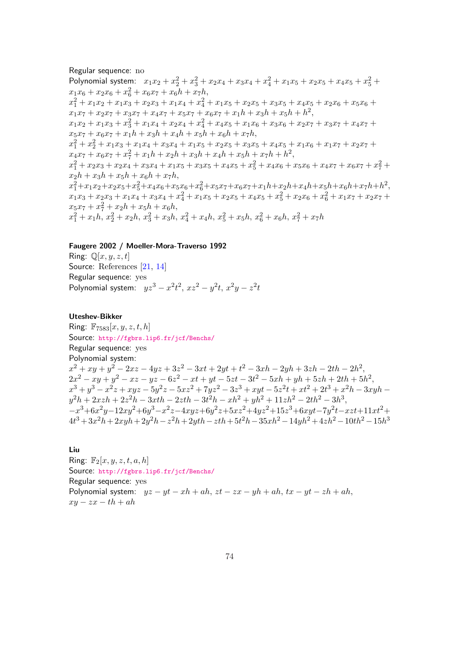Regular sequence: no Polynomial system:  $x_1x_2 + x_2^2 + x_3^2 + x_2x_4 + x_3x_4 + x_4^2 + x_1x_5 + x_2x_5 + x_4x_5 + x_5^2 +$  $x_1x_6 + x_2x_6 + x_6^2 + x_6x_7 + x_6h + x_7h,$  $x_1^2 + x_1x_2 + x_1x_3 + x_2x_3 + x_1x_4 + x_4^2 + x_1x_5 + x_2x_5 + x_3x_5 + x_4x_5 + x_2x_6 + x_5x_6 +$  $x_1x_7 + x_2x_7 + x_3x_7 + x_4x_7 + x_5x_7 + x_6x_7 + x_1h + x_3h + x_5h + h^2$  $x_1x_2 + x_1x_3 + x_3^2 + x_1x_4 + x_2x_4 + x_4^2 + x_4x_5 + x_1x_6 + x_3x_6 + x_2x_7 + x_3x_7 + x_4x_7 +$  $x_5x_7 + x_6x_7 + x_1h + x_3h + x_4h + x_5h + x_6h + x_7h,$  $x_1^2 + x_2^2 + x_1x_3 + x_1x_4 + x_3x_4 + x_1x_5 + x_2x_5 + x_3x_5 + x_4x_5 + x_1x_6 + x_1x_7 + x_2x_7 +$  $x_4x_7 + x_6x_7 + x_7^2 + x_1h + x_2h + x_3h + x_4h + x_5h + x_7h + h^2$  $x_1^2 + x_2x_3 + x_2x_4 + x_3x_4 + x_1x_5 + x_3x_5 + x_4x_5 + x_5^2 + x_4x_6 + x_5x_6 + x_4x_7 + x_6x_7 + x_7^2 +$  $x_2h + x_3h + x_5h + x_6h + x_7h,$  $x_1^2 + x_1x_2 + x_2x_5 + x_5^2 + x_4x_6 + x_5x_6 + x_6^2 + x_5x_7 + x_6x_7 + x_1h + x_2h + x_4h + x_5h + x_6h + x_7h + h^2$  $x_1x_3 + x_2x_3 + x_1x_4 + x_3x_4 + x_4^2 + x_1x_5 + x_2x_5 + x_4x_5 + x_5^2 + x_2x_6 + x_6^2 + x_1x_7 + x_2x_7 +$  $x_5x_7 + x_7^2 + x_2h + x_5h + x_6h,$  $x_1^2 + x_1h$ ,  $x_2^2 + x_2h$ ,  $x_3^2 + x_3h$ ,  $x_4^2 + x_4h$ ,  $x_5^2 + x_5h$ ,  $x_6^2 + x_6h$ ,  $x_7^2 + x_7h$ 

#### Faugere 2002 / Moeller-Mora-Traverso 1992

Ring:  $\mathbb{O}[x, y, z, t]$ Source: References [21, 14] Regular sequence: yes Polynomial system:  $yz^3 - x^2t^2$ ,  $xz^2 - y^2t$ ,  $x^2y - z^2t$ 

#### Uteshev-Bikker

Ring:  $\mathbb{F}_{7583}[x, y, z, t, h]$ Source: http://fgbrs.lip6.fr/jcf/Benchs/ Regular sequence: yes Polynomial system:  $x^2 + xy + y^2 - 2xz - 4yz + 3z^2 - 3xt + 2yt + t^2 - 3xh - 2yh + 3zh - 2th - 2h^2$  $2x^2 - xy + y^2 - xz - yz - 6z^2 - xt + yt - 5zt - 3t^2 - 5xh + yh + 5zh + 2th + 5h^2$  $2x^2 - xy + y^2 - xz - yz - 6z^2 - xt + yt - 5zt - 3t^2 - 5xh + yh + 5zh + 2th + 5h^2$  $2x^2 - xy + y^2 - xz - yz - 6z^2 - xt + yt - 5zt - 3t^2 - 5xh + yh + 5zh + 2th + 5h^2$  $x^3 + y^3 - x^2z + xyz - 5y^2z - 5xz^2 + 7yz^2 - 3z^3 + xyt - 5z^2t + xt^2 + 2t^3 + x^2h - 3xyh$  $y^2h + 2xzh + 2z^2h - 3xth - 2zhh - 3t^2h - xh^2 + yh^2 + 11zh^2 - 2th^2 - 3h^3$  $-x^3+6x^2y-12xy^2+6y^3-x^2z-4xyz+6y^2z+5xz^2+4yz^2+15z^3+6xyt-7y^2t-xzt+11xt^2+$  $4t^3 + 3x^2h + 2xyh + 2y^2h - z^2h + 2yth - zth + 5t^2h - 35xh^2 - 14yh^2 + 4zh^2 - 10th^2 - 15h^3$ 

#### Liu

Ring:  $\mathbb{F}_2[x, y, z, t, a, h]$ Source: http://fgbrs.lip6.fr/jcf/Benchs/ Regular sequence: yes Polynomial system:  $yz - yt - xh + ah$ ,  $zt - zx - yh + ah$ ,  $tx - yt - zh + ah$ ,  $xy - zx - th + ah$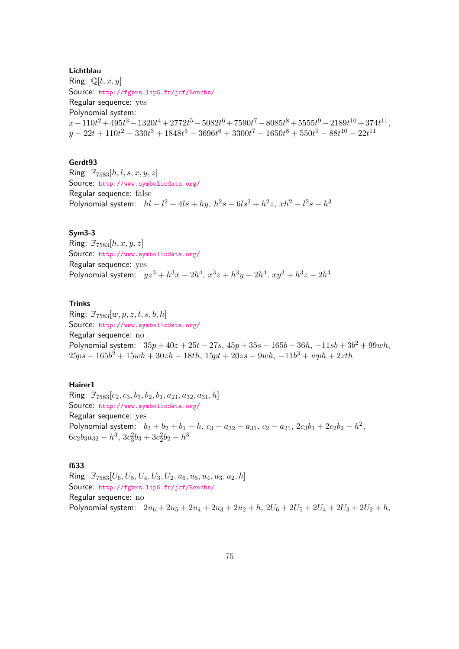#### **Lichtblau**

Ring:  $\mathbb{Q}[t, x, y]$ Source: http://fgbrs.lip6.fr/jcf/Benchs/ Regular sequence: yes Polynomial system:  $x-110t^2+495t^3-1320t^4+2772t^5-5082t^6+7590t^7-8085t^8+5555t^9-2189t^{10}+374t^{11},$  $y - 22t + 110t^2 - 330t^3 + 1848t^5 - 3696t^6 + 3300t^7 - 1650t^8 + 550t^9 - 88t^{10} - 22t^{11}$  $y - 22t + 110t^2 - 330t^3 + 1848t^5 - 3696t^6 + 3300t^7 - 1650t^8 + 550t^9 - 88t^{10} - 22t^{11}$  $y - 22t + 110t^2 - 330t^3 + 1848t^5 - 3696t^6 + 3300t^7 - 1650t^8 + 550t^9 - 88t^{10} - 22t^{11}$ 

#### Gerdt93

Ring:  $\mathbb{F}_{7583}[h, l, s, x, y, z]$ Source: http://www.symbolicdata.org/ Regular sequence: false Polynomial system:  $hl - l^2 - 4ls + hy, h^2s - 6ls^2 + h^2z, xh^2 - l^2s - h^3$ 

#### Sym3-3

Ring:  $\mathbb{F}_{7583}[h, x, y, z]$ Source: http://www.symbolicdata.org/ Regular sequence: yes Polynomial system:  $yz^3 + h^3x - 2h^4$ ,  $x^3z + h^3y - 2h^4$ ,  $xy^3 + h^3z - 2h^4$ 

#### **Trinks**

Ring:  $\mathbb{F}_{7583}[w, p, z, t, s, b, h]$ Source: http://www.symbolicdata.org/ Regular sequence: no Polynomial system:  $35p + 40z + 25t - 27s$ ,  $45p + 35s - 165b - 36h$ ,  $-11sb + 3b^2 + 99wh$ ,  $25ps - 165b^2 + 15wh + 30zh - 18th$  $25ps - 165b^2 + 15wh + 30zh - 18th$  $25ps - 165b^2 + 15wh + 30zh - 18th$ ,  $15pt + 20zs - 9wh$ ,  $-11b^3 + wph + 2zth$ 

#### Hairer1

Ring:  $\mathbb{F}_{7583}[c_2, c_3, b_3, b_2, b_1, a_{21}, a_{32}, a_{31}, h]$ Source: http://www.symbolicdata.org/ Regular sequence: yes Polynomial system:  $b_3 + b_2 + b_1 - h$ ,  $c_3 - a_{32} - a_{31}$ ,  $c_2 - a_{21}$ ,  $2c_3b_3 + 2c_2b_2 - h^2$ ,  $6c_2b_3a_{32} - h^3$  $6c_2b_3a_{32} - h^3$  $6c_2b_3a_{32} - h^3$ ,  $3c_3^2b_3 + 3c_2^2b_2 - h^3$ 

#### f633

Ring:  $\mathbb{F}_{7583}[U_6, U_5, U_4, U_3, U_2, u_6, u_5, u_4, u_3, u_2, h]$ Source: http://fgbrs.lip6.fr/jcf/Benchs/ Regular sequence: no Polynomial system:  $2u_6 + 2u_5 + 2u_4 + 2u_3 + 2u_2 + h$ ,  $2U_6 + 2U_5 + 2U_4 + 2U_3 + 2U_2 + h$ ,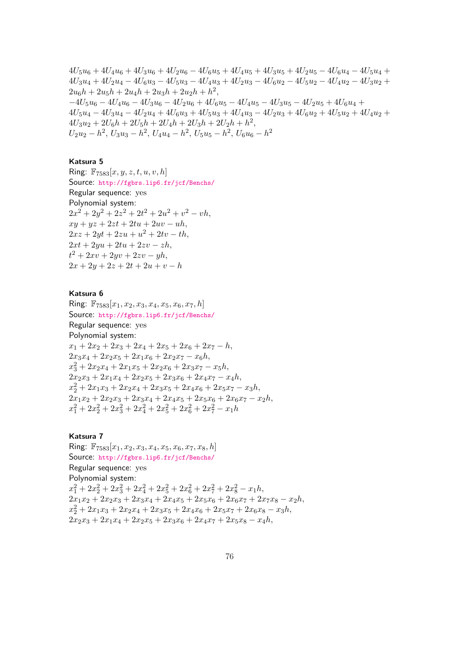$4U_5u_6 + 4U_4u_6 + 4U_3u_6 + 4U_2u_6 - 4U_6u_5 + 4U_4u_5 + 4U_3u_5 + 4U_2u_5 - 4U_6u_4 - 4U_5u_4 +$  $4U_3u_4 + 4U_2u_4 - 4U_6u_3 - 4U_5u_3 - 4U_4u_3 + 4U_2u_3 - 4U_6u_2 - 4U_5u_2 - 4U_4u_2 - 4U_3u_2 +$  $2u_6h + 2u_5h + 2u_4h + 2u_3h + 2u_2h + h^2,$  $-4U_5u_6-4U_4u_6-4U_3u_6-4U_2u_6+4U_6u_5-4U_4u_5-4U_3u_5-4U_2u_5+4U_6u_4+$  $4U_5u_4 - 4U_3u_4 - 4U_2u_4 + 4U_6u_3 + 4U_5u_3 + 4U_4u_3 - 4U_2u_3 + 4U_6u_2 + 4U_5u_2 + 4U_4u_2 +$  $4U_3u_2 + 2U_6h + 2U_5h + 2U_4h + 2U_3h + 2U_2h + h^2,$  $U_2u_2-h^2$ ,  $U_3u_3-h^2$ ,  $U_4u_4-h^2$ ,  $U_5u_5-h^2$ ,  $U_6u_6-h^2$ 

#### Katsura 5

Ring:  $\mathbb{F}_{7583}[x, y, z, t, u, v, h]$ Source: http://fgbrs.lip6.fr/jcf/Benchs/ Regular sequence: yes Polynomial system:  $2x^2 + 2y^2 + 2z^2 + 2t^2 + 2u^2 + v^2 - vh,$  $xu + uz + 2zt + 2tu + 2uv - uh.$  $2xz + 2yt + 2zu + u^2 + 2tv - th$ ,  $2xt + 2yu + 2tu + 2zv - zh,$  $t^2 + 2xv + 2yv + 2zv - yh$ ,  $2x + 2y + 2z + 2t + 2u + v - h$ 

#### Katsura 6

Ring:  $\mathbb{F}_{7583}[x_1, x_2, x_3, x_4, x_5, x_6, x_7, h]$ Source: http://fgbrs.lip6.fr/jcf/Benchs/ Regular sequence: yes Polynomial system:  $x_1 + 2x_2 + 2x_3 + 2x_4 + 2x_5 + 2x_6 + 2x_7 - h$  $2x_3x_4 + 2x_2x_5 + 2x_1x_6 + 2x_2x_7 - x_6h$  $x_3^2 + 2x_2x_4 + 2x_1x_5 + 2x_2x_6 + 2x_3x_7 - x_5h$  $2x_2x_3 + 2x_1x_4 + 2x_2x_5 + 2x_3x_6 + 2x_4x_7 - x_4h,$  $x_2^2 + 2x_1x_3 + 2x_2x_4 + 2x_3x_5 + 2x_4x_6 + 2x_5x_7 - x_3h$  $2x_1x_2 + 2x_2x_3 + 2x_3x_4 + 2x_4x_5 + 2x_5x_6 + 2x_6x_7 - x_2h$  $x_1^2 + 2x_2^2 + 2x_3^2 + 2x_4^2 + 2x_5^2 + 2x_6^2 + 2x_7^2 - x_1h$ 

Katsura 7 Ring:  $\mathbb{F}_{7583}[x_1, x_2, x_3, x_4, x_5, x_6, x_7, x_8, h]$ Source: http://fgbrs.lip6.fr/jcf/Benchs/ Regular sequence: yes Polynomial system:  $x_1^2 + 2x_2^2 + 2x_3^2 + 2x_4^2 + 2x_5^2 + 2x_6^2 + 2x_7^2 + 2x_8^2 - x_1h$  $2x_1x_2 + 2x_2x_3 + 2x_3x_4 + 2x_4x_5 + 2x_5x_6 + 2x_6x_7 + 2x_7x_8 - x_2h$  $x_2^2 + 2x_1x_3 + 2x_2x_4 + 2x_3x_5 + 2x_4x_6 + 2x_5x_7 + 2x_6x_8 - x_3h$  $2x_2x_3 + 2x_1x_4 + 2x_2x_5 + 2x_3x_6 + 2x_4x_7 + 2x_5x_8 - x_4h$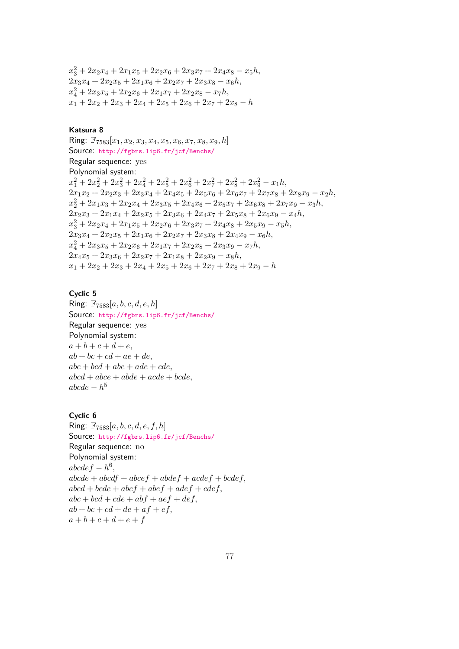$x_3^2 + 2x_2x_4 + 2x_1x_5 + 2x_2x_6 + 2x_3x_7 + 2x_4x_8 - x_5h,$  $2x_3x_4 + 2x_2x_5 + 2x_1x_6 + 2x_2x_7 + 2x_3x_8 - x_6h,$  $x_4^2 + 2x_3x_5 + 2x_2x_6 + 2x_1x_7 + 2x_2x_8 - x_7h,$  $x_1 + 2x_2 + 2x_3 + 2x_4 + 2x_5 + 2x_6 + 2x_7 + 2x_8 - h$ 

#### Katsura 8

Ring:  $\mathbb{F}_{7583}[x_1, x_2, x_3, x_4, x_5, x_6, x_7, x_8, x_9, h]$ Source: http://fgbrs.lip6.fr/jcf/Benchs/ Regular sequence: yes Polynomial system:  $x_1^2 + 2x_2^2 + 2x_3^2 + 2x_4^2 + 2x_5^2 + 2x_6^2 + 2x_7^2 + 2x_8^2 + 2x_9^2 - x_1h$  $2x_1x_2 + 2x_2x_3 + 2x_3x_4 + 2x_4x_5 + 2x_5x_6 + 2x_6x_7 + 2x_7x_8 + 2x_8x_9 - x_2h,$  $2x_1x_2 + 2x_2x_3 + 2x_3x_4 + 2x_4x_5 + 2x_5x_6 + 2x_6x_7 + 2x_7x_8 + 2x_8x_9 - x_2h,$  $2x_1x_2 + 2x_2x_3 + 2x_3x_4 + 2x_4x_5 + 2x_5x_6 + 2x_6x_7 + 2x_7x_8 + 2x_8x_9 - x_2h,$  $x_2^2 + 2x_1x_3 + 2x_2x_4 + 2x_3x_5 + 2x_4x_6 + 2x_5x_7 + 2x_6x_8 + 2x_7x_9 - x_3h,$  $2x_2x_3 + 2x_1x_4 + 2x_2x_5 + 2x_3x_6 + 2x_4x_7 + 2x_5x_8 + 2x_6x_9 - x_4h$  $x_3^2 + 2x_2x_4 + 2x_1x_5 + 2x_2x_6 + 2x_3x_7 + 2x_4x_8 + 2x_5x_9 - x_5h,$  $2x_3x_4 + 2x_2x_5 + 2x_1x_6 + 2x_2x_7 + 2x_3x_8 + 2x_4x_9 - x_6h,$  $x_4^2 + 2x_3x_5 + 2x_2x_6 + 2x_1x_7 + 2x_2x_8 + 2x_3x_9 - x_7h,$  $2x_4x_5 + 2x_3x_6 + 2x_2x_7 + 2x_1x_8 + 2x_2x_9 - x_8h$  $x_1 + 2x_2 + 2x_3 + 2x_4 + 2x_5 + 2x_6 + 2x_7 + 2x_8 + 2x_9 - h$ 

### Cyclic 5

Ring:  $\mathbb{F}_{7583}[a, b, c, d, e, h]$ Source: http://fgbrs.lip6.fr/jcf/Benchs/ Regular sequence: yes Polynomial system:  $a + b + c + d + e$ ,  $ab + bc + cd + ae + de,$  $ab + bc + cd + ae + de,$  $abc + bcd + abe + ade + cde,$  $abcd + abce + abde + acde + bcde,$  $abcde - h^5$ 

## Cyclic 6

Ring:  $\mathbb{F}_{7583}[a, b, c, d, e, f, h]$ Source: http://fgbrs.lip6.fr/jcf/Benchs/ Regular sequence: no Polynomial system:  $abcdef - h^6,$  $abcde + abcdf + abcef + abdef + acdef + bcdef,$  $abcde + abcdf + abcef + abdef + acdef + bcdef,$  $abcde + abcdf + abcef + abdef + acdef + bcdef,$  $abcd + bcde + abcf + abef + adef + cdef,$  $abc + bcd + cde + abf + aef + def,$  $ab + bc + cd + de + af + ef,$  $a + b + c + d + e + f$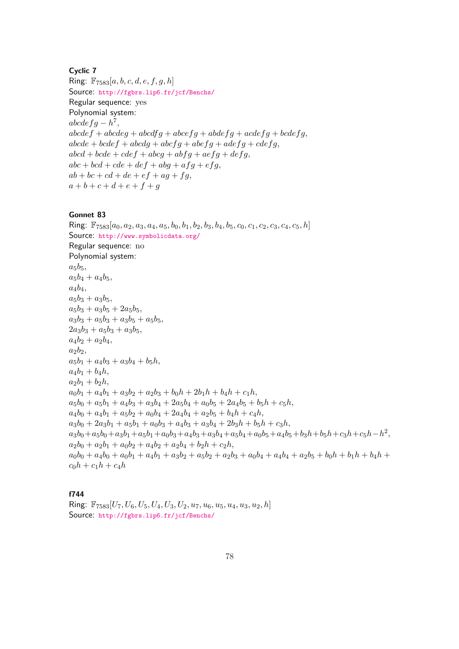#### Cyclic 7

Ring:  $\mathbb{F}_{7583}[a, b, c, d, e, f, g, h]$ Source: http://fgbrs.lip6.fr/jcf/Benchs/ Regular sequence: yes Polynomial system:  $abcdefg-h^7,$  $abcdef + abcdeg + abcdfq + abcefq + abdefq + acdefq + bcdefq,$  $abcde + bcdef + abcdg + abcfg + abefg + adefg + cdefg,$  $abcd + bcde + cdef + abcg + abfg + aefg + defg,$  $abc + bcd + cde + def + abg + afg + efg,$  $ab + bc + cd + de + ef + aq + fq,$  $a + b + c + d + e + f + g$ 

#### Gonnet 83

Ring:  $\mathbb{F}_{7583}[a_0, a_2, a_3, a_4, a_5, b_0, b_1, b_2, b_3, b_4, b_5, c_0, c_1, c_2, c_3, c_4, c_5, h]$ Source: http://www.symbolicdata.org/ Regular sequence: no Polynomial system:  $a_5b_5$ ,  $a_5b_4 + a_4b_5$  $a_5b_4 + a_4b_5$  $a_5b_4 + a_4b_5$ ,  $a_4b_4$ ,  $a_5b_3 + a_3b_5$  $a_5b_3 + a_3b_5 + 2a_5b_5$  $a_3b_3 + a_5b_3 + a_3b_5 + a_5b_5$  $2a_3b_3 + a_5b_3 + a_3b_5$  $a_4b_2 + a_2b_4$ ,  $a_2b_2$ ,  $a_5b_1 + a_4b_3 + a_3b_4 + b_5h$ ,  $a_4b_1 + b_4h$ ,  $a_2b_1 + b_2h$ ,  $a_0b_1 + a_4b_1 + a_3b_2 + a_2b_3 + b_0h_1 + 2b_1h_1 + b_4h_2 + c_1h$  $a_5b_0 + a_5b_1 + a_4b_3 + a_3b_4 + 2a_5b_4 + a_0b_5 + 2a_4b_5 + b_5b_6 + c_5b_7$  $a_4b_0 + a_4b_1 + a_5b_2 + a_0b_4 + 2a_4b_4 + a_2b_5 + b_4h + c_4h,$  $a_3b_0 + 2a_3b_1 + a_5b_1 + a_0b_3 + a_4b_3 + a_3b_4 + 2b_3h + b_5h + c_3h,$  $a_3b_0+a_5b_0+a_3b_1+a_5b_1+a_0b_3+a_4b_3+a_3b_4+a_5b_4+a_0b_5+a_4b_5+b_3h+b_5h+c_3h+c_5h-h^2$  $a_2b_0 + a_2b_1 + a_0b_2 + a_4b_2 + a_2b_4 + b_2h_3 + c_2h$  $a_0b_0 + a_4b_0 + a_0b_1 + a_4b_1 + a_3b_2 + a_5b_2 + a_2b_3 + a_0b_4 + a_4b_4 + a_2b_5 + b_0h_1 + b_1h_2 + b_1h_3$  $c_0h + c_1h + c_4h$ 

#### f744

Ring:  $\mathbb{F}_{7583}[U_7, U_6, U_5, U_4, U_3, U_2, u_7, u_6, u_5, u_4, u_3, u_2, h]$ Source: http://fgbrs.lip6.fr/jcf/Benchs/